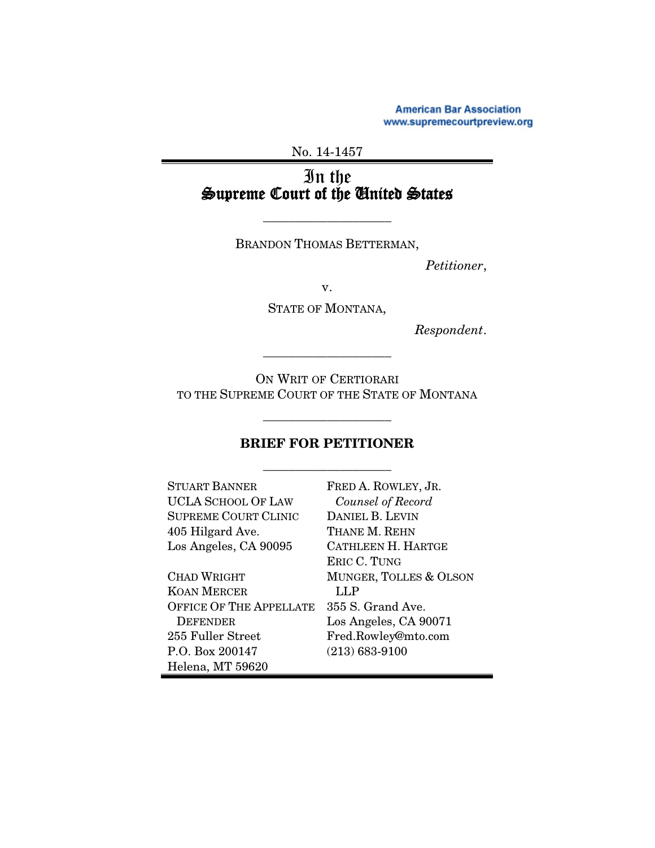**American Bar Association** www.supremecourtpreview.org

# No. 14-1457

# In the Supreme Court of the United States

BRANDON THOMAS BETTERMAN,

\_\_\_\_\_\_\_\_\_\_\_\_\_\_\_\_\_\_\_\_

*Petitioner*,

v.

STATE OF MONTANA,

*Respondent*.

ON WRIT OF CERTIORARI TO THE SUPREME COURT OF THE STATE OF MONTANA

\_\_\_\_\_\_\_\_\_\_\_\_\_\_\_\_\_\_\_\_

### BRIEF FOR PETITIONER

\_\_\_\_\_\_\_\_\_\_\_\_\_\_\_\_\_\_\_\_

\_\_\_\_\_\_\_\_\_\_\_\_\_\_\_\_\_\_\_\_

| <b>STUART BANNER</b>           | FRED A. ROWLEY, JR.    |
|--------------------------------|------------------------|
| UCLA SCHOOL OF LAW             | Counsel of Record      |
| <b>SUPREME COURT CLINIC</b>    | DANIEL B. LEVIN        |
| 405 Hilgard Ave.               | THANE M. REHN          |
| Los Angeles, CA 90095          | CATHLEEN H. HARTGE     |
|                                | ERIC C. TUNG           |
| <b>CHAD WRIGHT</b>             | MUNGER, TOLLES & OLSON |
| KOAN MERCER                    | LLP                    |
| <b>OFFICE OF THE APPELLATE</b> | 355 S. Grand Ave.      |
| <b>DEFENDER</b>                | Los Angeles, CA 90071  |
| 255 Fuller Street              | Fred.Rowley@mto.com    |
| P.O. Box 200147                | $(213) 683 - 9100$     |
| Helena, MT 59620               |                        |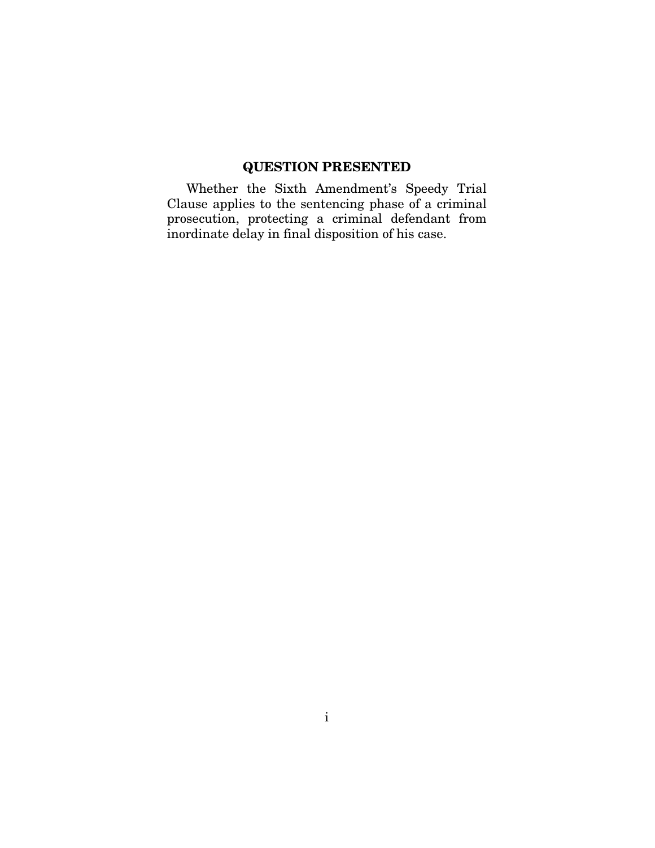## QUESTION PRESENTED

Whether the Sixth Amendment's Speedy Trial Clause applies to the sentencing phase of a criminal prosecution, protecting a criminal defendant from inordinate delay in final disposition of his case.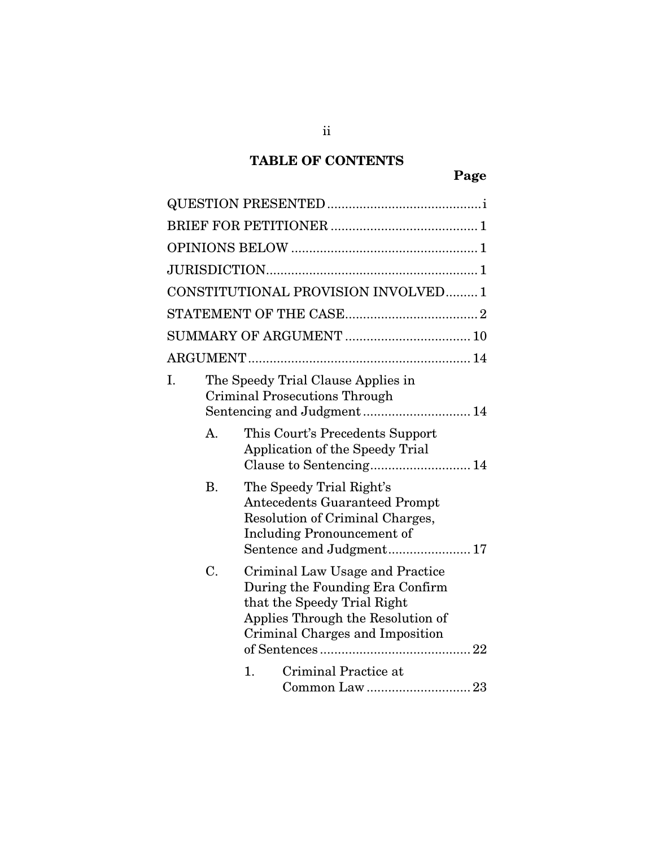# TABLE OF CONTENTS

|    |           | CONSTITUTIONAL PROVISION INVOLVED1                                                                                                                                        |
|----|-----------|---------------------------------------------------------------------------------------------------------------------------------------------------------------------------|
|    |           |                                                                                                                                                                           |
|    |           |                                                                                                                                                                           |
|    |           |                                                                                                                                                                           |
| I. |           | The Speedy Trial Clause Applies in<br><b>Criminal Prosecutions Through</b>                                                                                                |
|    | A.        | This Court's Precedents Support<br>Application of the Speedy Trial                                                                                                        |
|    | <b>B.</b> | The Speedy Trial Right's<br><b>Antecedents Guaranteed Prompt</b><br>Resolution of Criminal Charges,<br><b>Including Pronouncement of</b>                                  |
|    | C.        | Criminal Law Usage and Practice<br>During the Founding Era Confirm<br>that the Speedy Trial Right<br>Applies Through the Resolution of<br>Criminal Charges and Imposition |
|    |           | Criminal Practice at<br>1.                                                                                                                                                |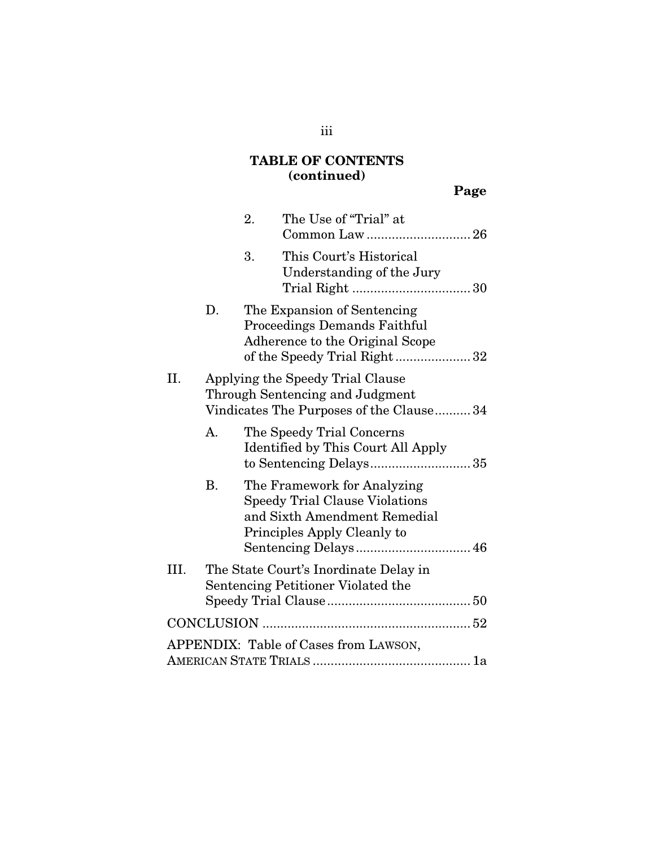# TABLE OF CONTENTS (continued)

|      |    | 2. | The Use of "Trial" at<br>Common Law26                                                                                                                       |  |
|------|----|----|-------------------------------------------------------------------------------------------------------------------------------------------------------------|--|
|      |    | 3. | This Court's Historical<br>Understanding of the Jury                                                                                                        |  |
|      | D. |    | The Expansion of Sentencing<br><b>Proceedings Demands Faithful</b><br>Adherence to the Original Scope<br>of the Speedy Trial Right32                        |  |
| Η.   |    |    | Applying the Speedy Trial Clause<br>Through Sentencing and Judgment<br>Vindicates The Purposes of the Clause34                                              |  |
|      | A. |    | The Speedy Trial Concerns<br>Identified by This Court All Apply<br>to Sentencing Delays35                                                                   |  |
|      | В. |    | The Framework for Analyzing<br><b>Speedy Trial Clause Violations</b><br>and Sixth Amendment Remedial<br>Principles Apply Cleanly to<br>Sentencing Delays 46 |  |
| III. |    |    | The State Court's Inordinate Delay in<br>Sentencing Petitioner Violated the                                                                                 |  |
|      |    |    |                                                                                                                                                             |  |
|      |    |    | APPENDIX: Table of Cases from LAWSON,                                                                                                                       |  |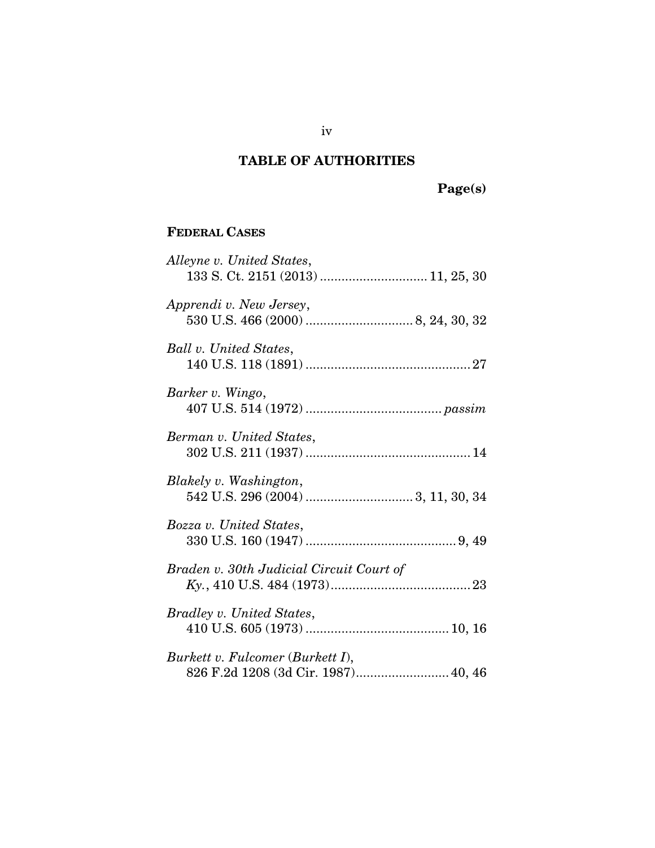### TABLE OF AUTHORITIES

Page(s)

# FEDERAL CASES

| Alleyne v. United States,<br>133 S. Ct. 2151 (2013)  11, 25, 30         |
|-------------------------------------------------------------------------|
| Apprendi v. New Jersey,                                                 |
| Ball v. United States,                                                  |
| Barker v. Wingo,                                                        |
| Berman v. United States,                                                |
| Blakely v. Washington,                                                  |
| Bozza v. United States,                                                 |
| Braden v. 30th Judicial Circuit Court of                                |
| Bradley v. United States,                                               |
| Burkett v. Fulcomer (Burkett I),<br>826 F.2d 1208 (3d Cir. 1987) 40, 46 |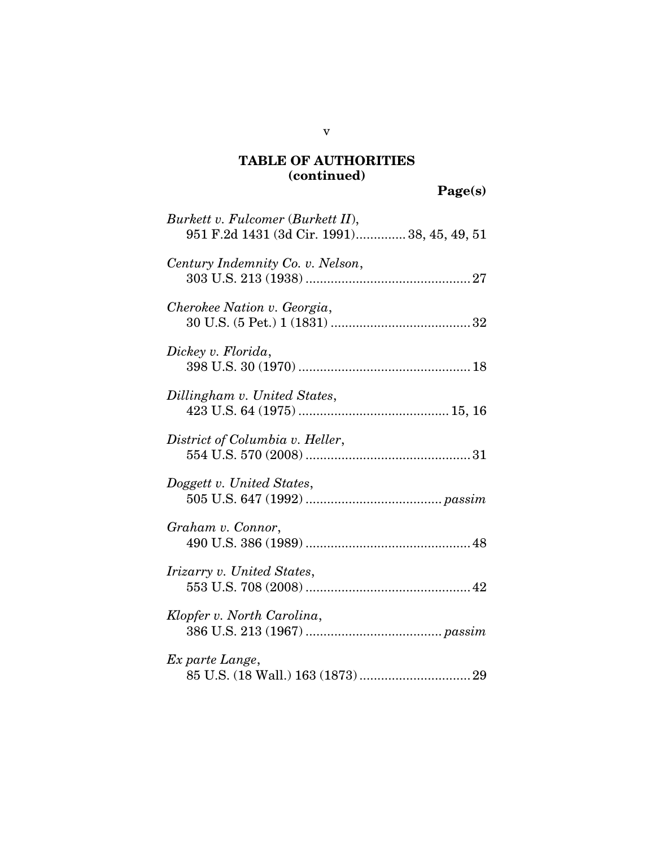| Burkett v. Fulcomer (Burkett II),<br>951 F.2d 1431 (3d Cir. 1991) 38, 45, 49, 51 |
|----------------------------------------------------------------------------------|
| Century Indemnity Co. v. Nelson,                                                 |
| Cherokee Nation v. Georgia,                                                      |
| Dickey v. Florida,                                                               |
| Dillingham v. United States,                                                     |
| District of Columbia v. Heller,                                                  |
| Doggett v. United States,                                                        |
| Graham v. Connor,                                                                |
| <i>Irizarry v. United States,</i>                                                |
| Klopfer v. North Carolina,                                                       |
| Ex parte Lange,                                                                  |

v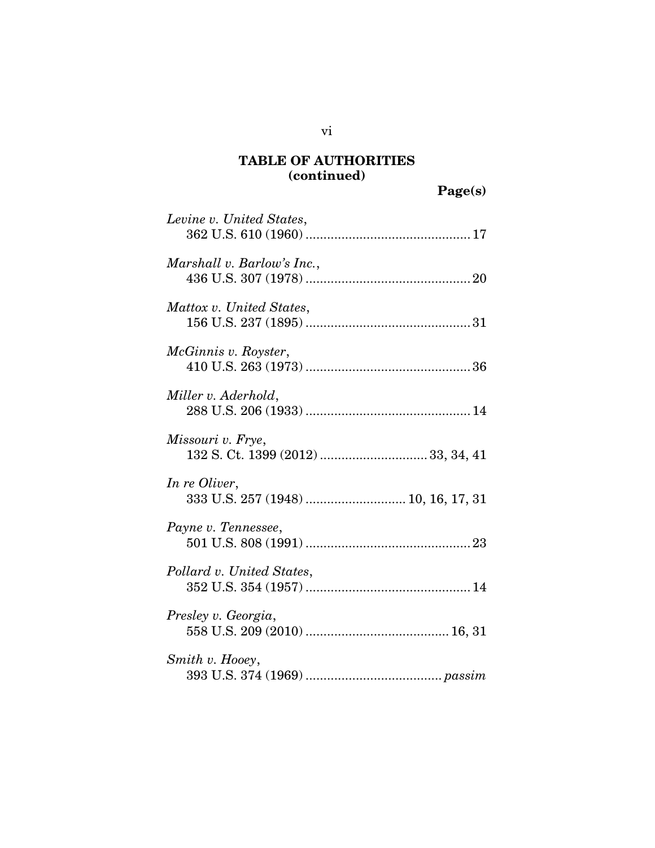Page(s)

| Levine v. United States,                             |
|------------------------------------------------------|
| Marshall v. Barlow's Inc.,                           |
| Mattox v. United States,                             |
| McGinnis v. Royster,                                 |
| Miller v. Aderhold,                                  |
| Missouri v. Frye,                                    |
| In re Oliver,<br>333 U.S. 257 (1948)  10, 16, 17, 31 |
| Payne v. Tennessee,                                  |
| Pollard v. United States,                            |
| Presley v. Georgia,                                  |
| Smith v. Hooey,                                      |

vi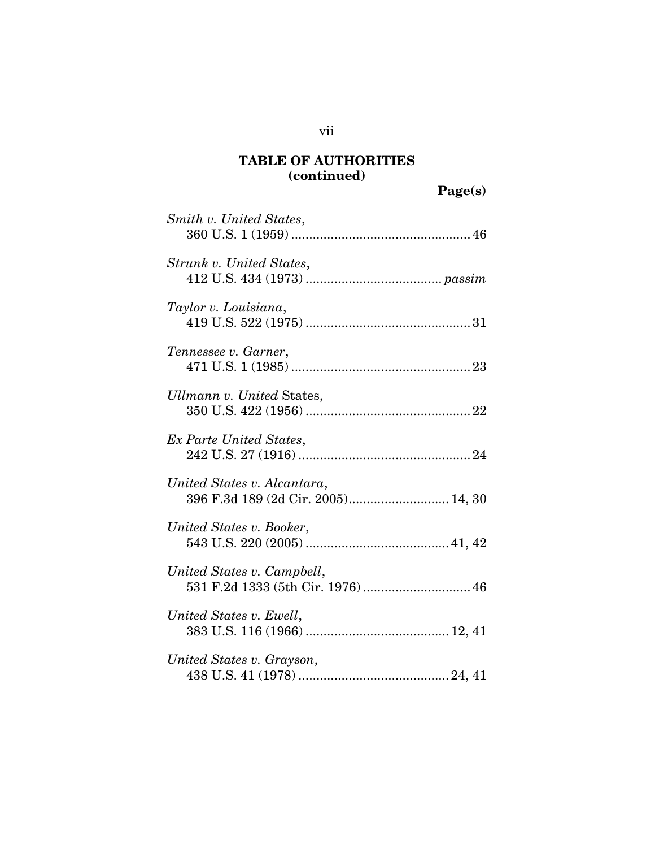| Smith v. United States,                                           |
|-------------------------------------------------------------------|
| Strunk v. United States,                                          |
| Taylor v. Louisiana,                                              |
| Tennessee v. Garner,                                              |
| Ullmann v. United States,                                         |
| Ex Parte United States,                                           |
| United States v. Alcantara,<br>396 F.3d 189 (2d Cir. 2005) 14, 30 |
| United States v. Booker,                                          |
| United States v. Campbell,<br>531 F.2d 1333 (5th Cir. 1976)  46   |
| United States v. Ewell,                                           |
| United States v. Grayson,                                         |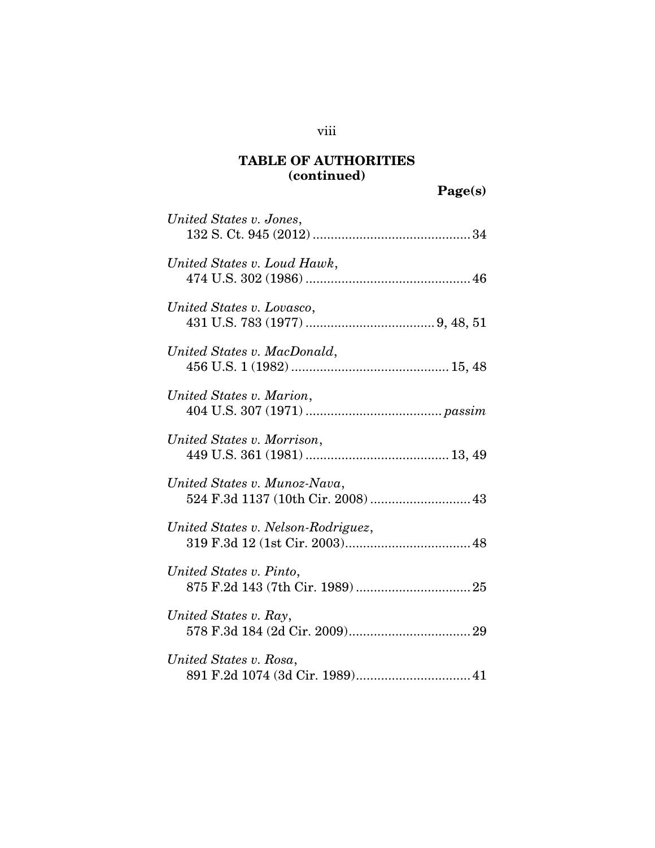| United States v. Jones,                                            |
|--------------------------------------------------------------------|
| United States v. Loud Hawk,                                        |
| United States v. Lovasco,                                          |
| United States v. MacDonald,                                        |
| United States v. Marion,                                           |
| United States v. Morrison,                                         |
| United States v. Munoz-Nava,<br>524 F.3d 1137 (10th Cir. 2008)  43 |
| United States v. Nelson-Rodriguez,                                 |
| United States v. Pinto,                                            |
| United States v. Ray,                                              |
| United States v. Rosa,<br>891 F.2d 1074 (3d Cir. 1989) 41          |

viii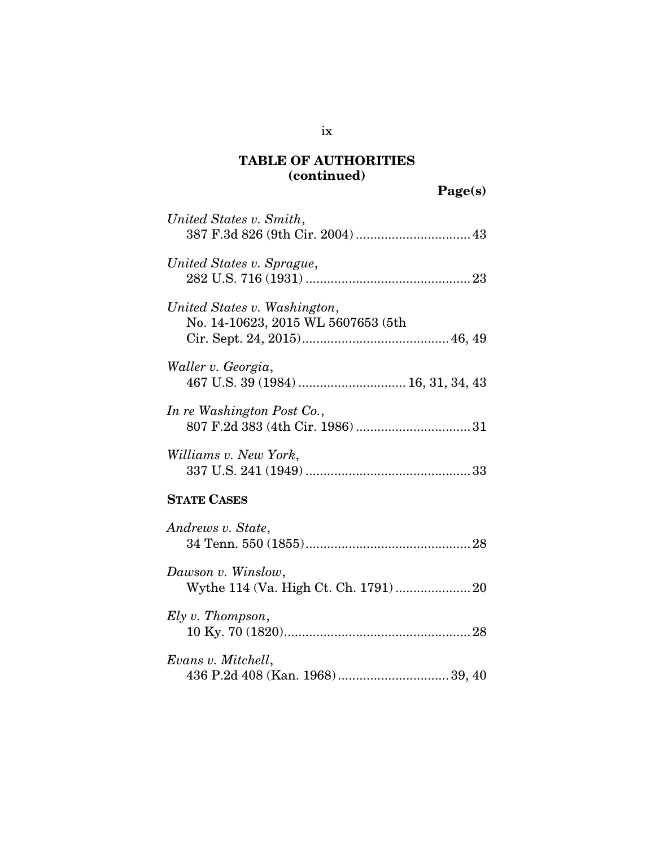| United States v. Smith,                                            |
|--------------------------------------------------------------------|
| United States v. Sprague,                                          |
| United States v. Washington,<br>No. 14-10623, 2015 WL 5607653 (5th |
| Waller v. Georgia,<br>467 U.S. 39 (1984)  16, 31, 34, 43           |
| In re Washington Post Co.,                                         |
| Williams v. New York,                                              |
| <b>STATE CASES</b>                                                 |
| Andrews v. State,                                                  |
| Dawson v. Winslow,<br>Wythe 114 (Va. High Ct. Ch. 1791) 20         |
| Ely v. Thompson,                                                   |

| Evans v. Mitchell, |  |
|--------------------|--|
|                    |  |

ix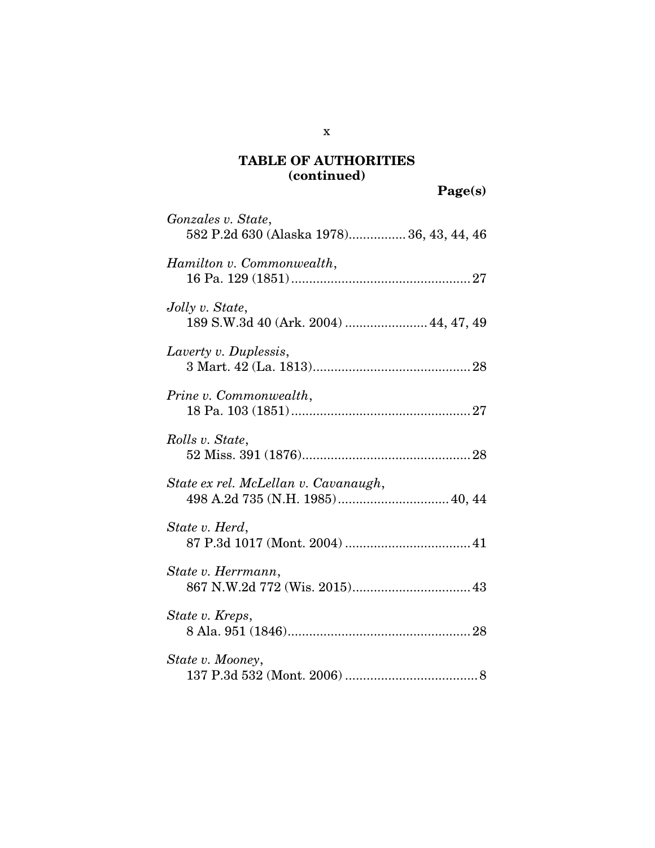Page(s)

| Gonzales v. State,<br>582 P.2d 630 (Alaska 1978) 36, 43, 44, 46         |  |
|-------------------------------------------------------------------------|--|
| Hamilton v. Commonwealth,                                               |  |
| Jolly v. State,<br>189 S.W.3d 40 (Ark. 2004)  44, 47, 49                |  |
| Laverty v. Duplessis,                                                   |  |
| Prine v. Commonwealth,                                                  |  |
| Rolls v. State,                                                         |  |
| State ex rel. McLellan v. Cavanaugh,<br>498 A.2d 735 (N.H. 1985) 40, 44 |  |
| State v. Herd,                                                          |  |
| State v. Herrmann,<br>867 N.W.2d 772 (Wis. 2015) 43                     |  |
| State v. Kreps,                                                         |  |
| State v. Mooney,                                                        |  |

x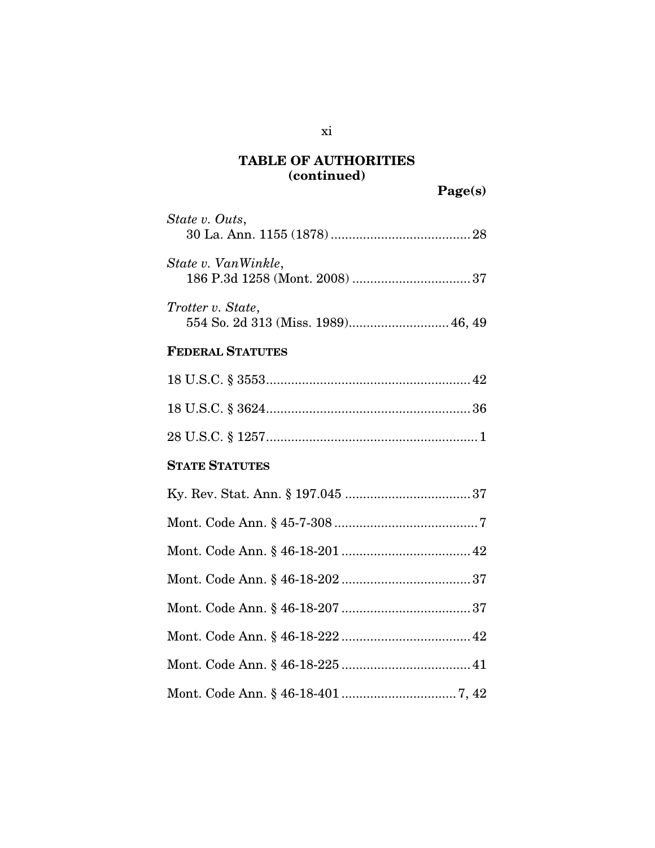| State v. Outs,                                          |
|---------------------------------------------------------|
| State v. VanWinkle,                                     |
| Trotter v. State,<br>554 So. 2d 313 (Miss. 1989) 46, 49 |
| <b>FEDERAL STATUTES</b>                                 |
|                                                         |
|                                                         |
|                                                         |
| <b>STATE STATUTES</b>                                   |
|                                                         |
|                                                         |
|                                                         |
|                                                         |
|                                                         |
|                                                         |
|                                                         |
|                                                         |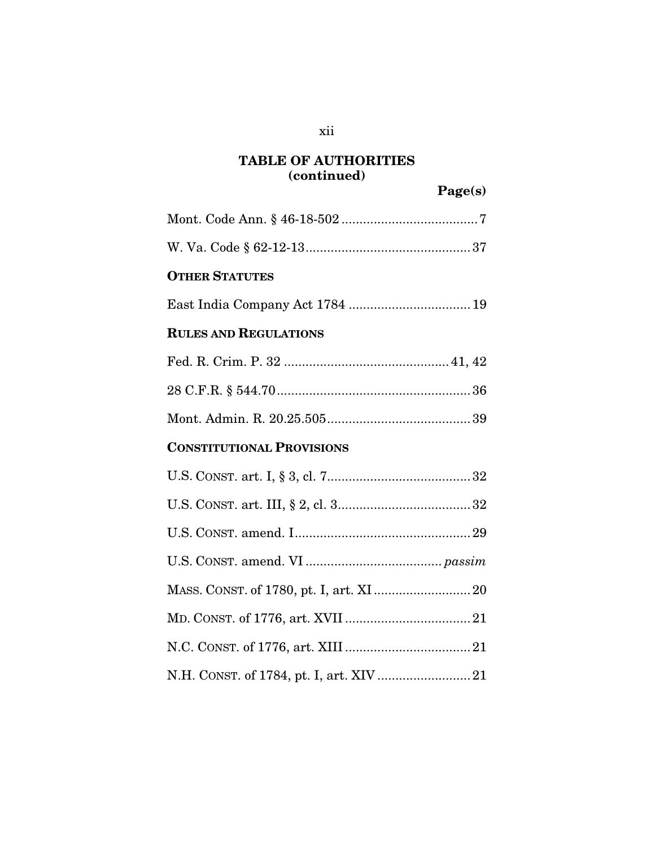Page(s)

Mont. Code Ann. § 46-18-502 ......................................7 W. Va. Code § 62-12-13..............................................37 OTHER STATUTES East India Company Act 1784 ..................................19 RULES AND REGULATIONS Fed. R. Crim. P. 32 .............................................. 41, 42 28 C.F.R. § 544.70......................................................36 Mont. Admin. R. 20.25.505........................................39 CONSTITUTIONAL PROVISIONS U.S. CONST. art. I, § 3, cl. 7........................................32 U.S. CONST. art. III, § 2, cl. 3.....................................32 U.S. CONST. amend. I.................................................29 U.S. CONST. amend. VI ...................................... *passim* MASS. CONST. of 1780, pt. I, art. XI ...........................20 MD. CONST. of 1776, art. XVII ...................................21 N.C. CONST. of 1776, art. XIII ...................................21 N.H. CONST. of 1784, pt. I, art. XIV ..........................21

xii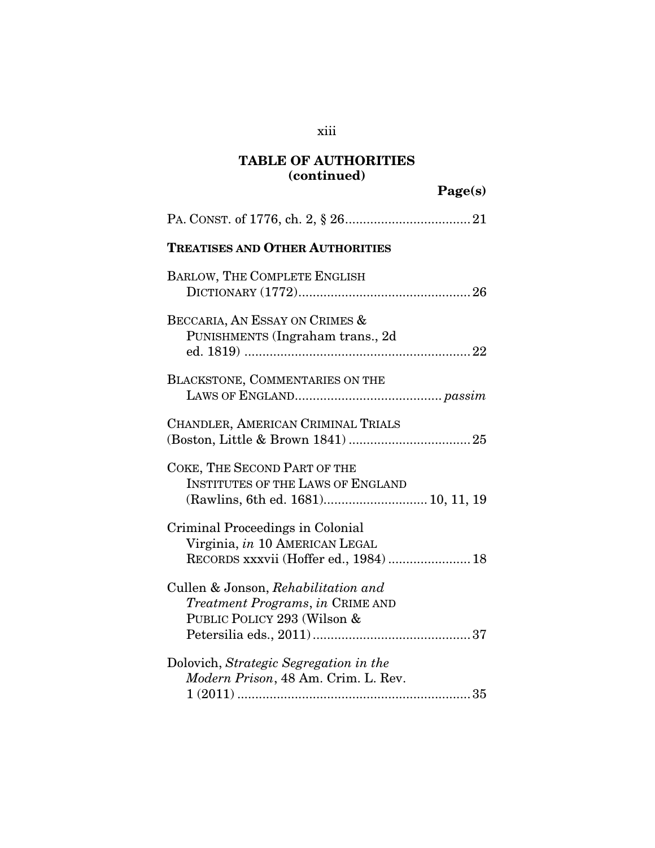Page(s)

| <b>TREATISES AND OTHER AUTHORITIES</b>                                                                             |
|--------------------------------------------------------------------------------------------------------------------|
| BARLOW, THE COMPLETE ENGLISH                                                                                       |
| BECCARIA, AN ESSAY ON CRIMES &<br>PUNISHMENTS (Ingraham trans., 2d                                                 |
| BLACKSTONE, COMMENTARIES ON THE                                                                                    |
| CHANDLER, AMERICAN CRIMINAL TRIALS                                                                                 |
| COKE, THE SECOND PART OF THE<br><b>INSTITUTES OF THE LAWS OF ENGLAND</b><br>(Rawlins, 6th ed. 1681) 10, 11, 19     |
| <b>Criminal Proceedings in Colonial</b><br>Virginia, in 10 AMERICAN LEGAL<br>RECORDS xxxvii (Hoffer ed., 1984)  18 |
| Cullen & Jonson, Rehabilitation and<br>Treatment Programs, in CRIME AND<br>PUBLIC POLICY 293 (Wilson &             |
| Dolovich, Strategic Segregation in the<br>Modern Prison, 48 Am. Crim. L. Rev.                                      |

xiii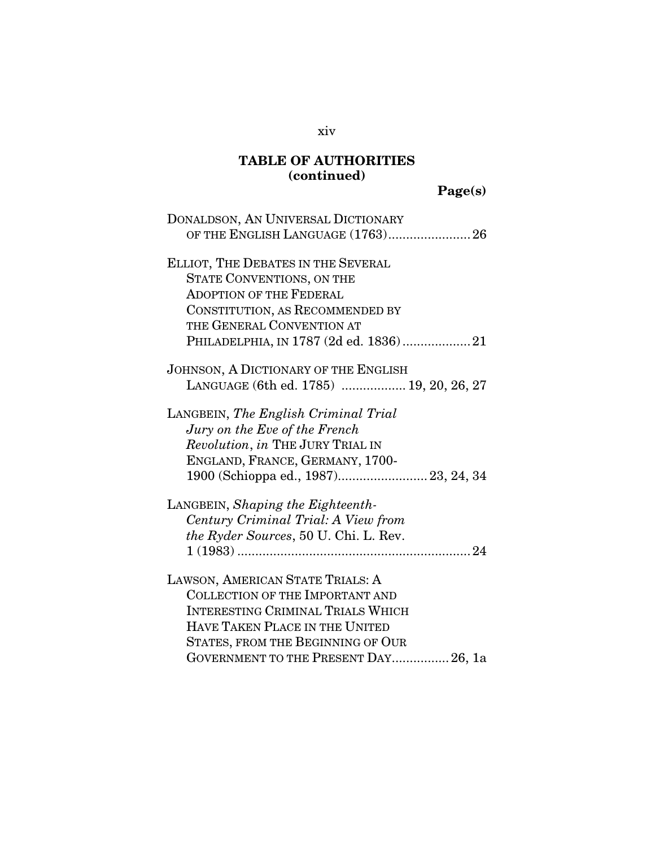Page(s)

| DONALDSON, AN UNIVERSAL DICTIONARY       |
|------------------------------------------|
|                                          |
| ELLIOT, THE DEBATES IN THE SEVERAL       |
| <b>STATE CONVENTIONS, ON THE</b>         |
| <b>ADOPTION OF THE FEDERAL</b>           |
| CONSTITUTION, AS RECOMMENDED BY          |
| THE GENERAL CONVENTION AT                |
| PHILADELPHIA, IN 1787 (2d ed. 1836)21    |
| JOHNSON, A DICTIONARY OF THE ENGLISH     |
| LANGUAGE (6th ed. 1785)  19, 20, 26, 27  |
| LANGBEIN, The English Criminal Trial     |
| Jury on the Eve of the French            |
| Revolution, in THE JURY TRIAL IN         |
| ENGLAND, FRANCE, GERMANY, 1700-          |
| 1900 (Schioppa ed., 1987) 23, 24, 34     |
| LANGBEIN, Shaping the Eighteenth-        |
| Century Criminal Trial: A View from      |
| the Ryder Sources, 50 U. Chi. L. Rev.    |
|                                          |
| LAWSON, AMERICAN STATE TRIALS: A         |
| <b>COLLECTION OF THE IMPORTANT AND</b>   |
| <b>INTERESTING CRIMINAL TRIALS WHICH</b> |
| <b>HAVE TAKEN PLACE IN THE UNITED</b>    |
| STATES, FROM THE BEGINNING OF OUR        |
| GOVERNMENT TO THE PRESENT DAY 26, 1a     |

xiv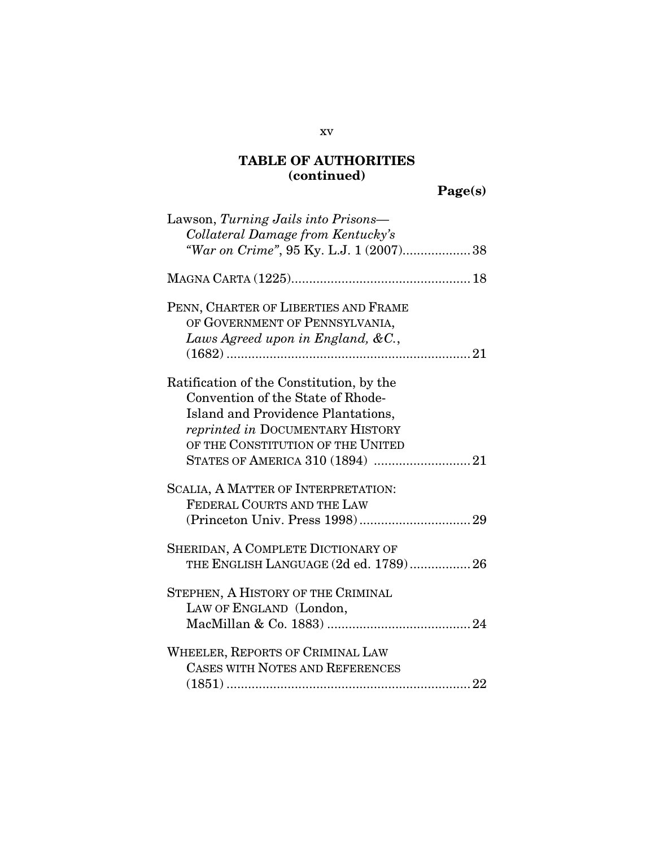# Page(s)

| Lawson, Turning Jails into Prisons-<br>Collateral Damage from Kentucky's                                                                                                                                                        |
|---------------------------------------------------------------------------------------------------------------------------------------------------------------------------------------------------------------------------------|
| "War on Crime", 95 Ky. L.J. 1 (2007)38                                                                                                                                                                                          |
|                                                                                                                                                                                                                                 |
| PENN, CHARTER OF LIBERTIES AND FRAME<br>OF GOVERNMENT OF PENNSYLVANIA,<br>Laws Agreed upon in England, $&C.$                                                                                                                    |
| Ratification of the Constitution, by the<br>Convention of the State of Rhode-<br>Island and Providence Plantations,<br>reprinted in DOCUMENTARY HISTORY<br>OF THE CONSTITUTION OF THE UNITED<br>STATES OF AMERICA 310 (1894) 21 |
| SCALIA, A MATTER OF INTERPRETATION:<br>FEDERAL COURTS AND THE LAW                                                                                                                                                               |
| SHERIDAN, A COMPLETE DICTIONARY OF<br>THE ENGLISH LANGUAGE (2d ed. 1789) 26                                                                                                                                                     |
| STEPHEN, A HISTORY OF THE CRIMINAL<br>LAW OF ENGLAND (London,                                                                                                                                                                   |
| WHEELER, REPORTS OF CRIMINAL LAW<br>CASES WITH NOTES AND REFERENCES                                                                                                                                                             |

#### xv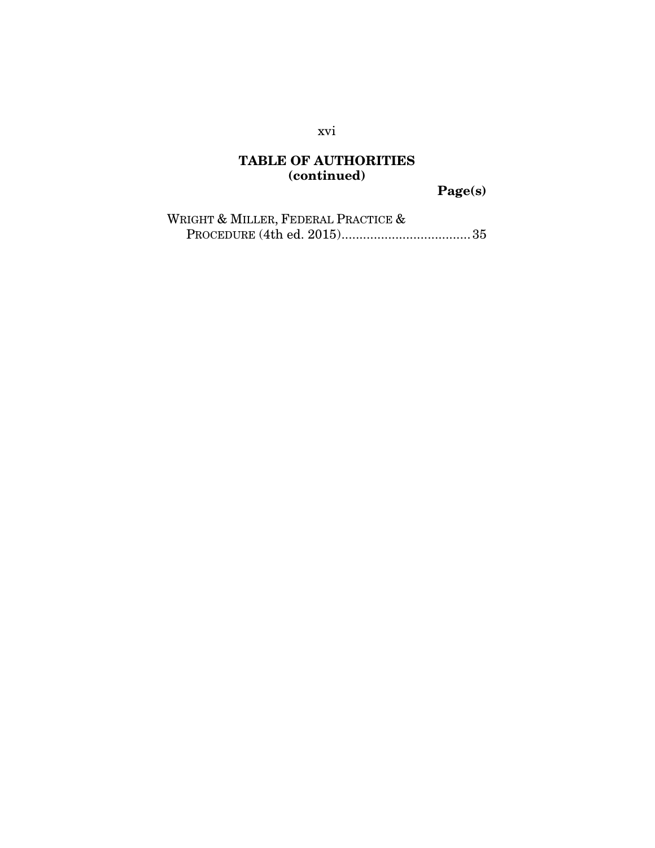Page(s)

| WRIGHT & MILLER, FEDERAL PRACTICE & |  |
|-------------------------------------|--|
|                                     |  |

xvi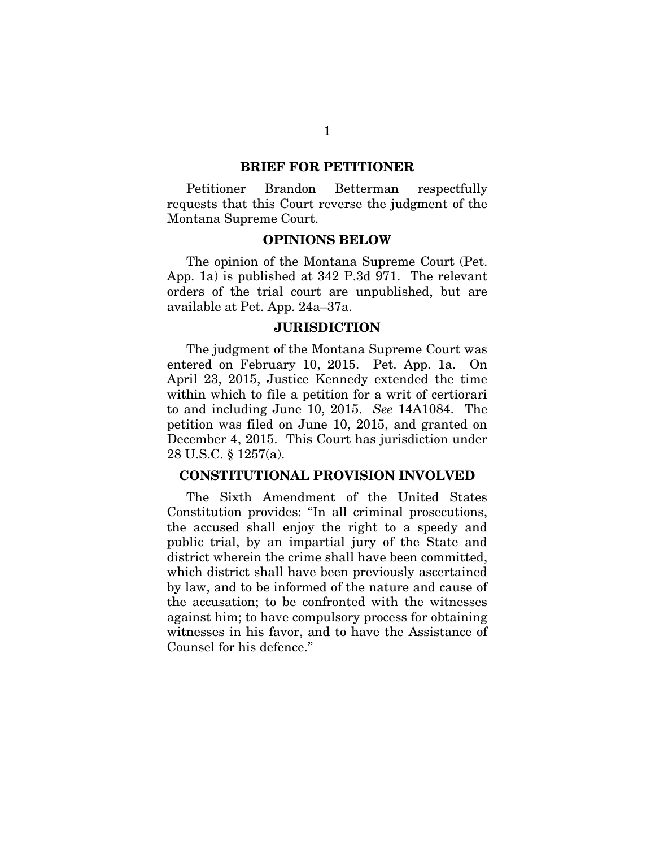#### BRIEF FOR PETITIONER

Petitioner Brandon Betterman respectfully requests that this Court reverse the judgment of the Montana Supreme Court.

#### OPINIONS BELOW

The opinion of the Montana Supreme Court (Pet. App. 1a) is published at 342 P.3d 971. The relevant orders of the trial court are unpublished, but are available at Pet. App. 24a–37a.

#### **JURISDICTION**

The judgment of the Montana Supreme Court was entered on February 10, 2015. Pet. App. 1a. On April 23, 2015, Justice Kennedy extended the time within which to file a petition for a writ of certiorari to and including June 10, 2015. *See* 14A1084. The petition was filed on June 10, 2015, and granted on December 4, 2015. This Court has jurisdiction under 28 U.S.C. § 1257(a).

#### CONSTITUTIONAL PROVISION INVOLVED

The Sixth Amendment of the United States Constitution provides: "In all criminal prosecutions, the accused shall enjoy the right to a speedy and public trial, by an impartial jury of the State and district wherein the crime shall have been committed, which district shall have been previously ascertained by law, and to be informed of the nature and cause of the accusation; to be confronted with the witnesses against him; to have compulsory process for obtaining witnesses in his favor, and to have the Assistance of Counsel for his defence."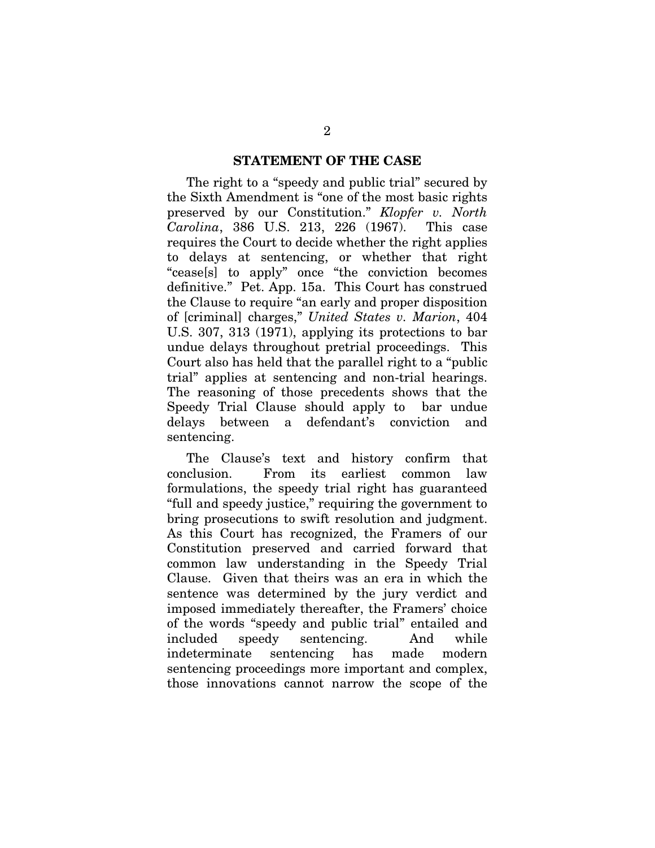#### STATEMENT OF THE CASE

The right to a "speedy and public trial" secured by the Sixth Amendment is "one of the most basic rights preserved by our Constitution." *Klopfer v. North Carolina*, 386 U.S. 213, 226 (1967). This case requires the Court to decide whether the right applies to delays at sentencing, or whether that right "cease[s] to apply" once "the conviction becomes definitive." Pet. App. 15a. This Court has construed the Clause to require "an early and proper disposition of [criminal] charges," *United States v. Marion*, 404 U.S. 307, 313 (1971), applying its protections to bar undue delays throughout pretrial proceedings. This Court also has held that the parallel right to a "public trial" applies at sentencing and non-trial hearings. The reasoning of those precedents shows that the Speedy Trial Clause should apply to bar undue delays between a defendant's conviction and sentencing.

The Clause's text and history confirm that conclusion. From its earliest common law formulations, the speedy trial right has guaranteed "full and speedy justice," requiring the government to bring prosecutions to swift resolution and judgment. As this Court has recognized, the Framers of our Constitution preserved and carried forward that common law understanding in the Speedy Trial Clause. Given that theirs was an era in which the sentence was determined by the jury verdict and imposed immediately thereafter, the Framers' choice of the words "speedy and public trial" entailed and included speedy sentencing. And while indeterminate sentencing has made modern sentencing proceedings more important and complex, those innovations cannot narrow the scope of the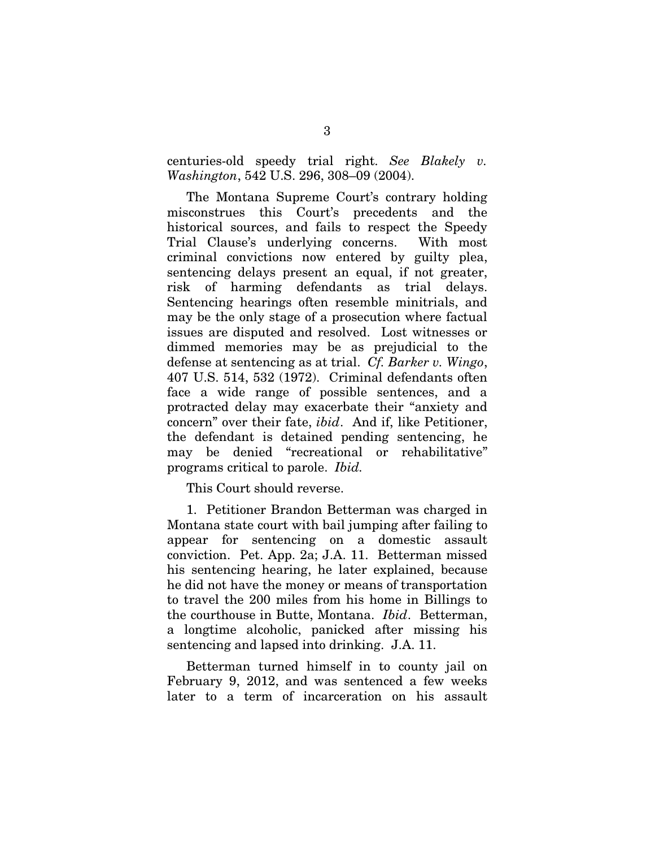centuries-old speedy trial right. *See Blakely v. Washington*, 542 U.S. 296, 308–09 (2004).

The Montana Supreme Court's contrary holding misconstrues this Court's precedents and the historical sources, and fails to respect the Speedy Trial Clause's underlying concerns. With most criminal convictions now entered by guilty plea, sentencing delays present an equal, if not greater, risk of harming defendants as trial delays. Sentencing hearings often resemble minitrials, and may be the only stage of a prosecution where factual issues are disputed and resolved. Lost witnesses or dimmed memories may be as prejudicial to the defense at sentencing as at trial. *Cf. Barker v. Wingo*, 407 U.S. 514, 532 (1972). Criminal defendants often face a wide range of possible sentences, and a protracted delay may exacerbate their "anxiety and concern" over their fate, *ibid*. And if, like Petitioner, the defendant is detained pending sentencing, he may be denied "recreational or rehabilitative" programs critical to parole. *Ibid.*

This Court should reverse.

1. Petitioner Brandon Betterman was charged in Montana state court with bail jumping after failing to appear for sentencing on a domestic assault conviction. Pet. App. 2a; J.A. 11. Betterman missed his sentencing hearing, he later explained, because he did not have the money or means of transportation to travel the 200 miles from his home in Billings to the courthouse in Butte, Montana. *Ibid*. Betterman, a longtime alcoholic, panicked after missing his sentencing and lapsed into drinking. J.A. 11.

Betterman turned himself in to county jail on February 9, 2012, and was sentenced a few weeks later to a term of incarceration on his assault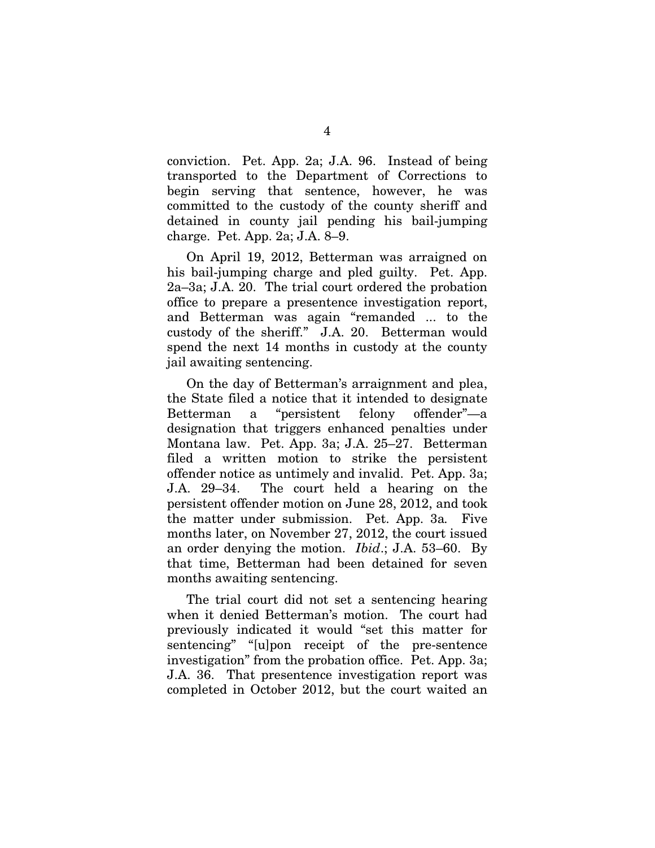conviction. Pet. App. 2a; J.A. 96. Instead of being transported to the Department of Corrections to begin serving that sentence, however, he was committed to the custody of the county sheriff and detained in county jail pending his bail-jumping charge. Pet. App. 2a; J.A. 8–9.

On April 19, 2012, Betterman was arraigned on his bail-jumping charge and pled guilty. Pet. App. 2a–3a; J.A. 20. The trial court ordered the probation office to prepare a presentence investigation report, and Betterman was again "remanded ... to the custody of the sheriff." J.A. 20. Betterman would spend the next 14 months in custody at the county jail awaiting sentencing.

On the day of Betterman's arraignment and plea, the State filed a notice that it intended to designate Betterman a "persistent felony offender"—a designation that triggers enhanced penalties under Montana law. Pet. App. 3a; J.A. 25–27. Betterman filed a written motion to strike the persistent offender notice as untimely and invalid. Pet. App. 3a; J.A. 29–34. The court held a hearing on the persistent offender motion on June 28, 2012, and took the matter under submission. Pet. App. 3a*.* Five months later, on November 27, 2012, the court issued an order denying the motion. *Ibid*.; J.A. 53–60. By that time, Betterman had been detained for seven months awaiting sentencing.

The trial court did not set a sentencing hearing when it denied Betterman's motion. The court had previously indicated it would "set this matter for sentencing" "[u]pon receipt of the pre-sentence investigation" from the probation office. Pet. App. 3a; J.A. 36. That presentence investigation report was completed in October 2012, but the court waited an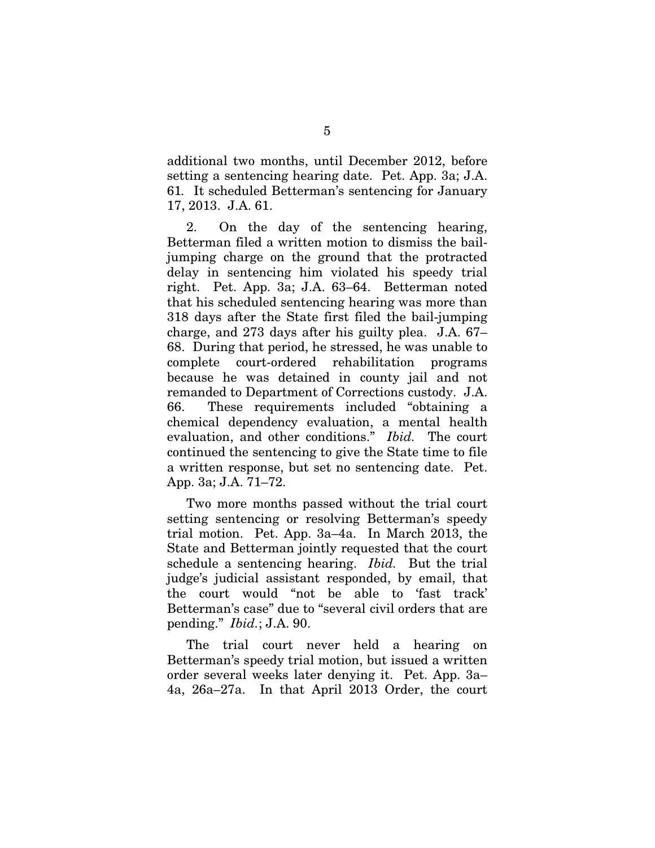additional two months, until December 2012, before setting a sentencing hearing date. Pet. App. 3a; J.A. 61*.* It scheduled Betterman's sentencing for January 17, 2013. J.A. 61.

2. On the day of the sentencing hearing, Betterman filed a written motion to dismiss the bailjumping charge on the ground that the protracted delay in sentencing him violated his speedy trial right. Pet. App. 3a; J.A. 63–64. Betterman noted that his scheduled sentencing hearing was more than 318 days after the State first filed the bail-jumping charge, and 273 days after his guilty plea. J.A. 67– 68. During that period, he stressed, he was unable to complete court-ordered rehabilitation programs because he was detained in county jail and not remanded to Department of Corrections custody. J.A. 66. These requirements included "obtaining a chemical dependency evaluation, a mental health evaluation, and other conditions." *Ibid.* The court continued the sentencing to give the State time to file a written response, but set no sentencing date. Pet. App. 3a; J.A. 71–72.

Two more months passed without the trial court setting sentencing or resolving Betterman's speedy trial motion. Pet. App. 3a–4a. In March 2013, the State and Betterman jointly requested that the court schedule a sentencing hearing. *Ibid.* But the trial judge's judicial assistant responded, by email, that the court would "not be able to 'fast track' Betterman's case" due to "several civil orders that are pending." *Ibid.*; J.A. 90.

The trial court never held a hearing on Betterman's speedy trial motion, but issued a written order several weeks later denying it. Pet. App. 3a– 4a, 26a–27a. In that April 2013 Order, the court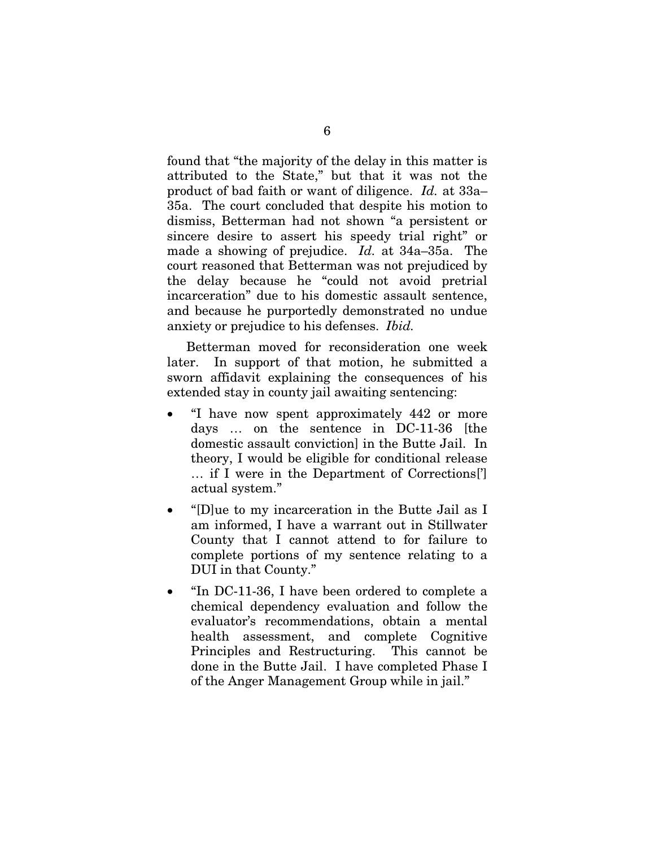found that "the majority of the delay in this matter is attributed to the State," but that it was not the product of bad faith or want of diligence. *Id.* at 33a– 35a. The court concluded that despite his motion to dismiss, Betterman had not shown "a persistent or sincere desire to assert his speedy trial right" or made a showing of prejudice. *Id.* at 34a–35a. The court reasoned that Betterman was not prejudiced by the delay because he "could not avoid pretrial incarceration" due to his domestic assault sentence, and because he purportedly demonstrated no undue anxiety or prejudice to his defenses. *Ibid.*

Betterman moved for reconsideration one week later. In support of that motion, he submitted a sworn affidavit explaining the consequences of his extended stay in county jail awaiting sentencing:

- "I have now spent approximately 442 or more days … on the sentence in DC-11-36 [the domestic assault conviction] in the Butte Jail. In theory, I would be eligible for conditional release … if I were in the Department of Corrections['] actual system."
- "[D]ue to my incarceration in the Butte Jail as I am informed, I have a warrant out in Stillwater County that I cannot attend to for failure to complete portions of my sentence relating to a DUI in that County."
- "In DC-11-36, I have been ordered to complete a chemical dependency evaluation and follow the evaluator's recommendations, obtain a mental health assessment, and complete Cognitive Principles and Restructuring. This cannot be done in the Butte Jail. I have completed Phase I of the Anger Management Group while in jail."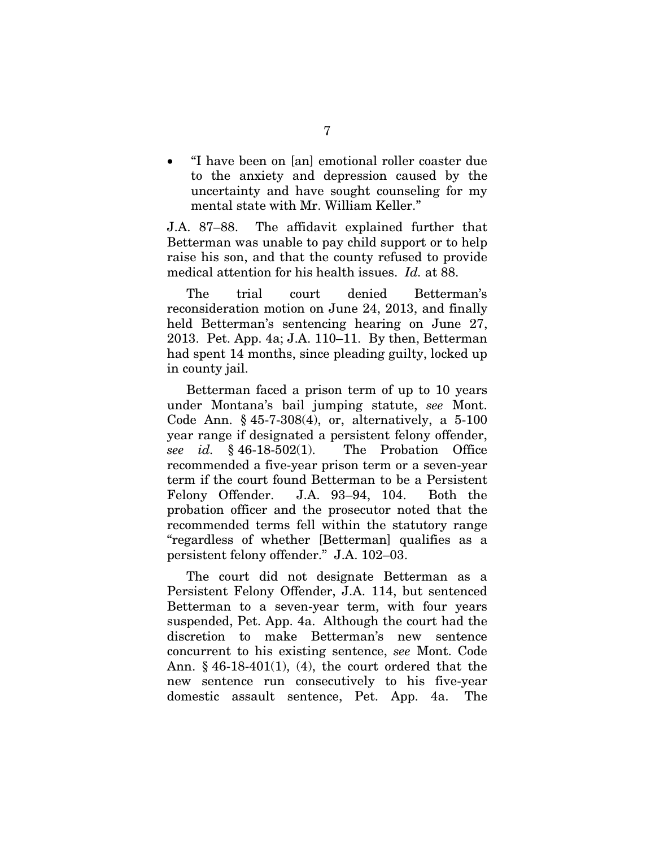• "I have been on [an] emotional roller coaster due to the anxiety and depression caused by the uncertainty and have sought counseling for my mental state with Mr. William Keller."

J.A. 87–88. The affidavit explained further that Betterman was unable to pay child support or to help raise his son, and that the county refused to provide medical attention for his health issues. *Id.* at 88.

The trial court denied Betterman's reconsideration motion on June 24, 2013, and finally held Betterman's sentencing hearing on June 27, 2013. Pet. App. 4a; J.A. 110–11. By then, Betterman had spent 14 months, since pleading guilty, locked up in county jail.

Betterman faced a prison term of up to 10 years under Montana's bail jumping statute, *see* Mont. Code Ann. § 45-7-308(4), or, alternatively, a 5-100 year range if designated a persistent felony offender, *see id.* § 46-18-502(1). The Probation Office recommended a five-year prison term or a seven-year term if the court found Betterman to be a Persistent Felony Offender. J.A. 93–94, 104. Both the probation officer and the prosecutor noted that the recommended terms fell within the statutory range "regardless of whether [Betterman] qualifies as a persistent felony offender." J.A. 102–03.

The court did not designate Betterman as a Persistent Felony Offender, J.A. 114, but sentenced Betterman to a seven-year term, with four years suspended, Pet. App. 4a. Although the court had the discretion to make Betterman's new sentence concurrent to his existing sentence, *see* Mont. Code Ann. § 46-18-401(1), (4), the court ordered that the new sentence run consecutively to his five-year domestic assault sentence, Pet. App. 4a. The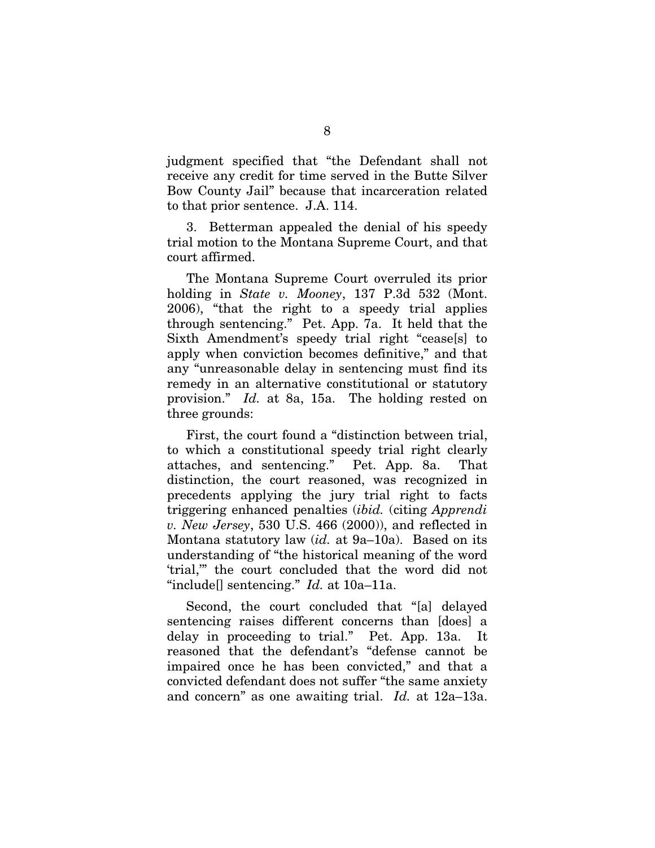judgment specified that "the Defendant shall not receive any credit for time served in the Butte Silver Bow County Jail" because that incarceration related to that prior sentence. J.A. 114.

3. Betterman appealed the denial of his speedy trial motion to the Montana Supreme Court, and that court affirmed.

The Montana Supreme Court overruled its prior holding in *State v. Mooney*, 137 P.3d 532 (Mont. 2006), "that the right to a speedy trial applies through sentencing." Pet. App. 7a. It held that the Sixth Amendment's speedy trial right "cease[s] to apply when conviction becomes definitive," and that any "unreasonable delay in sentencing must find its remedy in an alternative constitutional or statutory provision." *Id.* at 8a, 15a. The holding rested on three grounds:

First, the court found a "distinction between trial, to which a constitutional speedy trial right clearly attaches, and sentencing." Pet. App. 8a. That distinction, the court reasoned, was recognized in precedents applying the jury trial right to facts triggering enhanced penalties (*ibid.* (citing *Apprendi v. New Jersey*, 530 U.S. 466 (2000)), and reflected in Montana statutory law (*id.* at 9a–10a). Based on its understanding of "the historical meaning of the word 'trial,'" the court concluded that the word did not "include[] sentencing." *Id.* at 10a–11a.

Second, the court concluded that "[a] delayed sentencing raises different concerns than [does] a delay in proceeding to trial." Pet. App. 13a. It reasoned that the defendant's "defense cannot be impaired once he has been convicted," and that a convicted defendant does not suffer "the same anxiety and concern" as one awaiting trial. *Id.* at 12a–13a.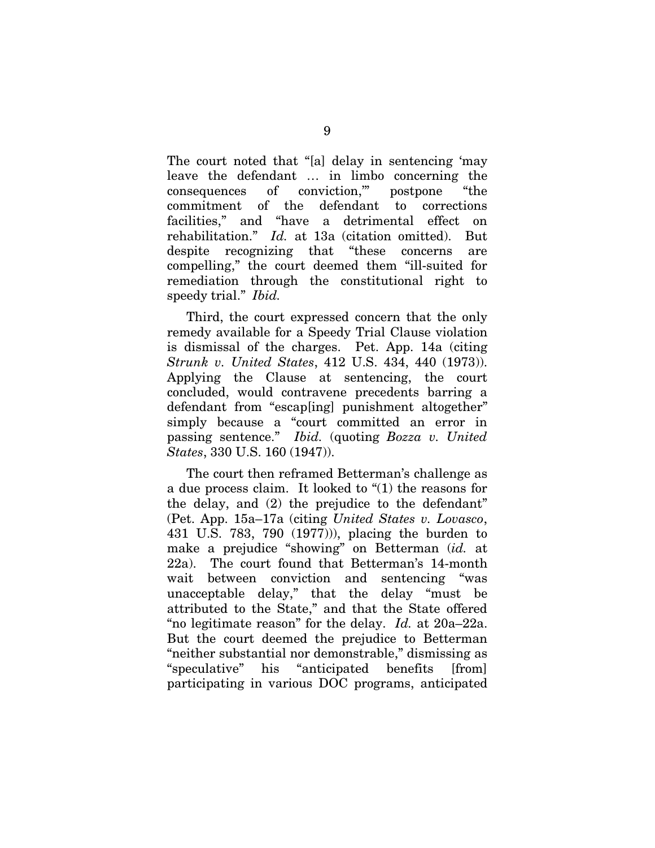The court noted that "[a] delay in sentencing 'may leave the defendant … in limbo concerning the consequences of conviction,'" postpone "the commitment of the defendant to corrections facilities," and "have a detrimental effect on rehabilitation." *Id.* at 13a (citation omitted). But despite recognizing that "these concerns are compelling," the court deemed them "ill-suited for remediation through the constitutional right to speedy trial." *Ibid.*

Third, the court expressed concern that the only remedy available for a Speedy Trial Clause violation is dismissal of the charges. Pet. App. 14a (citing *Strunk v. United States*, 412 U.S. 434, 440 (1973)). Applying the Clause at sentencing, the court concluded, would contravene precedents barring a defendant from "escap[ing] punishment altogether" simply because a "court committed an error in passing sentence." *Ibid.* (quoting *Bozza v. United States*, 330 U.S. 160 (1947)).

The court then reframed Betterman's challenge as a due process claim. It looked to "(1) the reasons for the delay, and (2) the prejudice to the defendant" (Pet. App. 15a–17a (citing *United States v. Lovasco*, 431 U.S. 783, 790 (1977))), placing the burden to make a prejudice "showing" on Betterman (*id.* at 22a). The court found that Betterman's 14-month wait between conviction and sentencing "was unacceptable delay," that the delay "must be attributed to the State," and that the State offered "no legitimate reason" for the delay. *Id.* at 20a–22a. But the court deemed the prejudice to Betterman "neither substantial nor demonstrable," dismissing as "speculative" his "anticipated benefits [from] participating in various DOC programs, anticipated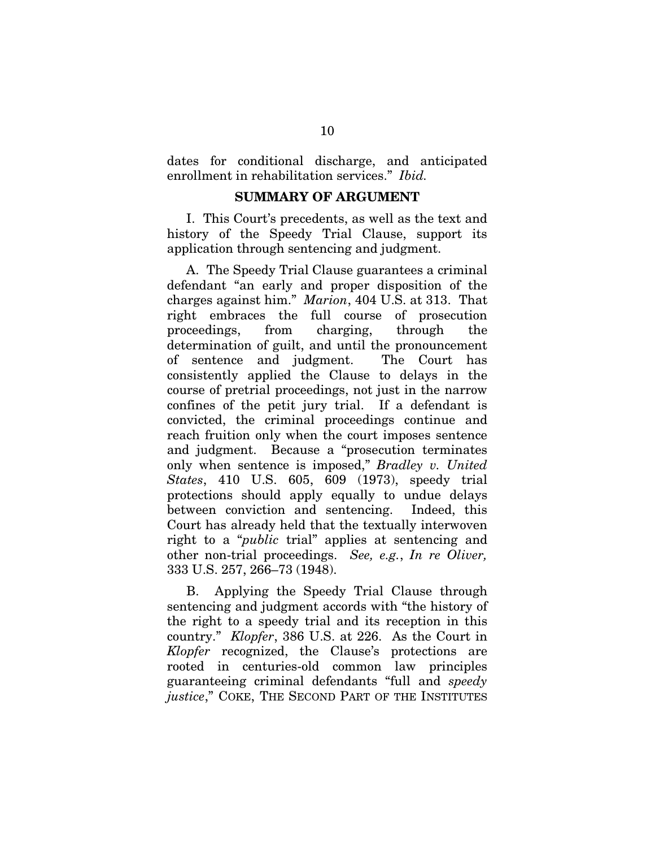dates for conditional discharge, and anticipated enrollment in rehabilitation services." *Ibid.*

#### SUMMARY OF ARGUMENT

I. This Court's precedents, as well as the text and history of the Speedy Trial Clause, support its application through sentencing and judgment.

A. The Speedy Trial Clause guarantees a criminal defendant "an early and proper disposition of the charges against him." *Marion*, 404 U.S. at 313. That right embraces the full course of prosecution proceedings, from charging, through the determination of guilt, and until the pronouncement of sentence and judgment. The Court has consistently applied the Clause to delays in the course of pretrial proceedings, not just in the narrow confines of the petit jury trial. If a defendant is convicted, the criminal proceedings continue and reach fruition only when the court imposes sentence and judgment. Because a "prosecution terminates only when sentence is imposed," *Bradley v. United States*, 410 U.S. 605, 609 (1973), speedy trial protections should apply equally to undue delays between conviction and sentencing. Indeed, this Court has already held that the textually interwoven right to a "*public* trial" applies at sentencing and other non-trial proceedings. *See, e.g.*, *In re Oliver,*  333 U.S. 257, 266–73 (1948).

B. Applying the Speedy Trial Clause through sentencing and judgment accords with "the history of the right to a speedy trial and its reception in this country." *Klopfer*, 386 U.S. at 226. As the Court in *Klopfer* recognized, the Clause's protections are rooted in centuries-old common law principles guaranteeing criminal defendants "full and *speedy justice*," COKE, THE SECOND PART OF THE INSTITUTES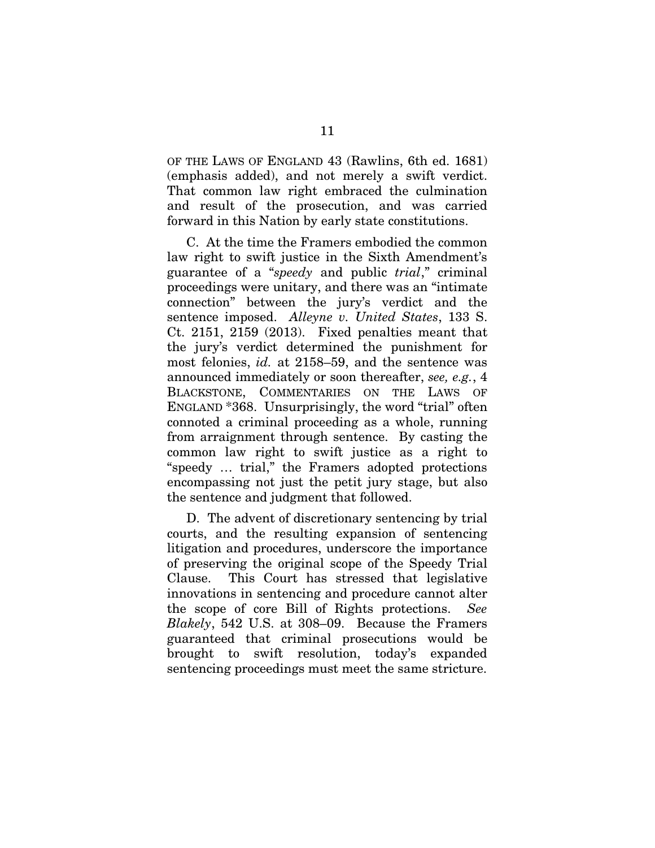OF THE LAWS OF ENGLAND 43 (Rawlins, 6th ed. 1681) (emphasis added), and not merely a swift verdict. That common law right embraced the culmination and result of the prosecution, and was carried forward in this Nation by early state constitutions.

C. At the time the Framers embodied the common law right to swift justice in the Sixth Amendment's guarantee of a "*speedy* and public *trial*," criminal proceedings were unitary, and there was an "intimate connection" between the jury's verdict and the sentence imposed. *Alleyne v. United States*, 133 S. Ct. 2151, 2159 (2013). Fixed penalties meant that the jury's verdict determined the punishment for most felonies, *id.* at 2158–59, and the sentence was announced immediately or soon thereafter, *see, e.g.*, 4 BLACKSTONE, COMMENTARIES ON THE LAWS OF ENGLAND \*368. Unsurprisingly, the word "trial" often connoted a criminal proceeding as a whole, running from arraignment through sentence. By casting the common law right to swift justice as a right to "speedy … trial," the Framers adopted protections encompassing not just the petit jury stage, but also the sentence and judgment that followed.

D. The advent of discretionary sentencing by trial courts, and the resulting expansion of sentencing litigation and procedures, underscore the importance of preserving the original scope of the Speedy Trial Clause. This Court has stressed that legislative innovations in sentencing and procedure cannot alter the scope of core Bill of Rights protections. *See Blakely*, 542 U.S. at 308–09. Because the Framers guaranteed that criminal prosecutions would be brought to swift resolution, today's expanded sentencing proceedings must meet the same stricture.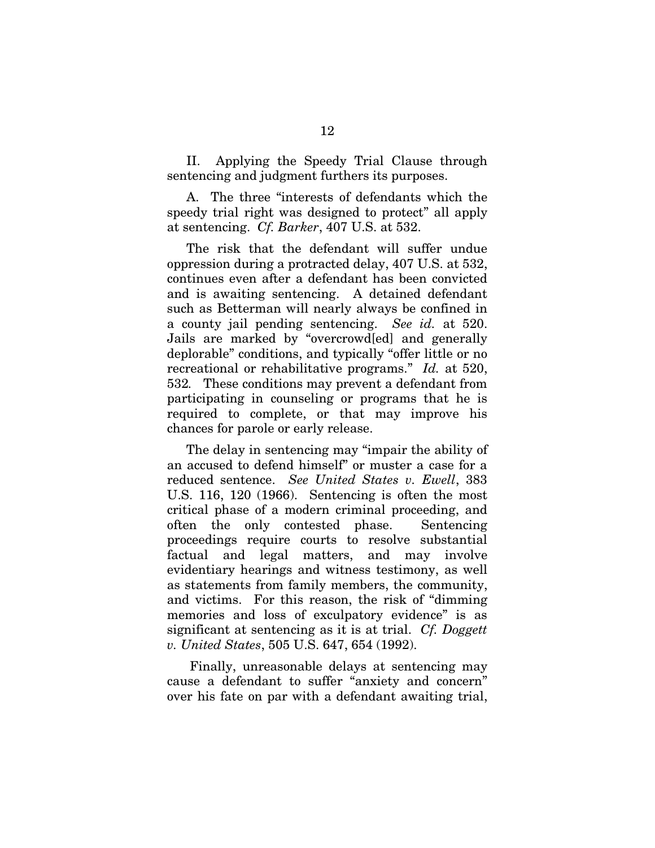II. Applying the Speedy Trial Clause through sentencing and judgment furthers its purposes.

A. The three "interests of defendants which the speedy trial right was designed to protect" all apply at sentencing. *Cf. Barker*, 407 U.S. at 532.

The risk that the defendant will suffer undue oppression during a protracted delay, 407 U.S. at 532, continues even after a defendant has been convicted and is awaiting sentencing. A detained defendant such as Betterman will nearly always be confined in a county jail pending sentencing. *See id.* at 520. Jails are marked by "overcrowd[ed] and generally deplorable" conditions, and typically "offer little or no recreational or rehabilitative programs." *Id.* at 520, 532*.* These conditions may prevent a defendant from participating in counseling or programs that he is required to complete, or that may improve his chances for parole or early release.

The delay in sentencing may "impair the ability of an accused to defend himself" or muster a case for a reduced sentence. *See United States v. Ewell*, 383 U.S. 116, 120 (1966). Sentencing is often the most critical phase of a modern criminal proceeding, and often the only contested phase. Sentencing proceedings require courts to resolve substantial factual and legal matters, and may involve evidentiary hearings and witness testimony, as well as statements from family members, the community, and victims. For this reason, the risk of "dimming memories and loss of exculpatory evidence" is as significant at sentencing as it is at trial. *Cf. Doggett v. United States*, 505 U.S. 647, 654 (1992).

Finally, unreasonable delays at sentencing may cause a defendant to suffer "anxiety and concern" over his fate on par with a defendant awaiting trial,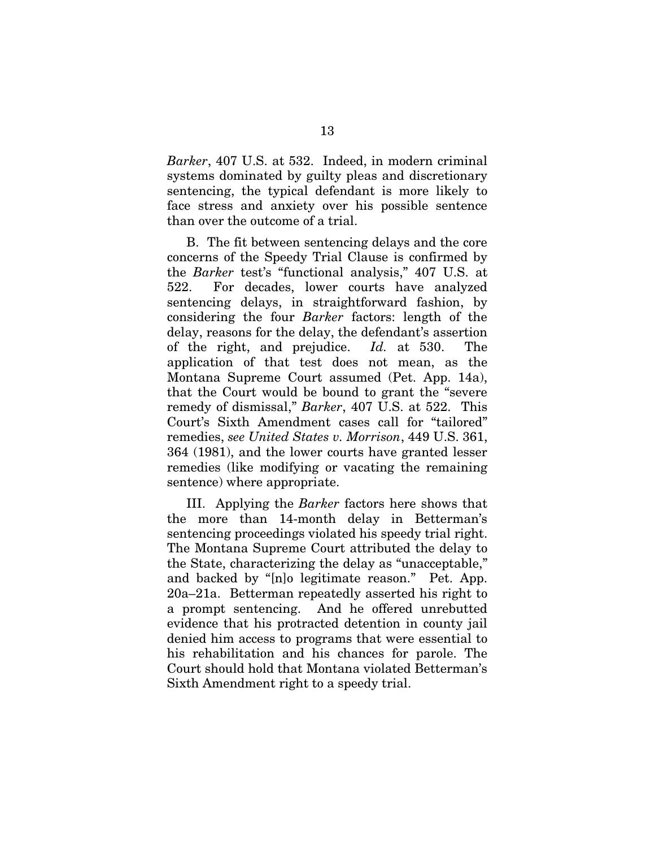*Barker*, 407 U.S. at 532. Indeed, in modern criminal systems dominated by guilty pleas and discretionary sentencing, the typical defendant is more likely to face stress and anxiety over his possible sentence than over the outcome of a trial.

B. The fit between sentencing delays and the core concerns of the Speedy Trial Clause is confirmed by the *Barker* test's "functional analysis," 407 U.S. at 522. For decades, lower courts have analyzed sentencing delays, in straightforward fashion, by considering the four *Barker* factors: length of the delay, reasons for the delay, the defendant's assertion of the right, and prejudice. *Id.* at 530. The application of that test does not mean, as the Montana Supreme Court assumed (Pet. App. 14a), that the Court would be bound to grant the "severe remedy of dismissal," *Barker*, 407 U.S. at 522. This Court's Sixth Amendment cases call for "tailored" remedies, *see United States v. Morrison*, 449 U.S. 361, 364 (1981), and the lower courts have granted lesser remedies (like modifying or vacating the remaining sentence) where appropriate.

III. Applying the *Barker* factors here shows that the more than 14-month delay in Betterman's sentencing proceedings violated his speedy trial right. The Montana Supreme Court attributed the delay to the State, characterizing the delay as "unacceptable," and backed by "[n]o legitimate reason." Pet. App. 20a–21a. Betterman repeatedly asserted his right to a prompt sentencing. And he offered unrebutted evidence that his protracted detention in county jail denied him access to programs that were essential to his rehabilitation and his chances for parole. The Court should hold that Montana violated Betterman's Sixth Amendment right to a speedy trial.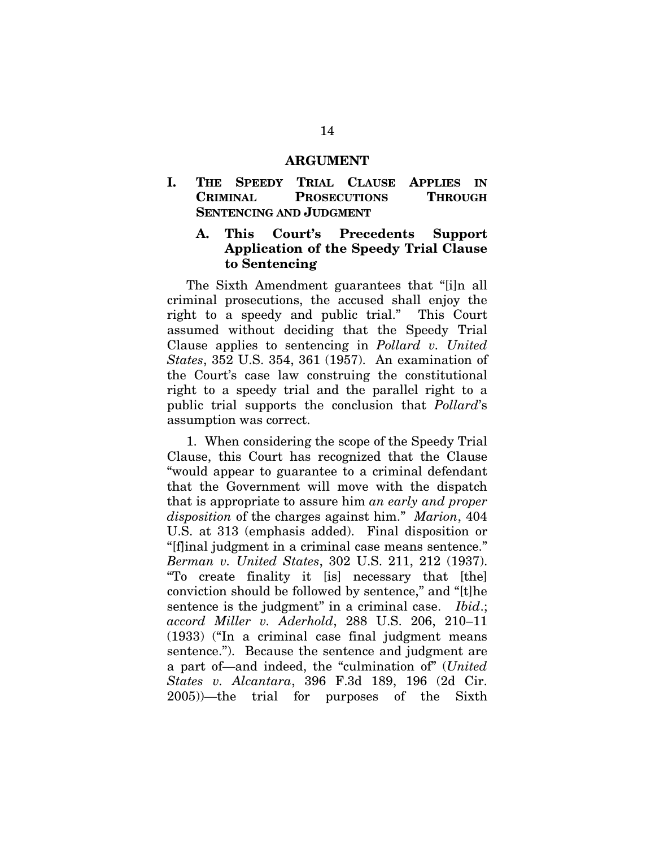#### ARGUMENT

I. THE SPEEDY TRIAL CLAUSE APPLIES IN CRIMINAL PROSECUTIONS THROUGH SENTENCING AND JUDGMENT

#### A. This Court's Precedents Support Application of the Speedy Trial Clause to Sentencing

The Sixth Amendment guarantees that "[i]n all criminal prosecutions, the accused shall enjoy the right to a speedy and public trial." This Court assumed without deciding that the Speedy Trial Clause applies to sentencing in *Pollard v. United States*, 352 U.S. 354, 361 (1957). An examination of the Court's case law construing the constitutional right to a speedy trial and the parallel right to a public trial supports the conclusion that *Pollard*'s assumption was correct.

1. When considering the scope of the Speedy Trial Clause, this Court has recognized that the Clause "would appear to guarantee to a criminal defendant that the Government will move with the dispatch that is appropriate to assure him *an early and proper disposition* of the charges against him." *Marion*, 404 U.S. at 313 (emphasis added). Final disposition or "[f]inal judgment in a criminal case means sentence." *Berman v. United States*, 302 U.S. 211, 212 (1937). "To create finality it [is] necessary that [the] conviction should be followed by sentence," and "[t]he sentence is the judgment" in a criminal case. *Ibid*.; *accord Miller v. Aderhold*, 288 U.S. 206, 210–11 (1933) ("In a criminal case final judgment means sentence."). Because the sentence and judgment are a part of—and indeed, the "culmination of" (*United States v. Alcantara*, 396 F.3d 189, 196 (2d Cir. 2005))—the trial for purposes of the Sixth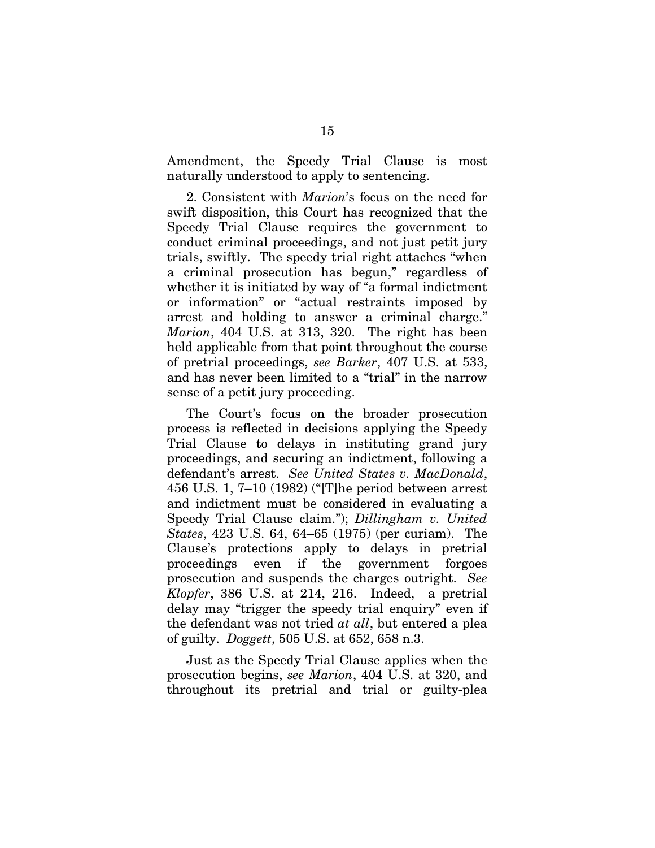Amendment, the Speedy Trial Clause is most naturally understood to apply to sentencing.

2. Consistent with *Marion*'s focus on the need for swift disposition, this Court has recognized that the Speedy Trial Clause requires the government to conduct criminal proceedings, and not just petit jury trials, swiftly. The speedy trial right attaches "when a criminal prosecution has begun," regardless of whether it is initiated by way of "a formal indictment or information" or "actual restraints imposed by arrest and holding to answer a criminal charge." *Marion*, 404 U.S. at 313, 320. The right has been held applicable from that point throughout the course of pretrial proceedings, *see Barker*, 407 U.S. at 533, and has never been limited to a "trial" in the narrow sense of a petit jury proceeding.

The Court's focus on the broader prosecution process is reflected in decisions applying the Speedy Trial Clause to delays in instituting grand jury proceedings, and securing an indictment, following a defendant's arrest. *See United States v. MacDonald*, 456 U.S. 1, 7–10 (1982) ("[T]he period between arrest and indictment must be considered in evaluating a Speedy Trial Clause claim."); *Dillingham v. United States*, 423 U.S. 64, 64–65 (1975) (per curiam). The Clause's protections apply to delays in pretrial proceedings even if the government forgoes prosecution and suspends the charges outright. *See Klopfer*, 386 U.S. at 214, 216. Indeed, a pretrial delay may "trigger the speedy trial enquiry" even if the defendant was not tried *at all*, but entered a plea of guilty. *Doggett*, 505 U.S. at 652, 658 n.3.

Just as the Speedy Trial Clause applies when the prosecution begins, *see Marion*, 404 U.S. at 320, and throughout its pretrial and trial or guilty-plea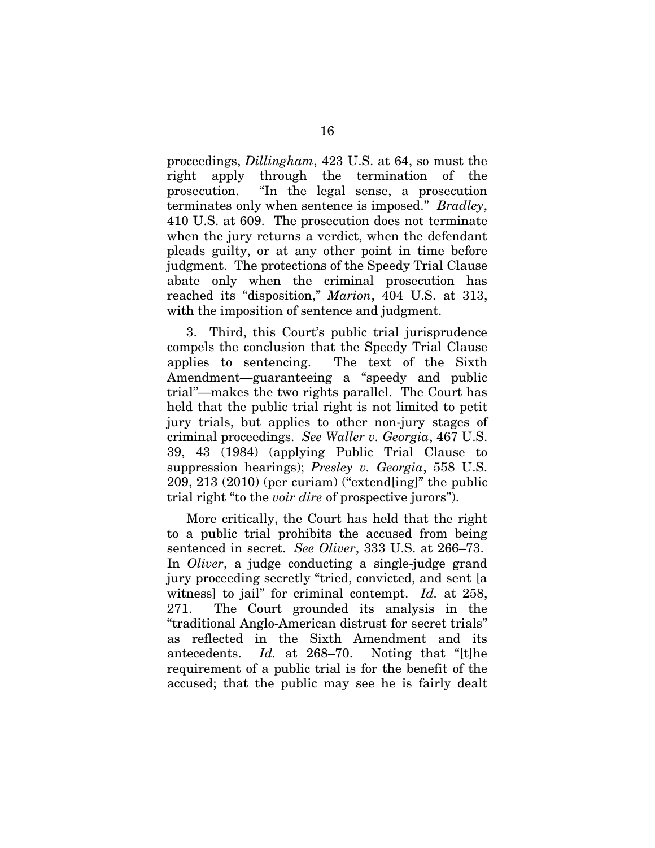proceedings, *Dillingham*, 423 U.S. at 64, so must the right apply through the termination of the prosecution. "In the legal sense, a prosecution terminates only when sentence is imposed." *Bradley*, 410 U.S. at 609. The prosecution does not terminate when the jury returns a verdict, when the defendant pleads guilty, or at any other point in time before judgment. The protections of the Speedy Trial Clause abate only when the criminal prosecution has reached its "disposition," *Marion*, 404 U.S. at 313, with the imposition of sentence and judgment.

3. Third, this Court's public trial jurisprudence compels the conclusion that the Speedy Trial Clause applies to sentencing. The text of the Sixth Amendment—guaranteeing a "speedy and public trial"—makes the two rights parallel. The Court has held that the public trial right is not limited to petit jury trials, but applies to other non-jury stages of criminal proceedings. *See Waller v. Georgia*, 467 U.S. 39, 43 (1984) (applying Public Trial Clause to suppression hearings); *Presley v. Georgia*, 558 U.S. 209, 213 (2010) (per curiam) ("extend[ing]" the public trial right "to the *voir dire* of prospective jurors").

More critically, the Court has held that the right to a public trial prohibits the accused from being sentenced in secret. *See Oliver*, 333 U.S. at 266–73. In *Oliver*, a judge conducting a single-judge grand jury proceeding secretly "tried, convicted, and sent [a witness] to jail" for criminal contempt. *Id.* at 258, 271. The Court grounded its analysis in the "traditional Anglo-American distrust for secret trials" as reflected in the Sixth Amendment and its antecedents. *Id.* at 268–70. Noting that "[t]he requirement of a public trial is for the benefit of the accused; that the public may see he is fairly dealt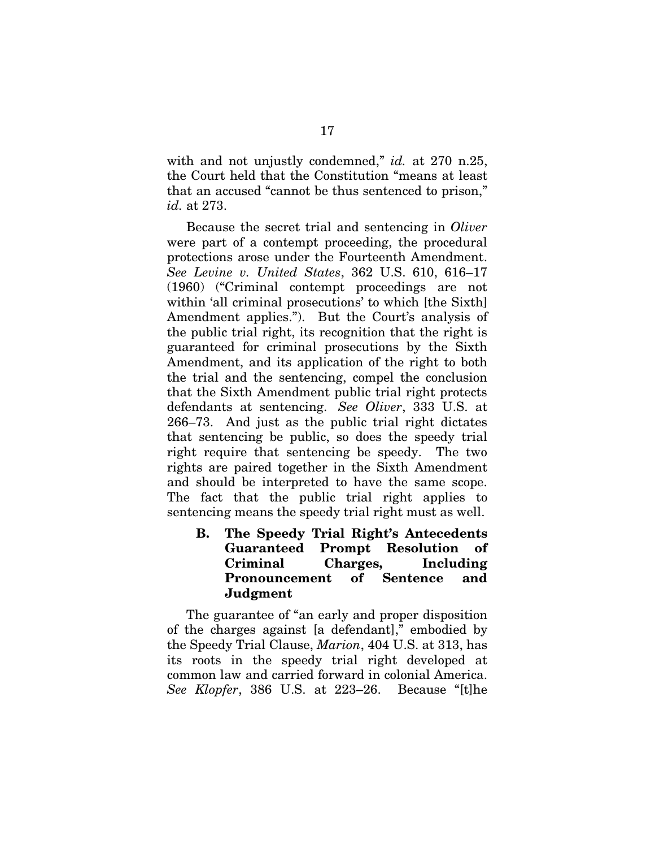with and not unjustly condemned," *id.* at 270 n.25, the Court held that the Constitution "means at least that an accused "cannot be thus sentenced to prison," *id.* at 273.

Because the secret trial and sentencing in *Oliver* were part of a contempt proceeding, the procedural protections arose under the Fourteenth Amendment. *See Levine v. United States*, 362 U.S. 610, 616–17 (1960) ("Criminal contempt proceedings are not within 'all criminal prosecutions' to which [the Sixth] Amendment applies."). But the Court's analysis of the public trial right, its recognition that the right is guaranteed for criminal prosecutions by the Sixth Amendment, and its application of the right to both the trial and the sentencing, compel the conclusion that the Sixth Amendment public trial right protects defendants at sentencing. *See Oliver*, 333 U.S. at 266–73. And just as the public trial right dictates that sentencing be public, so does the speedy trial right require that sentencing be speedy. The two rights are paired together in the Sixth Amendment and should be interpreted to have the same scope. The fact that the public trial right applies to sentencing means the speedy trial right must as well.

B. The Speedy Trial Right's Antecedents Guaranteed Prompt Resolution of Criminal Charges, Including Pronouncement of Sentence and Judgment

The guarantee of "an early and proper disposition of the charges against [a defendant]," embodied by the Speedy Trial Clause, *Marion*, 404 U.S. at 313, has its roots in the speedy trial right developed at common law and carried forward in colonial America. *See Klopfer*, 386 U.S. at 223–26. Because "[t]he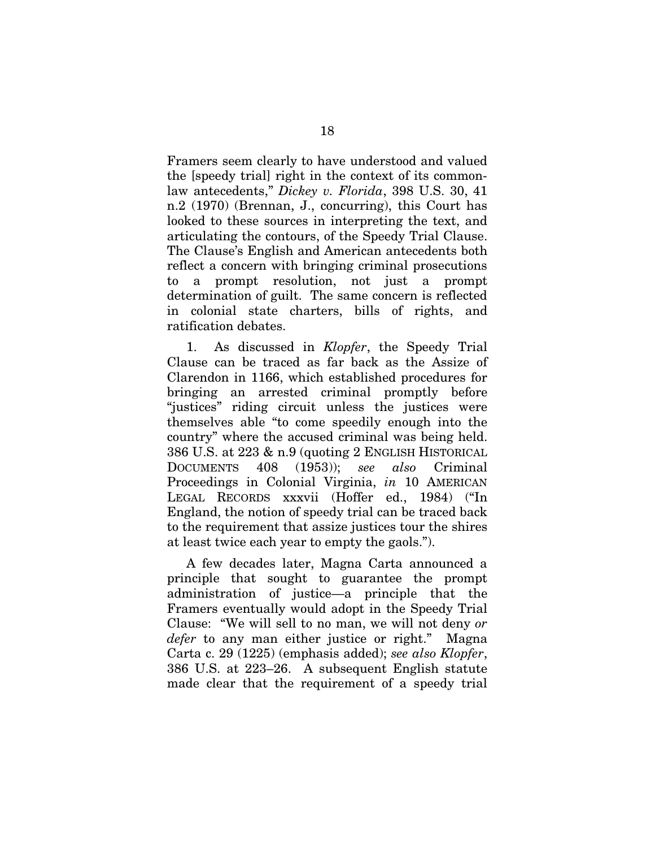Framers seem clearly to have understood and valued the [speedy trial] right in the context of its commonlaw antecedents," *Dickey v. Florida*, 398 U.S. 30, 41 n.2 (1970) (Brennan, J., concurring), this Court has looked to these sources in interpreting the text, and articulating the contours, of the Speedy Trial Clause. The Clause's English and American antecedents both reflect a concern with bringing criminal prosecutions to a prompt resolution, not just a prompt determination of guilt. The same concern is reflected in colonial state charters, bills of rights, and ratification debates.

1. As discussed in *Klopfer*, the Speedy Trial Clause can be traced as far back as the Assize of Clarendon in 1166, which established procedures for bringing an arrested criminal promptly before "justices" riding circuit unless the justices were themselves able "to come speedily enough into the country" where the accused criminal was being held. 386 U.S. at 223 & n.9 (quoting 2 ENGLISH HISTORICAL DOCUMENTS 408 (1953)); *see also* Criminal Proceedings in Colonial Virginia, *in* 10 AMERICAN LEGAL RECORDS xxxvii (Hoffer ed., 1984) ("In England, the notion of speedy trial can be traced back to the requirement that assize justices tour the shires at least twice each year to empty the gaols.").

A few decades later, Magna Carta announced a principle that sought to guarantee the prompt administration of justice—a principle that the Framers eventually would adopt in the Speedy Trial Clause: "We will sell to no man, we will not deny *or defer* to any man either justice or right." Magna Carta c. 29 (1225) (emphasis added); *see also Klopfer*, 386 U.S. at 223–26. A subsequent English statute made clear that the requirement of a speedy trial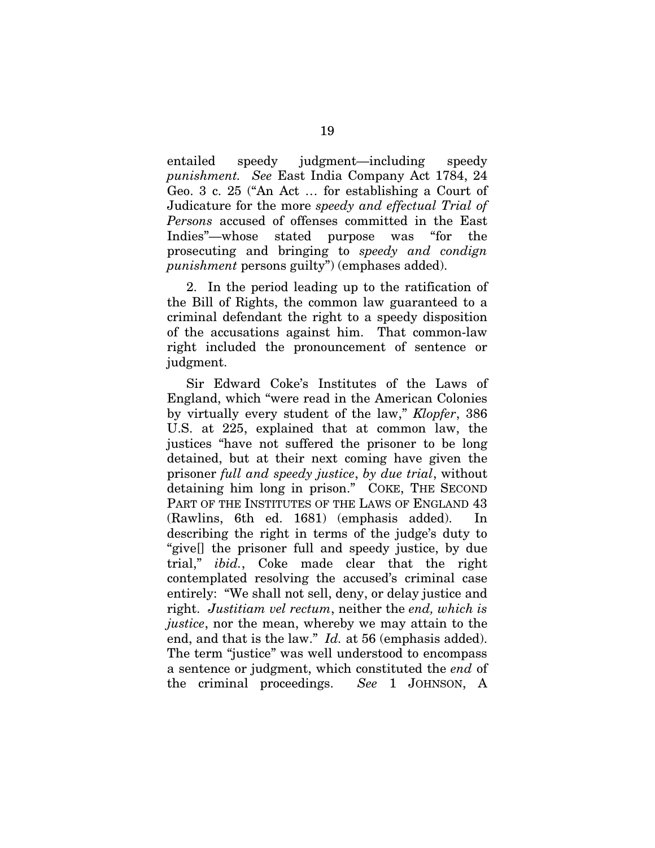entailed speedy judgment—including speedy *punishment. See* East India Company Act 1784, 24 Geo. 3 c. 25 ("An Act … for establishing a Court of Judicature for the more *speedy and effectual Trial of Persons* accused of offenses committed in the East Indies"—whose stated purpose was "for the prosecuting and bringing to *speedy and condign punishment* persons guilty") (emphases added).

2. In the period leading up to the ratification of the Bill of Rights, the common law guaranteed to a criminal defendant the right to a speedy disposition of the accusations against him. That common-law right included the pronouncement of sentence or judgment.

Sir Edward Coke's Institutes of the Laws of England, which "were read in the American Colonies by virtually every student of the law," *Klopfer*, 386 U.S. at 225, explained that at common law, the justices "have not suffered the prisoner to be long detained, but at their next coming have given the prisoner *full and speedy justice*, *by due trial*, without detaining him long in prison." COKE, THE SECOND PART OF THE INSTITUTES OF THE LAWS OF ENGLAND 43 (Rawlins, 6th ed. 1681) (emphasis added). In describing the right in terms of the judge's duty to "give[] the prisoner full and speedy justice, by due trial," *ibid.*, Coke made clear that the right contemplated resolving the accused's criminal case entirely: "We shall not sell, deny, or delay justice and right. *Justitiam vel rectum*, neither the *end, which is justice*, nor the mean, whereby we may attain to the end, and that is the law." *Id.* at 56 (emphasis added). The term "justice" was well understood to encompass a sentence or judgment, which constituted the *end* of the criminal proceedings. *See* 1 JOHNSON, A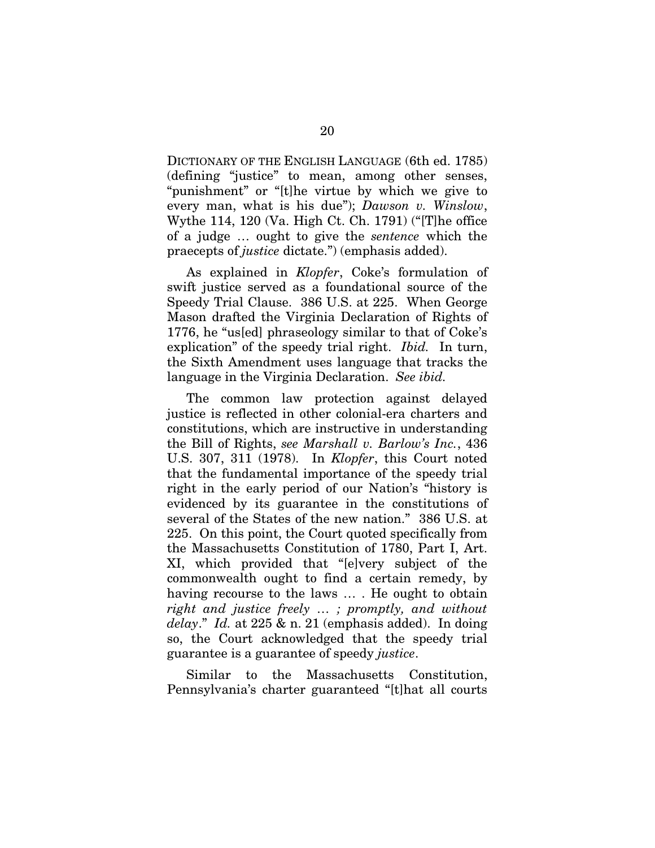DICTIONARY OF THE ENGLISH LANGUAGE (6th ed. 1785) (defining "justice" to mean, among other senses, "punishment" or "[t]he virtue by which we give to every man, what is his due"); *Dawson v. Winslow*, Wythe 114, 120 (Va. High Ct. Ch. 1791) ("[T]he office of a judge … ought to give the *sentence* which the praecepts of *justice* dictate.") (emphasis added).

As explained in *Klopfer*, Coke's formulation of swift justice served as a foundational source of the Speedy Trial Clause. 386 U.S. at 225. When George Mason drafted the Virginia Declaration of Rights of 1776, he "us[ed] phraseology similar to that of Coke's explication" of the speedy trial right. *Ibid.* In turn, the Sixth Amendment uses language that tracks the language in the Virginia Declaration. *See ibid.*

The common law protection against delayed justice is reflected in other colonial-era charters and constitutions, which are instructive in understanding the Bill of Rights, *see Marshall v. Barlow's Inc.*, 436 U.S. 307, 311 (1978). In *Klopfer*, this Court noted that the fundamental importance of the speedy trial right in the early period of our Nation's "history is evidenced by its guarantee in the constitutions of several of the States of the new nation." 386 U.S. at 225. On this point, the Court quoted specifically from the Massachusetts Constitution of 1780, Part I, Art. XI, which provided that "[e]very subject of the commonwealth ought to find a certain remedy, by having recourse to the laws … . He ought to obtain *right and justice freely … ; promptly, and without delay*." *Id.* at 225 & n. 21 (emphasis added). In doing so, the Court acknowledged that the speedy trial guarantee is a guarantee of speedy *justice*.

Similar to the Massachusetts Constitution, Pennsylvania's charter guaranteed "[t]hat all courts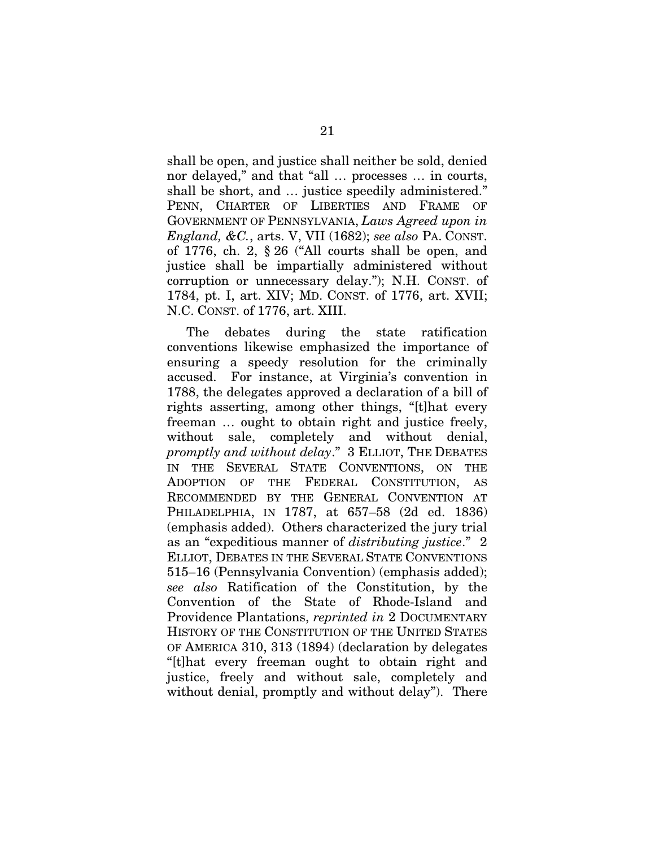shall be open, and justice shall neither be sold, denied nor delayed," and that "all … processes … in courts, shall be short, and … justice speedily administered." PENN, CHARTER OF LIBERTIES AND FRAME OF GOVERNMENT OF PENNSYLVANIA, *Laws Agreed upon in England, &C.*, arts. V, VII (1682); *see also* PA. CONST. of 1776, ch. 2, § 26 ("All courts shall be open, and justice shall be impartially administered without corruption or unnecessary delay."); N.H. CONST. of 1784, pt. I, art. XIV; MD. CONST. of 1776, art. XVII; N.C. CONST. of 1776, art. XIII.

The debates during the state ratification conventions likewise emphasized the importance of ensuring a speedy resolution for the criminally accused. For instance, at Virginia's convention in 1788, the delegates approved a declaration of a bill of rights asserting, among other things, "[t]hat every freeman … ought to obtain right and justice freely, without sale, completely and without denial, *promptly and without delay*." 3 ELLIOT, THE DEBATES IN THE SEVERAL STATE CONVENTIONS, ON THE ADOPTION OF THE FEDERAL CONSTITUTION, AS RECOMMENDED BY THE GENERAL CONVENTION AT PHILADELPHIA, IN 1787, at 657–58 (2d ed. 1836) (emphasis added). Others characterized the jury trial as an "expeditious manner of *distributing justice*." 2 ELLIOT, DEBATES IN THE SEVERAL STATE CONVENTIONS 515–16 (Pennsylvania Convention) (emphasis added); *see also* Ratification of the Constitution, by the Convention of the State of Rhode-Island and Providence Plantations, *reprinted in* 2 DOCUMENTARY HISTORY OF THE CONSTITUTION OF THE UNITED STATES OF AMERICA 310, 313 (1894) (declaration by delegates "[t]hat every freeman ought to obtain right and justice, freely and without sale, completely and without denial, promptly and without delay"). There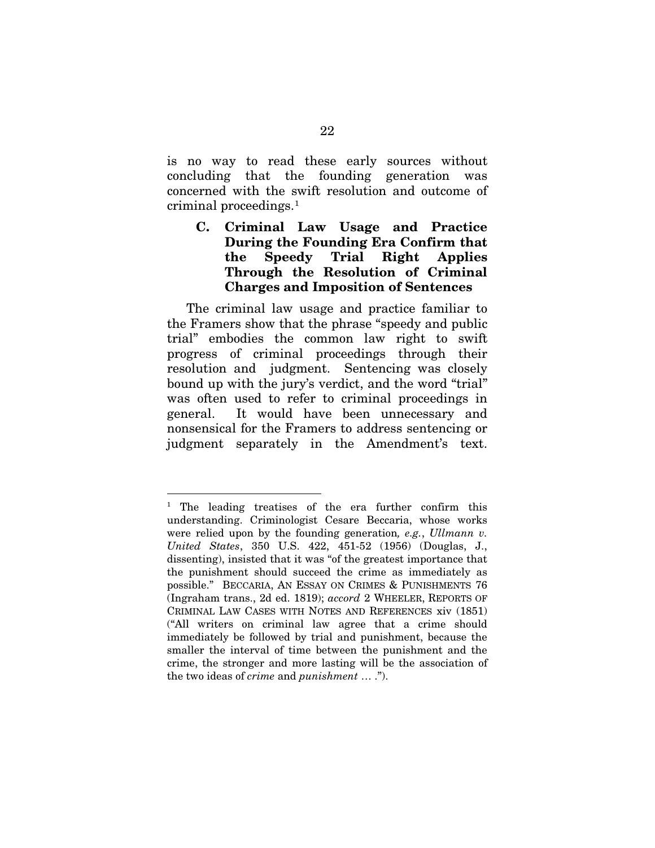is no way to read these early sources without concluding that the founding generation was concerned with the swift resolution and outcome of criminal proceedings.<sup>1</sup>

# C. Criminal Law Usage and Practice During the Founding Era Confirm that the Speedy Trial Right Applies Through the Resolution of Criminal Charges and Imposition of Sentences

The criminal law usage and practice familiar to the Framers show that the phrase "speedy and public trial" embodies the common law right to swift progress of criminal proceedings through their resolution and judgment. Sentencing was closely bound up with the jury's verdict, and the word "trial" was often used to refer to criminal proceedings in general. It would have been unnecessary and nonsensical for the Framers to address sentencing or judgment separately in the Amendment's text.

<sup>&</sup>lt;sup>1</sup> The leading treatises of the era further confirm this understanding. Criminologist Cesare Beccaria, whose works were relied upon by the founding generation*, e.g.*, *Ullmann v. United States*, 350 U.S. 422, 451-52 (1956) (Douglas, J., dissenting), insisted that it was "of the greatest importance that the punishment should succeed the crime as immediately as possible." BECCARIA, AN ESSAY ON CRIMES & PUNISHMENTS 76 (Ingraham trans., 2d ed. 1819); *accord* 2 WHEELER, REPORTS OF CRIMINAL LAW CASES WITH NOTES AND REFERENCES xiv (1851) ("All writers on criminal law agree that a crime should immediately be followed by trial and punishment, because the smaller the interval of time between the punishment and the crime, the stronger and more lasting will be the association of the two ideas of *crime* and *punishment* … .").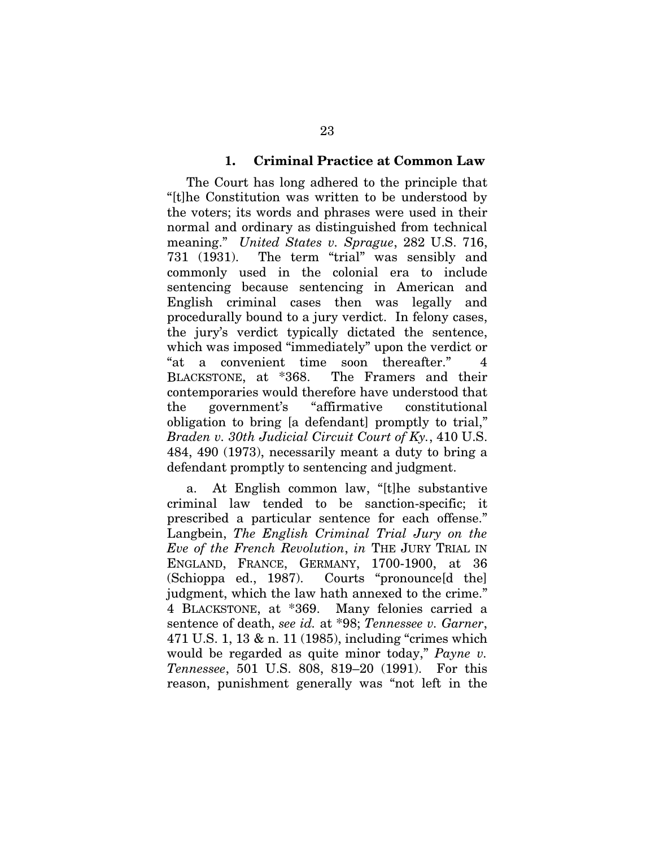#### 1. Criminal Practice at Common Law

The Court has long adhered to the principle that "[t]he Constitution was written to be understood by the voters; its words and phrases were used in their normal and ordinary as distinguished from technical meaning." *United States v. Sprague*, 282 U.S. 716, 731 (1931). The term "trial" was sensibly and commonly used in the colonial era to include sentencing because sentencing in American and English criminal cases then was legally and procedurally bound to a jury verdict. In felony cases, the jury's verdict typically dictated the sentence, which was imposed "immediately" upon the verdict or "at a convenient time soon thereafter." 4 BLACKSTONE, at \*368. The Framers and their contemporaries would therefore have understood that the government's "affirmative constitutional obligation to bring [a defendant] promptly to trial," *Braden v. 30th Judicial Circuit Court of Ky.*, 410 U.S. 484, 490 (1973), necessarily meant a duty to bring a defendant promptly to sentencing and judgment.

a. At English common law, "[t]he substantive criminal law tended to be sanction-specific; it prescribed a particular sentence for each offense." Langbein, *The English Criminal Trial Jury on the Eve of the French Revolution*, *in* THE JURY TRIAL IN ENGLAND, FRANCE, GERMANY, 1700-1900, at 36 (Schioppa ed., 1987). Courts "pronounce d the judgment, which the law hath annexed to the crime." 4 BLACKSTONE, at \*369. Many felonies carried a sentence of death, *see id.* at \*98; *Tennessee v. Garner*, 471 U.S. 1, 13 & n. 11 (1985), including "crimes which would be regarded as quite minor today," *Payne v. Tennessee*, 501 U.S. 808, 819–20 (1991). For this reason, punishment generally was "not left in the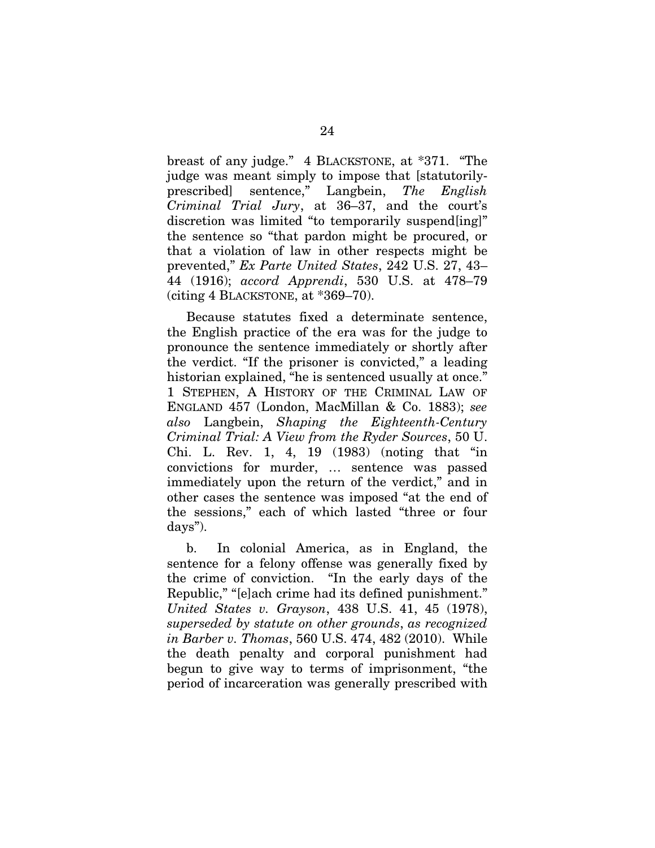breast of any judge." 4 BLACKSTONE, at \*371. "The judge was meant simply to impose that [statutorilyprescribed] sentence," Langbein, *The English Criminal Trial Jury*, at 36–37, and the court's discretion was limited "to temporarily suspend[ing]" the sentence so "that pardon might be procured, or that a violation of law in other respects might be prevented," *Ex Parte United States*, 242 U.S. 27, 43– 44 (1916); *accord Apprendi*, 530 U.S. at 478–79 (citing 4 BLACKSTONE, at \*369–70).

Because statutes fixed a determinate sentence, the English practice of the era was for the judge to pronounce the sentence immediately or shortly after the verdict. "If the prisoner is convicted," a leading historian explained, "he is sentenced usually at once." 1 STEPHEN, A HISTORY OF THE CRIMINAL LAW OF ENGLAND 457 (London, MacMillan & Co. 1883); *see also* Langbein, *Shaping the Eighteenth-Century Criminal Trial: A View from the Ryder Sources*, 50 U. Chi. L. Rev. 1, 4, 19 (1983) (noting that "in convictions for murder, … sentence was passed immediately upon the return of the verdict," and in other cases the sentence was imposed "at the end of the sessions," each of which lasted "three or four days").

b. In colonial America, as in England, the sentence for a felony offense was generally fixed by the crime of conviction. "In the early days of the Republic," "[e]ach crime had its defined punishment." *United States v. Grayson*, 438 U.S. 41, 45 (1978), *superseded by statute on other grounds*, *as recognized in Barber v. Thomas*, 560 U.S. 474, 482 (2010). While the death penalty and corporal punishment had begun to give way to terms of imprisonment, "the period of incarceration was generally prescribed with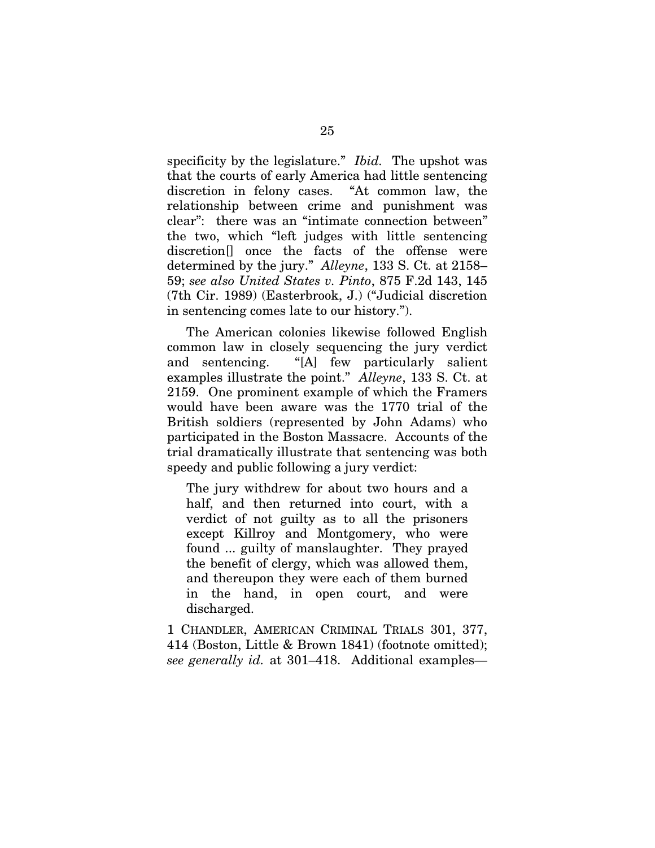specificity by the legislature." *Ibid.* The upshot was that the courts of early America had little sentencing discretion in felony cases. "At common law, the relationship between crime and punishment was clear": there was an "intimate connection between" the two, which "left judges with little sentencing discretion<sup>[]</sup> once the facts of the offense were determined by the jury." *Alleyne*, 133 S. Ct. at 2158– 59; *see also United States v. Pinto*, 875 F.2d 143, 145 (7th Cir. 1989) (Easterbrook, J.) ("Judicial discretion in sentencing comes late to our history.").

The American colonies likewise followed English common law in closely sequencing the jury verdict and sentencing. "[A] few particularly salient examples illustrate the point." *Alleyne*, 133 S. Ct. at 2159. One prominent example of which the Framers would have been aware was the 1770 trial of the British soldiers (represented by John Adams) who participated in the Boston Massacre. Accounts of the trial dramatically illustrate that sentencing was both speedy and public following a jury verdict:

The jury withdrew for about two hours and a half, and then returned into court, with a verdict of not guilty as to all the prisoners except Killroy and Montgomery, who were found ... guilty of manslaughter. They prayed the benefit of clergy, which was allowed them, and thereupon they were each of them burned in the hand, in open court, and were discharged.

1 CHANDLER, AMERICAN CRIMINAL TRIALS 301, 377, 414 (Boston, Little & Brown 1841) (footnote omitted); *see generally id.* at 301–418. Additional examples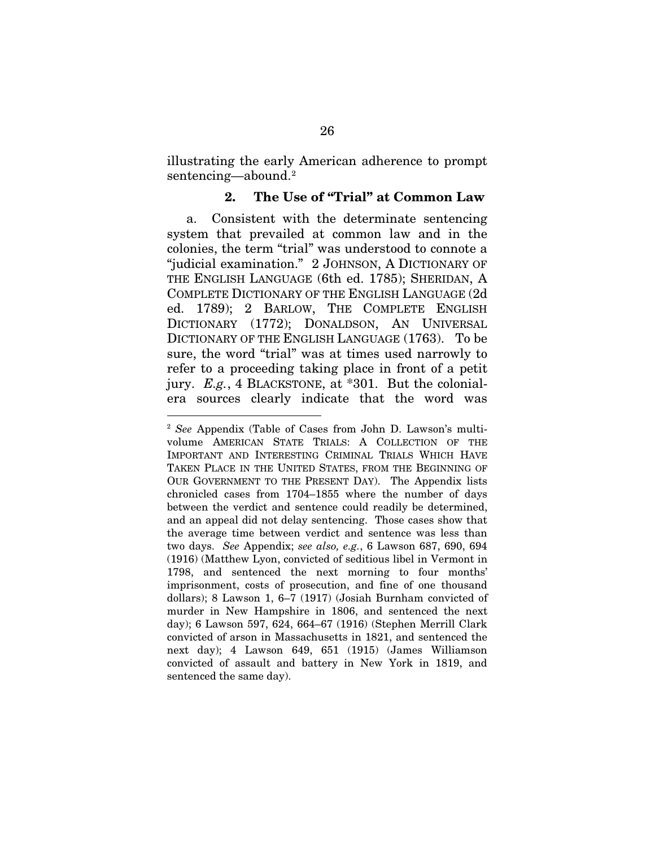illustrating the early American adherence to prompt sentencing—abound.<sup>2</sup>

### 2. The Use of "Trial" at Common Law

a. Consistent with the determinate sentencing system that prevailed at common law and in the colonies, the term "trial" was understood to connote a "judicial examination." 2 JOHNSON, A DICTIONARY OF THE ENGLISH LANGUAGE (6th ed. 1785); SHERIDAN, A COMPLETE DICTIONARY OF THE ENGLISH LANGUAGE (2d ed. 1789); 2 BARLOW, THE COMPLETE ENGLISH DICTIONARY (1772); DONALDSON, AN UNIVERSAL DICTIONARY OF THE ENGLISH LANGUAGE (1763). To be sure, the word "trial" was at times used narrowly to refer to a proceeding taking place in front of a petit jury. *E.g.*, 4 BLACKSTONE, at \*301. But the colonialera sources clearly indicate that the word was

 <sup>2</sup> *See* Appendix (Table of Cases from John D. Lawson's multivolume AMERICAN STATE TRIALS: A COLLECTION OF THE IMPORTANT AND INTERESTING CRIMINAL TRIALS WHICH HAVE TAKEN PLACE IN THE UNITED STATES, FROM THE BEGINNING OF OUR GOVERNMENT TO THE PRESENT DAY). The Appendix lists chronicled cases from 1704–1855 where the number of days between the verdict and sentence could readily be determined, and an appeal did not delay sentencing. Those cases show that the average time between verdict and sentence was less than two days. *See* Appendix; *see also, e.g.*, 6 Lawson 687, 690, 694 (1916) (Matthew Lyon, convicted of seditious libel in Vermont in 1798, and sentenced the next morning to four months' imprisonment, costs of prosecution, and fine of one thousand dollars); 8 Lawson 1, 6–7 (1917) (Josiah Burnham convicted of murder in New Hampshire in 1806, and sentenced the next day); 6 Lawson 597, 624, 664–67 (1916) (Stephen Merrill Clark convicted of arson in Massachusetts in 1821, and sentenced the next day); 4 Lawson 649, 651 (1915) (James Williamson convicted of assault and battery in New York in 1819, and sentenced the same day).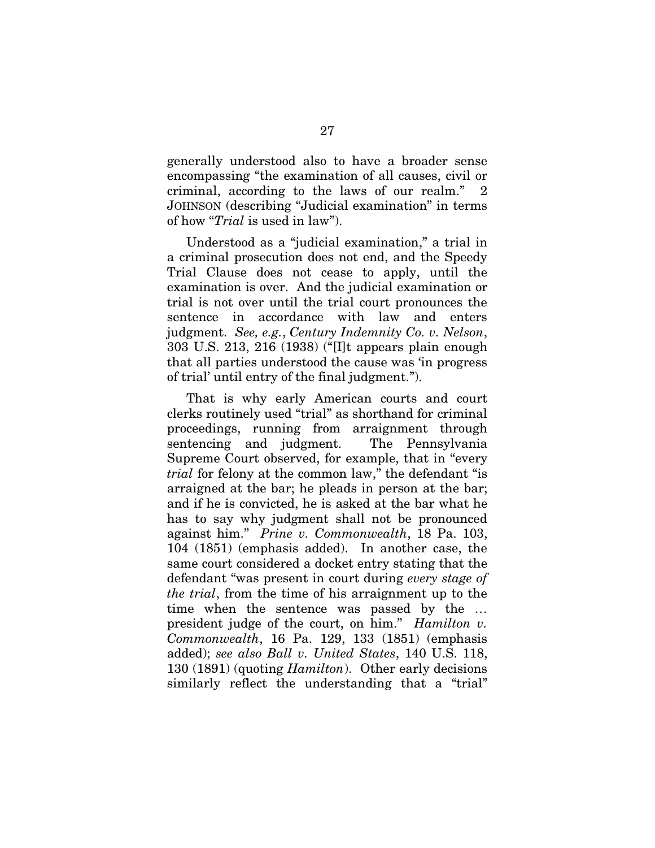generally understood also to have a broader sense encompassing "the examination of all causes, civil or criminal, according to the laws of our realm." 2 JOHNSON (describing "Judicial examination" in terms of how "*Trial* is used in law").

Understood as a "judicial examination," a trial in a criminal prosecution does not end, and the Speedy Trial Clause does not cease to apply, until the examination is over. And the judicial examination or trial is not over until the trial court pronounces the sentence in accordance with law and enters judgment. *See, e.g.*, *Century Indemnity Co. v. Nelson*, 303 U.S. 213, 216 (1938) ("[I]t appears plain enough that all parties understood the cause was 'in progress of trial' until entry of the final judgment.").

That is why early American courts and court clerks routinely used "trial" as shorthand for criminal proceedings, running from arraignment through sentencing and judgment. The Pennsylvania Supreme Court observed, for example, that in "every *trial* for felony at the common law," the defendant "is arraigned at the bar; he pleads in person at the bar; and if he is convicted, he is asked at the bar what he has to say why judgment shall not be pronounced against him." *Prine v. Commonwealth*, 18 Pa. 103, 104 (1851) (emphasis added). In another case, the same court considered a docket entry stating that the defendant "was present in court during *every stage of the trial*, from the time of his arraignment up to the time when the sentence was passed by the … president judge of the court, on him." *Hamilton v. Commonwealth*, 16 Pa. 129, 133 (1851) (emphasis added); *see also Ball v. United States*, 140 U.S. 118, 130 (1891) (quoting *Hamilton*). Other early decisions similarly reflect the understanding that a "trial"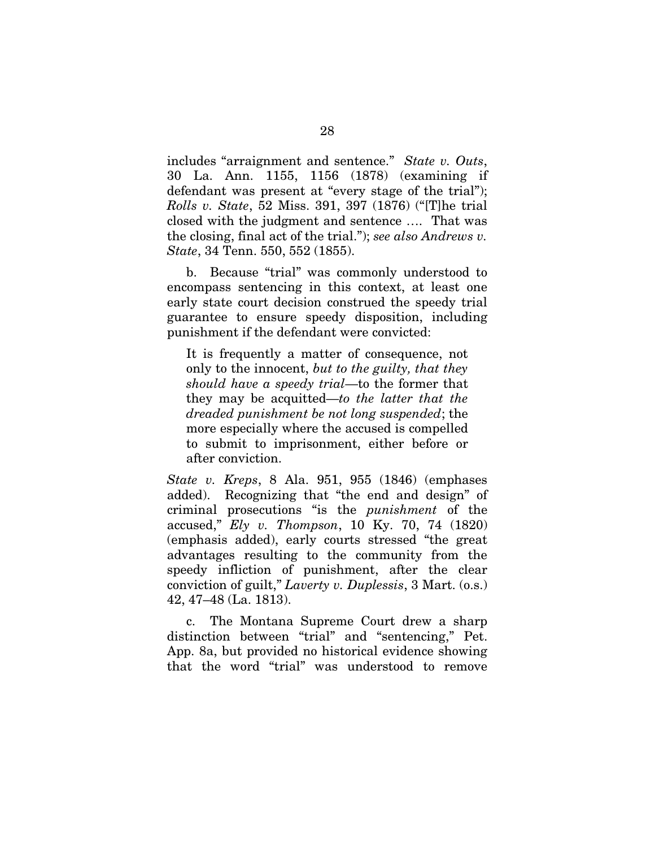includes "arraignment and sentence." *State v. Outs*, 30 La. Ann. 1155, 1156 (1878) (examining if defendant was present at "every stage of the trial"); *Rolls v. State*, 52 Miss. 391, 397 (1876) ("[T]he trial closed with the judgment and sentence …. That was the closing, final act of the trial."); *see also Andrews v. State*, 34 Tenn. 550, 552 (1855).

b. Because "trial" was commonly understood to encompass sentencing in this context, at least one early state court decision construed the speedy trial guarantee to ensure speedy disposition, including punishment if the defendant were convicted:

It is frequently a matter of consequence, not only to the innocent, *but to the guilty, that they should have a speedy trial*—to the former that they may be acquitted—*to the latter that the dreaded punishment be not long suspended*; the more especially where the accused is compelled to submit to imprisonment, either before or after conviction.

*State v. Kreps*, 8 Ala. 951, 955 (1846) (emphases added). Recognizing that "the end and design" of criminal prosecutions "is the *punishment* of the accused," *Ely v. Thompson*, 10 Ky. 70, 74 (1820) (emphasis added), early courts stressed "the great advantages resulting to the community from the speedy infliction of punishment, after the clear conviction of guilt," *Laverty v. Duplessis*, 3 Mart. (o.s.) 42, 47–48 (La. 1813).

c. The Montana Supreme Court drew a sharp distinction between "trial" and "sentencing," Pet. App. 8a, but provided no historical evidence showing that the word "trial" was understood to remove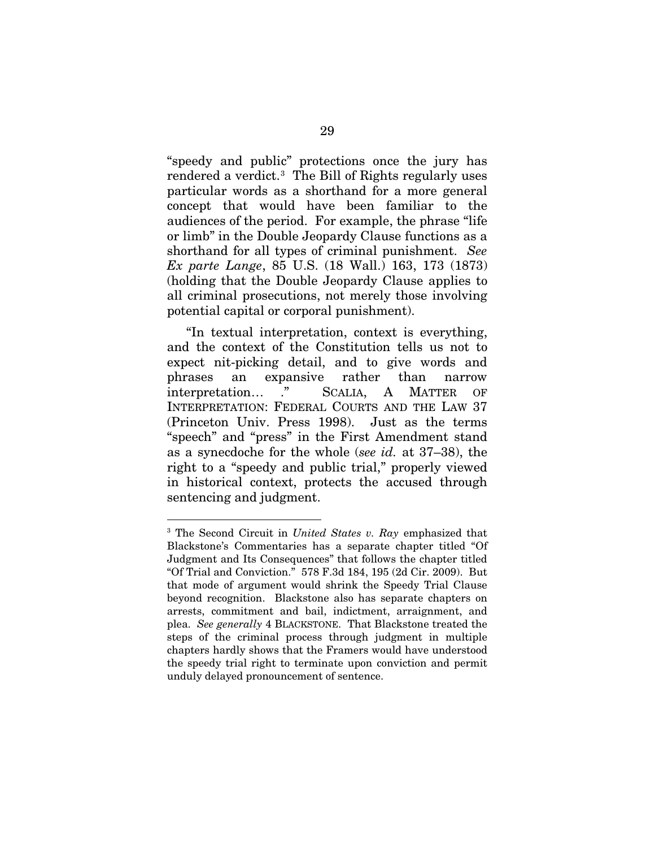"speedy and public" protections once the jury has rendered a verdict.<sup>3</sup> The Bill of Rights regularly uses particular words as a shorthand for a more general concept that would have been familiar to the audiences of the period. For example, the phrase "life or limb" in the Double Jeopardy Clause functions as a shorthand for all types of criminal punishment. *See Ex parte Lange*, 85 U.S. (18 Wall.) 163, 173 (1873) (holding that the Double Jeopardy Clause applies to all criminal prosecutions, not merely those involving potential capital or corporal punishment).

"In textual interpretation, context is everything, and the context of the Constitution tells us not to expect nit-picking detail, and to give words and phrases an expansive rather than narrow interpretation… ." SCALIA, A MATTER OF INTERPRETATION: FEDERAL COURTS AND THE LAW 37 (Princeton Univ. Press 1998). Just as the terms "speech" and "press" in the First Amendment stand as a synecdoche for the whole (*see id.* at 37–38), the right to a "speedy and public trial," properly viewed in historical context, protects the accused through sentencing and judgment.

 <sup>3</sup> The Second Circuit in *United States v. Ray* emphasized that Blackstone's Commentaries has a separate chapter titled "Of Judgment and Its Consequences" that follows the chapter titled "Of Trial and Conviction." 578 F.3d 184, 195 (2d Cir. 2009). But that mode of argument would shrink the Speedy Trial Clause beyond recognition. Blackstone also has separate chapters on arrests, commitment and bail, indictment, arraignment, and plea. *See generally* 4 BLACKSTONE. That Blackstone treated the steps of the criminal process through judgment in multiple chapters hardly shows that the Framers would have understood the speedy trial right to terminate upon conviction and permit unduly delayed pronouncement of sentence.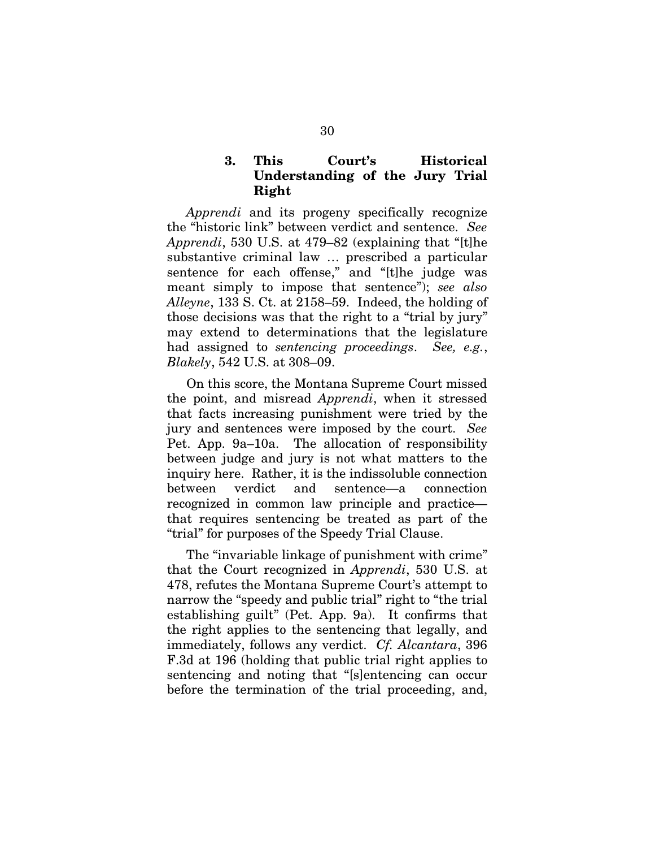# 3. This Court's Historical Understanding of the Jury Trial Right

*Apprendi* and its progeny specifically recognize the "historic link" between verdict and sentence. *See Apprendi*, 530 U.S. at 479–82 (explaining that "[t]he substantive criminal law … prescribed a particular sentence for each offense," and "[t]he judge was meant simply to impose that sentence"); *see also Alleyne*, 133 S. Ct. at 2158–59. Indeed, the holding of those decisions was that the right to a "trial by jury" may extend to determinations that the legislature had assigned to *sentencing proceedings*. *See, e.g.*, *Blakely*, 542 U.S. at 308–09.

On this score, the Montana Supreme Court missed the point, and misread *Apprendi*, when it stressed that facts increasing punishment were tried by the jury and sentences were imposed by the court. *See*  Pet. App. 9a–10a. The allocation of responsibility between judge and jury is not what matters to the inquiry here. Rather, it is the indissoluble connection between verdict and sentence—a connection recognized in common law principle and practice that requires sentencing be treated as part of the "trial" for purposes of the Speedy Trial Clause.

The "invariable linkage of punishment with crime" that the Court recognized in *Apprendi*, 530 U.S. at 478, refutes the Montana Supreme Court's attempt to narrow the "speedy and public trial" right to "the trial establishing guilt" (Pet. App. 9a). It confirms that the right applies to the sentencing that legally, and immediately, follows any verdict. *Cf. Alcantara*, 396 F.3d at 196 (holding that public trial right applies to sentencing and noting that "[s]entencing can occur before the termination of the trial proceeding, and,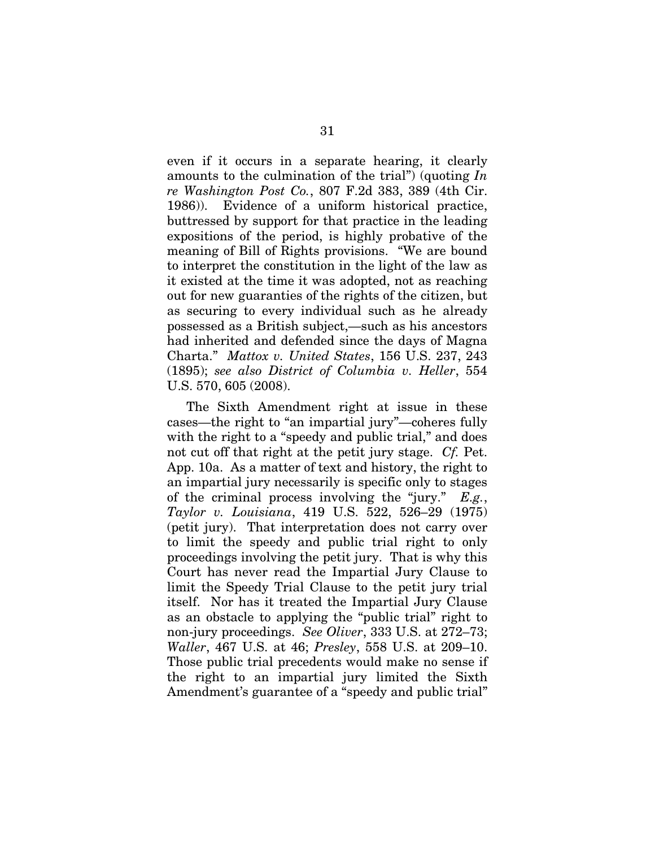even if it occurs in a separate hearing, it clearly amounts to the culmination of the trial") (quoting *In re Washington Post Co.*, 807 F.2d 383, 389 (4th Cir. 1986)). Evidence of a uniform historical practice, buttressed by support for that practice in the leading expositions of the period, is highly probative of the meaning of Bill of Rights provisions. "We are bound to interpret the constitution in the light of the law as it existed at the time it was adopted, not as reaching out for new guaranties of the rights of the citizen, but as securing to every individual such as he already possessed as a British subject,—such as his ancestors had inherited and defended since the days of Magna Charta." *Mattox v. United States*, 156 U.S. 237, 243 (1895); *see also District of Columbia v. Heller*, 554 U.S. 570, 605 (2008).

The Sixth Amendment right at issue in these cases—the right to "an impartial jury"—coheres fully with the right to a "speedy and public trial," and does not cut off that right at the petit jury stage. *Cf.* Pet. App. 10a. As a matter of text and history, the right to an impartial jury necessarily is specific only to stages of the criminal process involving the "jury." *E.g.*, *Taylor v. Louisiana*, 419 U.S. 522, 526–29 (1975) (petit jury). That interpretation does not carry over to limit the speedy and public trial right to only proceedings involving the petit jury. That is why this Court has never read the Impartial Jury Clause to limit the Speedy Trial Clause to the petit jury trial itself. Nor has it treated the Impartial Jury Clause as an obstacle to applying the "public trial" right to non-jury proceedings. *See Oliver*, 333 U.S. at 272–73; *Waller*, 467 U.S. at 46; *Presley*, 558 U.S. at 209–10. Those public trial precedents would make no sense if the right to an impartial jury limited the Sixth Amendment's guarantee of a "speedy and public trial"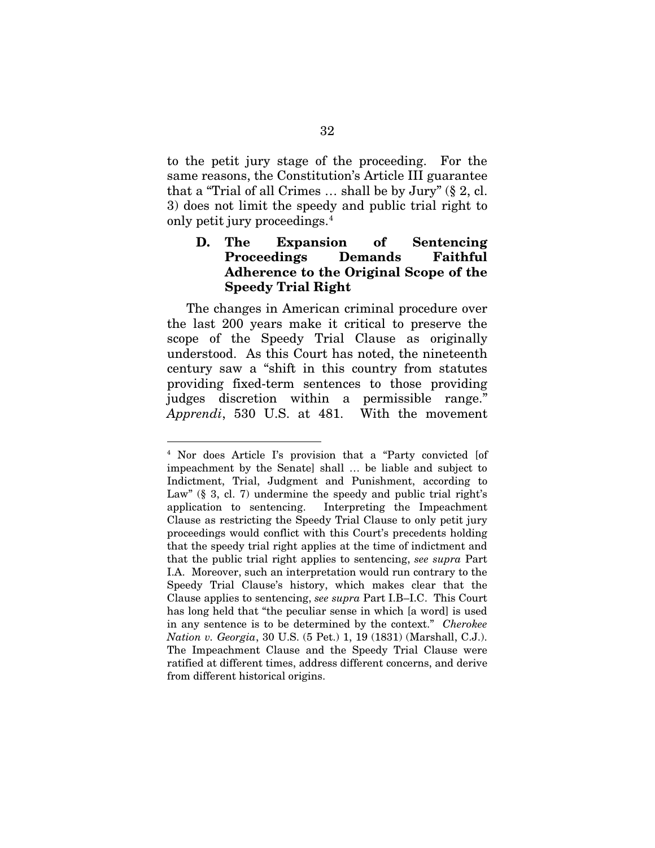to the petit jury stage of the proceeding. For the same reasons, the Constitution's Article III guarantee that a "Trial of all Crimes  $\ldots$  shall be by Jury" (§ 2, cl. 3) does not limit the speedy and public trial right to only petit jury proceedings.4

### D. The Expansion of Sentencing Proceedings Demands Faithful Adherence to the Original Scope of the Speedy Trial Right

The changes in American criminal procedure over the last 200 years make it critical to preserve the scope of the Speedy Trial Clause as originally understood. As this Court has noted, the nineteenth century saw a "shift in this country from statutes providing fixed-term sentences to those providing judges discretion within a permissible range." *Apprendi*, 530 U.S. at 481. With the movement

 <sup>4</sup> Nor does Article I's provision that a "Party convicted [of impeachment by the Senate] shall … be liable and subject to Indictment, Trial, Judgment and Punishment, according to Law"  $(\S$  3, cl. 7) undermine the speedy and public trial right's application to sentencing. Interpreting the Impeachment Clause as restricting the Speedy Trial Clause to only petit jury proceedings would conflict with this Court's precedents holding that the speedy trial right applies at the time of indictment and that the public trial right applies to sentencing, *see supra* Part I.A. Moreover, such an interpretation would run contrary to the Speedy Trial Clause's history, which makes clear that the Clause applies to sentencing, *see supra* Part I.B–I.C. This Court has long held that "the peculiar sense in which [a word] is used in any sentence is to be determined by the context." *Cherokee Nation v. Georgia*, 30 U.S. (5 Pet.) 1, 19 (1831) (Marshall, C.J.). The Impeachment Clause and the Speedy Trial Clause were ratified at different times, address different concerns, and derive from different historical origins.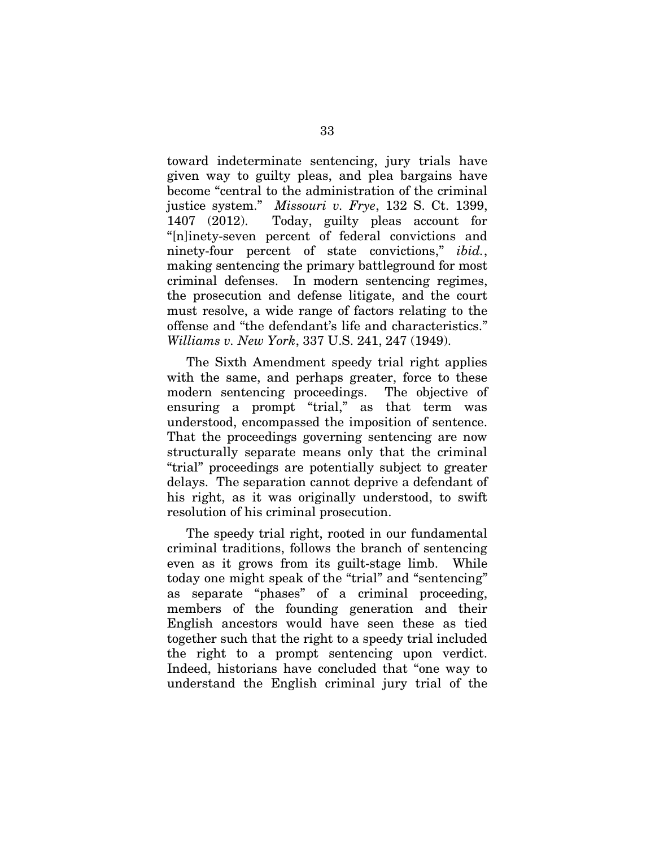toward indeterminate sentencing, jury trials have given way to guilty pleas, and plea bargains have become "central to the administration of the criminal justice system." *Missouri v. Frye*, 132 S. Ct. 1399, 1407 (2012). Today, guilty pleas account for "[n]inety-seven percent of federal convictions and ninety-four percent of state convictions," *ibid.*, making sentencing the primary battleground for most criminal defenses. In modern sentencing regimes, the prosecution and defense litigate, and the court must resolve, a wide range of factors relating to the offense and "the defendant's life and characteristics." *Williams v. New York*, 337 U.S. 241, 247 (1949).

The Sixth Amendment speedy trial right applies with the same, and perhaps greater, force to these modern sentencing proceedings. The objective of ensuring a prompt "trial," as that term was understood, encompassed the imposition of sentence. That the proceedings governing sentencing are now structurally separate means only that the criminal "trial" proceedings are potentially subject to greater delays. The separation cannot deprive a defendant of his right, as it was originally understood, to swift resolution of his criminal prosecution.

The speedy trial right, rooted in our fundamental criminal traditions, follows the branch of sentencing even as it grows from its guilt-stage limb. While today one might speak of the "trial" and "sentencing" as separate "phases" of a criminal proceeding, members of the founding generation and their English ancestors would have seen these as tied together such that the right to a speedy trial included the right to a prompt sentencing upon verdict. Indeed, historians have concluded that "one way to understand the English criminal jury trial of the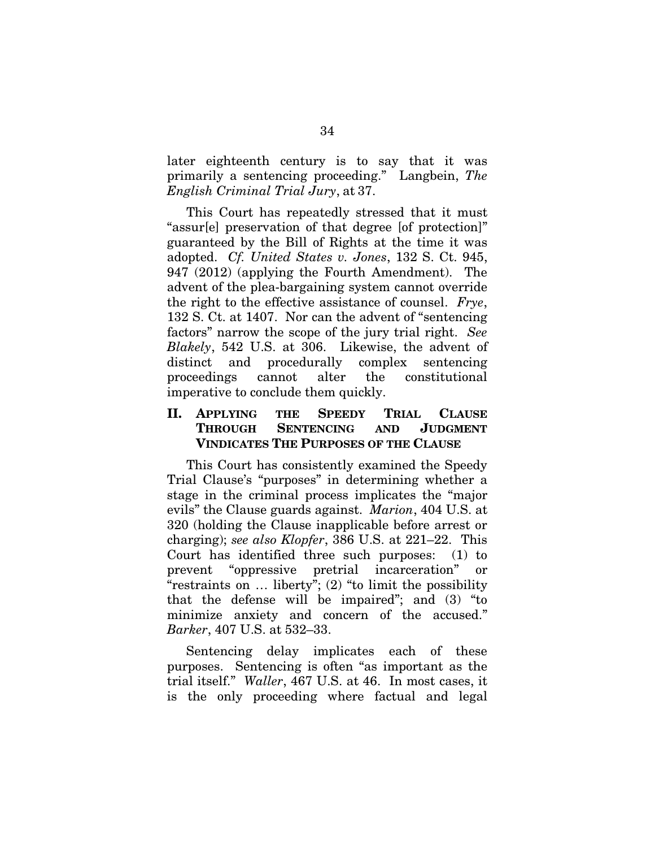later eighteenth century is to say that it was primarily a sentencing proceeding." Langbein, *The English Criminal Trial Jury*, at 37.

This Court has repeatedly stressed that it must "assur[e] preservation of that degree [of protection]" guaranteed by the Bill of Rights at the time it was adopted. *Cf. United States v. Jones*, 132 S. Ct. 945, 947 (2012) (applying the Fourth Amendment). The advent of the plea-bargaining system cannot override the right to the effective assistance of counsel. *Frye*, 132 S. Ct. at 1407. Nor can the advent of "sentencing factors" narrow the scope of the jury trial right. *See Blakely*, 542 U.S. at 306. Likewise, the advent of distinct and procedurally complex sentencing proceedings cannot alter the constitutional imperative to conclude them quickly.

## II. APPLYING THE SPEEDY TRIAL CLAUSE THROUGH SENTENCING AND JUDGMENT VINDICATES THE PURPOSES OF THE CLAUSE

This Court has consistently examined the Speedy Trial Clause's "purposes" in determining whether a stage in the criminal process implicates the "major evils" the Clause guards against. *Marion*, 404 U.S. at 320 (holding the Clause inapplicable before arrest or charging); *see also Klopfer*, 386 U.S. at 221–22. This Court has identified three such purposes: (1) to prevent "oppressive pretrial incarceration" or "restraints on … liberty"; (2) "to limit the possibility that the defense will be impaired"; and (3) "to minimize anxiety and concern of the accused." *Barker*, 407 U.S. at 532–33.

Sentencing delay implicates each of these purposes. Sentencing is often "as important as the trial itself." *Waller*, 467 U.S. at 46. In most cases, it is the only proceeding where factual and legal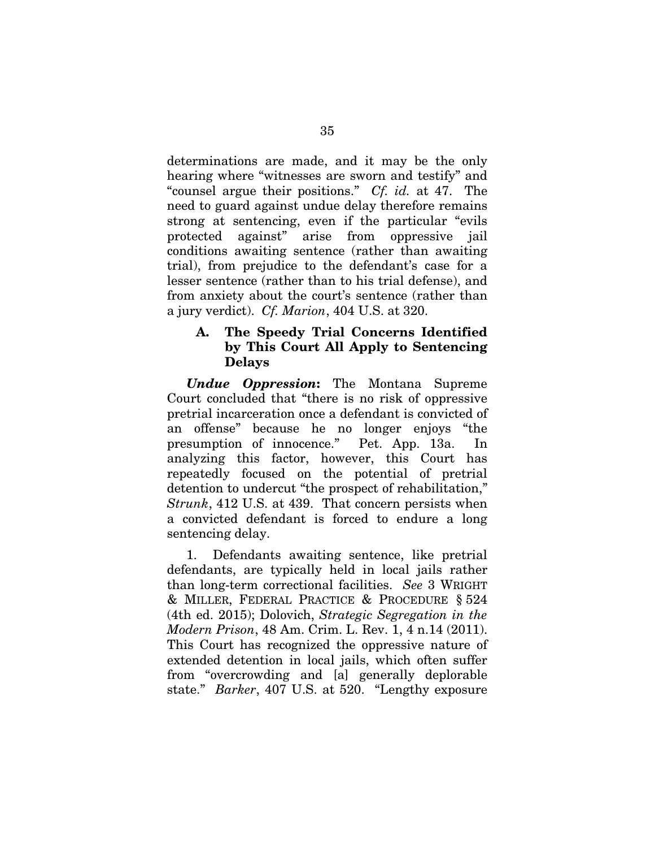determinations are made, and it may be the only hearing where "witnesses are sworn and testify" and "counsel argue their positions." *Cf. id.* at 47.The need to guard against undue delay therefore remains strong at sentencing, even if the particular "evils protected against" arise from oppressive jail conditions awaiting sentence (rather than awaiting trial), from prejudice to the defendant's case for a lesser sentence (rather than to his trial defense), and from anxiety about the court's sentence (rather than a jury verdict). *Cf. Marion*, 404 U.S. at 320.

### A. The Speedy Trial Concerns Identified by This Court All Apply to Sentencing Delays

*Undue Oppression*: The Montana Supreme Court concluded that "there is no risk of oppressive pretrial incarceration once a defendant is convicted of an offense" because he no longer enjoys "the presumption of innocence." Pet. App. 13a. In analyzing this factor, however, this Court has repeatedly focused on the potential of pretrial detention to undercut "the prospect of rehabilitation," *Strunk*, 412 U.S. at 439. That concern persists when a convicted defendant is forced to endure a long sentencing delay.

1. Defendants awaiting sentence, like pretrial defendants, are typically held in local jails rather than long-term correctional facilities. *See* 3 WRIGHT & MILLER, FEDERAL PRACTICE & PROCEDURE § 524 (4th ed. 2015); Dolovich, *Strategic Segregation in the Modern Prison*, 48 Am. Crim. L. Rev. 1, 4 n.14 (2011). This Court has recognized the oppressive nature of extended detention in local jails, which often suffer from "overcrowding and [a] generally deplorable state." *Barker*, 407 U.S. at 520. "Lengthy exposure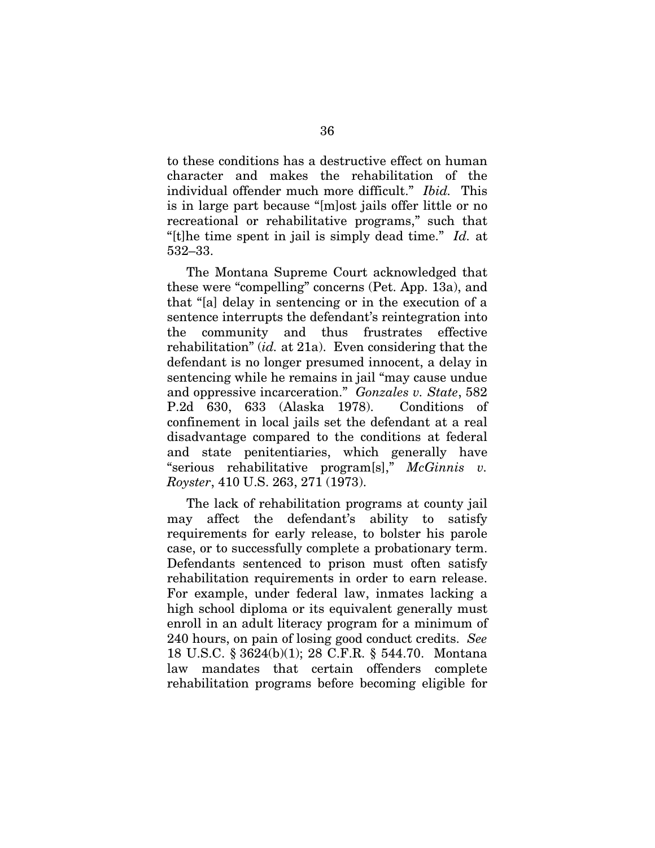to these conditions has a destructive effect on human character and makes the rehabilitation of the individual offender much more difficult." *Ibid.* This is in large part because "[m]ost jails offer little or no recreational or rehabilitative programs," such that "[t]he time spent in jail is simply dead time." *Id.* at 532–33.

The Montana Supreme Court acknowledged that these were "compelling" concerns (Pet. App. 13a), and that "[a] delay in sentencing or in the execution of a sentence interrupts the defendant's reintegration into the community and thus frustrates effective rehabilitation" (*id.* at 21a). Even considering that the defendant is no longer presumed innocent, a delay in sentencing while he remains in jail "may cause undue and oppressive incarceration." *Gonzales v. State*, 582 P.2d 630, 633 (Alaska 1978). Conditions of confinement in local jails set the defendant at a real disadvantage compared to the conditions at federal and state penitentiaries, which generally have "serious rehabilitative program[s]," *McGinnis v. Royster*, 410 U.S. 263, 271 (1973).

The lack of rehabilitation programs at county jail may affect the defendant's ability to satisfy requirements for early release, to bolster his parole case, or to successfully complete a probationary term. Defendants sentenced to prison must often satisfy rehabilitation requirements in order to earn release. For example, under federal law, inmates lacking a high school diploma or its equivalent generally must enroll in an adult literacy program for a minimum of 240 hours, on pain of losing good conduct credits. *See* 18 U.S.C. § 3624(b)(1); 28 C.F.R. § 544.70. Montana law mandates that certain offenders complete rehabilitation programs before becoming eligible for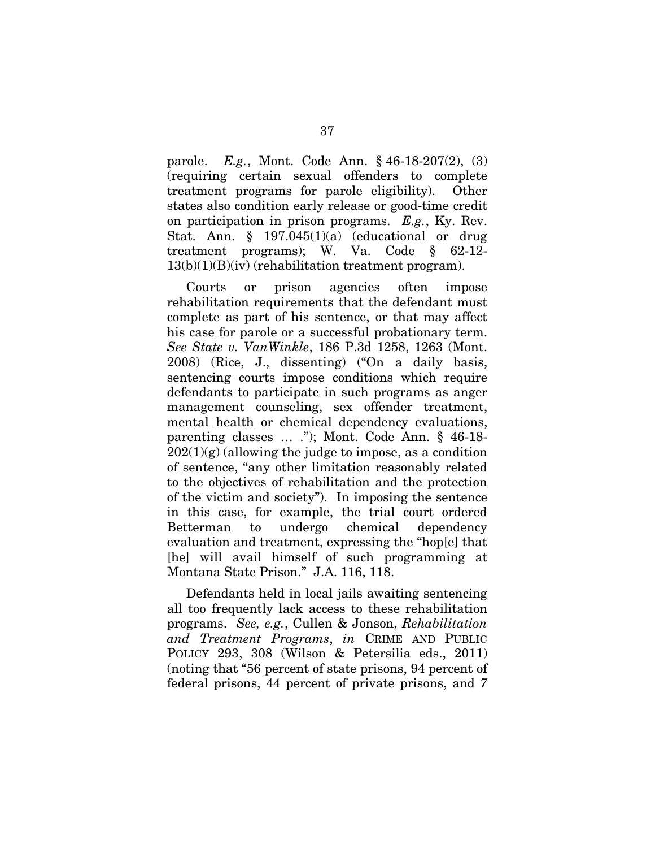parole. *E.g.*, Mont. Code Ann. § 46-18-207(2), (3) (requiring certain sexual offenders to complete treatment programs for parole eligibility). Other states also condition early release or good-time credit on participation in prison programs. *E.g.*, Ky. Rev. Stat. Ann. § 197.045(1)(a) (educational or drug treatment programs); W. Va. Code § 62-12- 13(b)(1)(B)(iv) (rehabilitation treatment program).

Courts or prison agencies often impose rehabilitation requirements that the defendant must complete as part of his sentence, or that may affect his case for parole or a successful probationary term. *See State v. VanWinkle*, 186 P.3d 1258, 1263 (Mont. 2008) (Rice, J., dissenting) ("On a daily basis, sentencing courts impose conditions which require defendants to participate in such programs as anger management counseling, sex offender treatment, mental health or chemical dependency evaluations, parenting classes … ."); Mont. Code Ann. § 46-18-  $202(1)(g)$  (allowing the judge to impose, as a condition of sentence, "any other limitation reasonably related to the objectives of rehabilitation and the protection of the victim and society"). In imposing the sentence in this case, for example, the trial court ordered Betterman to undergo chemical dependency evaluation and treatment, expressing the "hop[e] that [he] will avail himself of such programming at Montana State Prison." J.A. 116, 118.

Defendants held in local jails awaiting sentencing all too frequently lack access to these rehabilitation programs. *See, e.g.*, Cullen & Jonson, *Rehabilitation and Treatment Programs*, *in* CRIME AND PUBLIC POLICY 293, 308 (Wilson & Petersilia eds., 2011) (noting that "56 percent of state prisons, 94 percent of federal prisons, 44 percent of private prisons, and *7*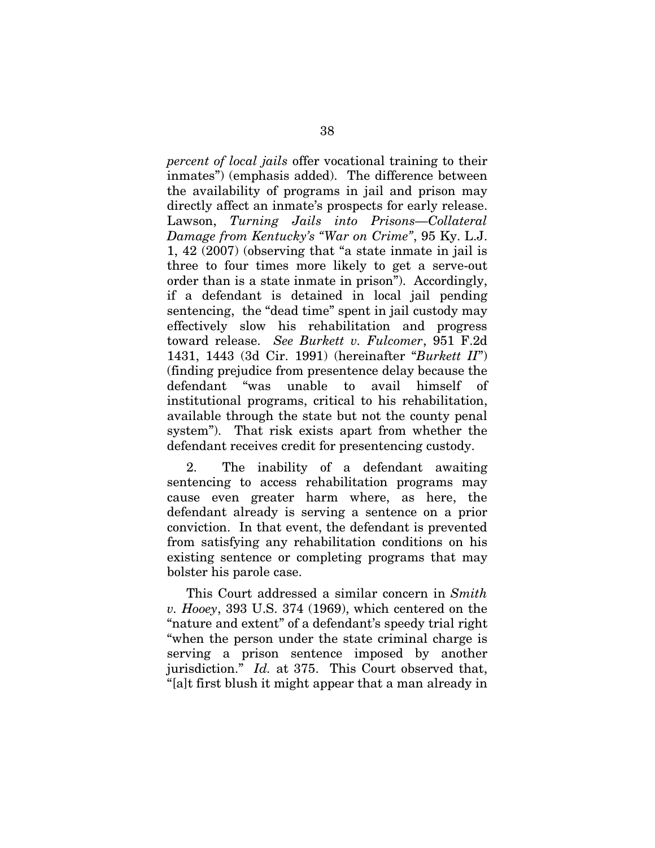*percent of local jails* offer vocational training to their inmates") (emphasis added). The difference between the availability of programs in jail and prison may directly affect an inmate's prospects for early release. Lawson, *Turning Jails into Prisons—Collateral Damage from Kentucky's "War on Crime"*, 95 Ky. L.J. 1, 42 (2007) (observing that "a state inmate in jail is three to four times more likely to get a serve-out order than is a state inmate in prison"). Accordingly, if a defendant is detained in local jail pending sentencing, the "dead time" spent in jail custody may effectively slow his rehabilitation and progress toward release. *See Burkett v. Fulcomer*, 951 F.2d 1431, 1443 (3d Cir. 1991) (hereinafter "*Burkett II*") (finding prejudice from presentence delay because the defendant "was unable to avail himself of institutional programs, critical to his rehabilitation, available through the state but not the county penal system"). That risk exists apart from whether the defendant receives credit for presentencing custody.

2. The inability of a defendant awaiting sentencing to access rehabilitation programs may cause even greater harm where, as here, the defendant already is serving a sentence on a prior conviction. In that event, the defendant is prevented from satisfying any rehabilitation conditions on his existing sentence or completing programs that may bolster his parole case.

This Court addressed a similar concern in *Smith v. Hooey*, 393 U.S. 374 (1969), which centered on the "nature and extent" of a defendant's speedy trial right "when the person under the state criminal charge is serving a prison sentence imposed by another jurisdiction." *Id.* at 375. This Court observed that, "[a]t first blush it might appear that a man already in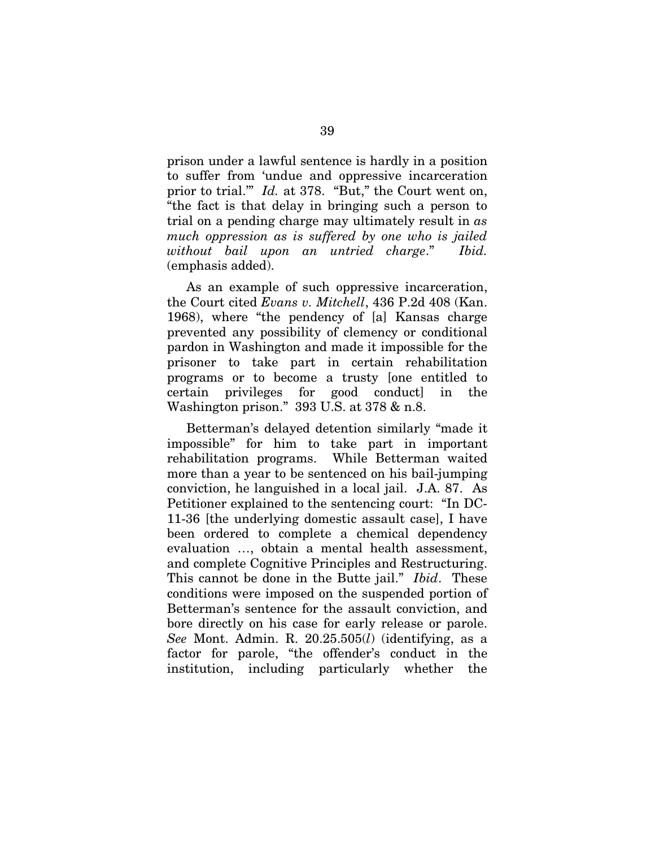prison under a lawful sentence is hardly in a position to suffer from 'undue and oppressive incarceration prior to trial.'" *Id.* at 378. "But," the Court went on, "the fact is that delay in bringing such a person to trial on a pending charge may ultimately result in *as much oppression as is suffered by one who is jailed without bail upon an untried charge*." *Ibid.* (emphasis added).

As an example of such oppressive incarceration, the Court cited *Evans v. Mitchell*, 436 P.2d 408 (Kan. 1968), where "the pendency of [a] Kansas charge prevented any possibility of clemency or conditional pardon in Washington and made it impossible for the prisoner to take part in certain rehabilitation programs or to become a trusty [one entitled to certain privileges for good conduct] in the Washington prison." 393 U.S. at 378 & n.8.

Betterman's delayed detention similarly "made it impossible" for him to take part in important rehabilitation programs. While Betterman waited more than a year to be sentenced on his bail-jumping conviction, he languished in a local jail. J.A. 87. As Petitioner explained to the sentencing court: "In DC-11-36 [the underlying domestic assault case], I have been ordered to complete a chemical dependency evaluation …, obtain a mental health assessment, and complete Cognitive Principles and Restructuring. This cannot be done in the Butte jail." *Ibid*. These conditions were imposed on the suspended portion of Betterman's sentence for the assault conviction, and bore directly on his case for early release or parole. *See* Mont. Admin. R. 20.25.505(*l*) (identifying, as a factor for parole, "the offender's conduct in the institution, including particularly whether the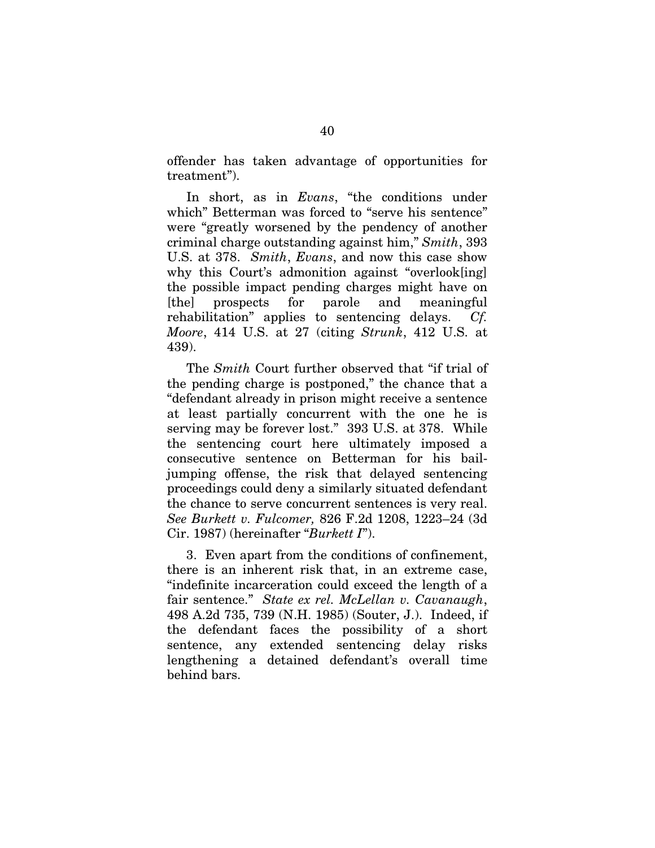offender has taken advantage of opportunities for treatment").

In short, as in *Evans*, "the conditions under which" Betterman was forced to "serve his sentence" were "greatly worsened by the pendency of another criminal charge outstanding against him," *Smith*, 393 U.S. at 378. *Smith*, *Evans*, and now this case show why this Court's admonition against "overlook[ing] the possible impact pending charges might have on [the] prospects for parole and meaningful rehabilitation" applies to sentencing delays. *Cf. Moore*, 414 U.S. at 27 (citing *Strunk*, 412 U.S. at 439).

The *Smith* Court further observed that "if trial of the pending charge is postponed," the chance that a "defendant already in prison might receive a sentence at least partially concurrent with the one he is serving may be forever lost." 393 U.S. at 378. While the sentencing court here ultimately imposed a consecutive sentence on Betterman for his bailjumping offense, the risk that delayed sentencing proceedings could deny a similarly situated defendant the chance to serve concurrent sentences is very real. *See Burkett v. Fulcomer,* 826 F.2d 1208, 1223–24 (3d Cir. 1987) (hereinafter "*Burkett I*").

3. Even apart from the conditions of confinement, there is an inherent risk that, in an extreme case, "indefinite incarceration could exceed the length of a fair sentence." *State ex rel. McLellan v. Cavanaugh*, 498 A.2d 735, 739 (N.H. 1985) (Souter, J.). Indeed, if the defendant faces the possibility of a short sentence, any extended sentencing delay risks lengthening a detained defendant's overall time behind bars.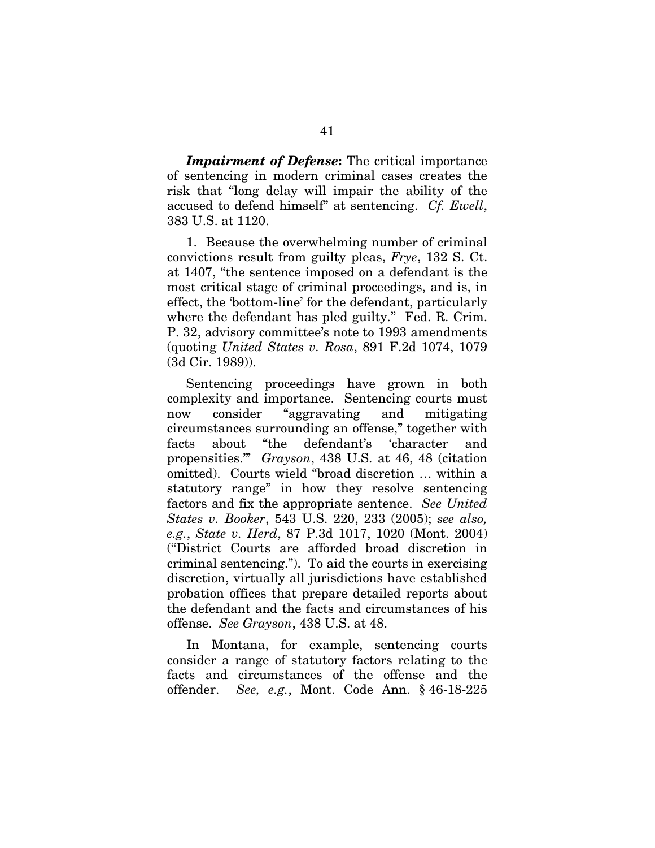*Impairment of Defense*: The critical importance of sentencing in modern criminal cases creates the risk that "long delay will impair the ability of the accused to defend himself" at sentencing. *Cf. Ewell*, 383 U.S. at 1120.

1. Because the overwhelming number of criminal convictions result from guilty pleas, *Frye*, 132 S. Ct. at 1407, "the sentence imposed on a defendant is the most critical stage of criminal proceedings, and is, in effect, the 'bottom-line' for the defendant, particularly where the defendant has pled guilty." Fed. R. Crim. P. 32, advisory committee's note to 1993 amendments (quoting *United States v. Rosa*, 891 F.2d 1074, 1079 (3d Cir. 1989)).

Sentencing proceedings have grown in both complexity and importance. Sentencing courts must now consider "aggravating and mitigating circumstances surrounding an offense," together with facts about "the defendant's 'character and propensities.'" *Grayson*, 438 U.S. at 46, 48 (citation omitted). Courts wield "broad discretion … within a statutory range" in how they resolve sentencing factors and fix the appropriate sentence. *See United States v. Booker*, 543 U.S. 220, 233 (2005); *see also, e.g.*, *State v. Herd*, 87 P.3d 1017, 1020 (Mont. 2004) ("District Courts are afforded broad discretion in criminal sentencing."). To aid the courts in exercising discretion, virtually all jurisdictions have established probation offices that prepare detailed reports about the defendant and the facts and circumstances of his offense. *See Grayson*, 438 U.S. at 48.

In Montana, for example, sentencing courts consider a range of statutory factors relating to the facts and circumstances of the offense and the offender. *See, e.g.*, Mont. Code Ann. § 46-18-225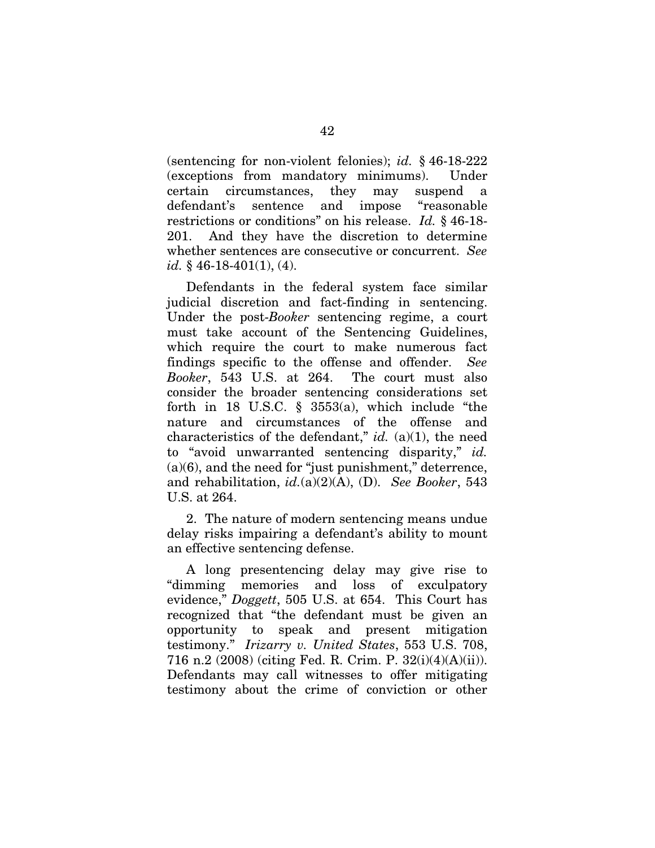(sentencing for non-violent felonies); *id.* § 46-18-222 (exceptions from mandatory minimums). Under certain circumstances, they may suspend a defendant's sentence and impose "reasonable restrictions or conditions" on his release. *Id.* § 46-18- 201. And they have the discretion to determine whether sentences are consecutive or concurrent. *See id.* § 46-18-401(1), (4).

Defendants in the federal system face similar judicial discretion and fact-finding in sentencing. Under the post-*Booker* sentencing regime, a court must take account of the Sentencing Guidelines, which require the court to make numerous fact findings specific to the offense and offender. *See Booker*, 543 U.S. at 264. The court must also consider the broader sentencing considerations set forth in 18 U.S.C.  $\S$  3553(a), which include "the nature and circumstances of the offense and characteristics of the defendant," *id.* (a)(1), the need to "avoid unwarranted sentencing disparity," *id.*  $(a)(6)$ , and the need for "just punishment," deterrence, and rehabilitation, *id.*(a)(2)(A), (D). *See Booker*, 543 U.S. at 264.

2. The nature of modern sentencing means undue delay risks impairing a defendant's ability to mount an effective sentencing defense.

A long presentencing delay may give rise to "dimming memories and loss of exculpatory evidence," *Doggett*, 505 U.S. at 654. This Court has recognized that "the defendant must be given an opportunity to speak and present mitigation testimony." *Irizarry v. United States*, 553 U.S. 708, 716 n.2 (2008) (citing Fed. R. Crim. P. 32(i)(4)(A)(ii)). Defendants may call witnesses to offer mitigating testimony about the crime of conviction or other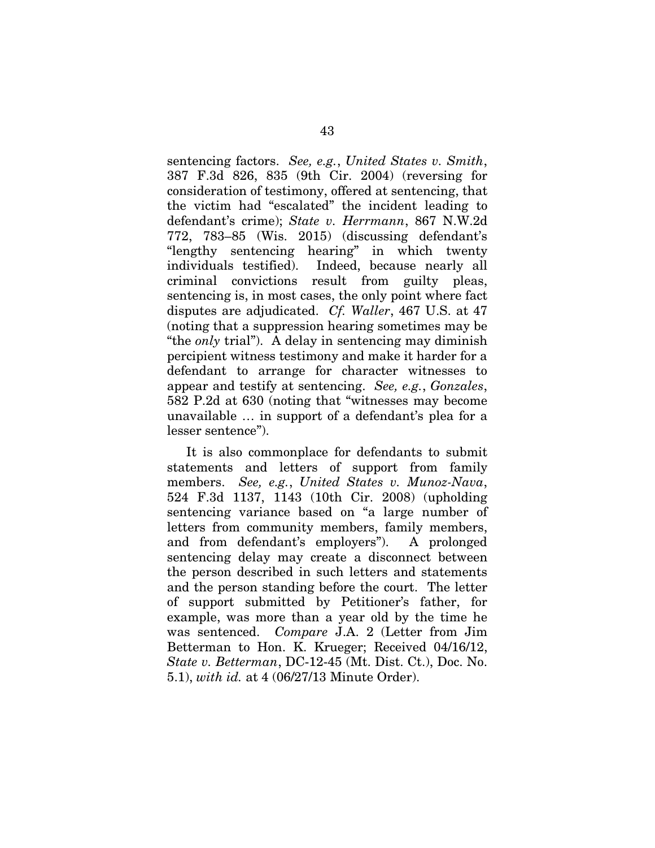sentencing factors. *See, e.g.*, *United States v. Smith*, 387 F.3d 826, 835 (9th Cir. 2004) (reversing for consideration of testimony, offered at sentencing, that the victim had "escalated" the incident leading to defendant's crime); *State v. Herrmann*, 867 N.W.2d 772, 783–85 (Wis. 2015) (discussing defendant's "lengthy sentencing hearing" in which twenty individuals testified). Indeed, because nearly all criminal convictions result from guilty pleas, sentencing is, in most cases, the only point where fact disputes are adjudicated. *Cf. Waller*, 467 U.S. at 47 (noting that a suppression hearing sometimes may be "the *only* trial"). A delay in sentencing may diminish percipient witness testimony and make it harder for a defendant to arrange for character witnesses to appear and testify at sentencing. *See, e.g.*, *Gonzales*, 582 P.2d at 630 (noting that "witnesses may become unavailable … in support of a defendant's plea for a lesser sentence").

It is also commonplace for defendants to submit statements and letters of support from family members. *See, e.g.*, *United States v. Munoz-Nava*, 524 F.3d 1137, 1143 (10th Cir. 2008) (upholding sentencing variance based on "a large number of letters from community members, family members, and from defendant's employers"). A prolonged sentencing delay may create a disconnect between the person described in such letters and statements and the person standing before the court. The letter of support submitted by Petitioner's father, for example, was more than a year old by the time he was sentenced. *Compare* J.A. 2 (Letter from Jim Betterman to Hon. K. Krueger; Received 04/16/12, *State v. Betterman*, DC-12-45 (Mt. Dist. Ct.), Doc. No. 5.1), *with id.* at 4 (06/27/13 Minute Order).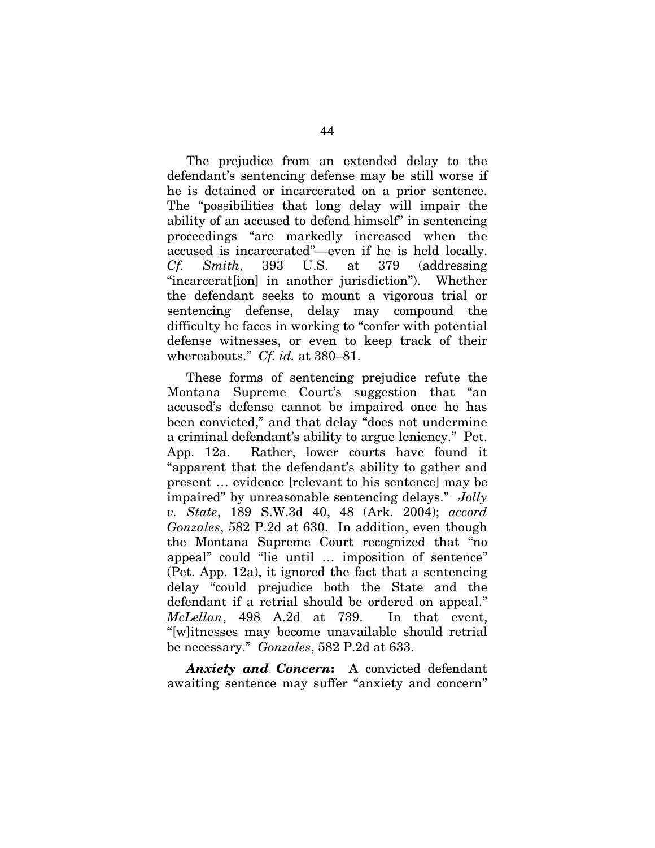The prejudice from an extended delay to the defendant's sentencing defense may be still worse if he is detained or incarcerated on a prior sentence. The "possibilities that long delay will impair the ability of an accused to defend himself" in sentencing proceedings "are markedly increased when the accused is incarcerated"—even if he is held locally. *Cf. Smith*, 393 U.S. at 379 (addressing "incarcerat[ion] in another jurisdiction"). Whether the defendant seeks to mount a vigorous trial or sentencing defense, delay may compound the difficulty he faces in working to "confer with potential defense witnesses, or even to keep track of their whereabouts." *Cf. id.* at 380–81.

These forms of sentencing prejudice refute the Montana Supreme Court's suggestion that "an accused's defense cannot be impaired once he has been convicted," and that delay "does not undermine a criminal defendant's ability to argue leniency." Pet. App. 12a. Rather, lower courts have found it "apparent that the defendant's ability to gather and present … evidence [relevant to his sentence] may be impaired" by unreasonable sentencing delays." *Jolly v. State*, 189 S.W.3d 40, 48 (Ark. 2004); *accord Gonzales*, 582 P.2d at 630. In addition, even though the Montana Supreme Court recognized that "no appeal" could "lie until … imposition of sentence" (Pet. App. 12a), it ignored the fact that a sentencing delay "could prejudice both the State and the defendant if a retrial should be ordered on appeal." *McLellan*, 498 A.2d at 739. In that event, "[w]itnesses may become unavailable should retrial be necessary." *Gonzales*, 582 P.2d at 633.

*Anxiety and Concern*: A convicted defendant awaiting sentence may suffer "anxiety and concern"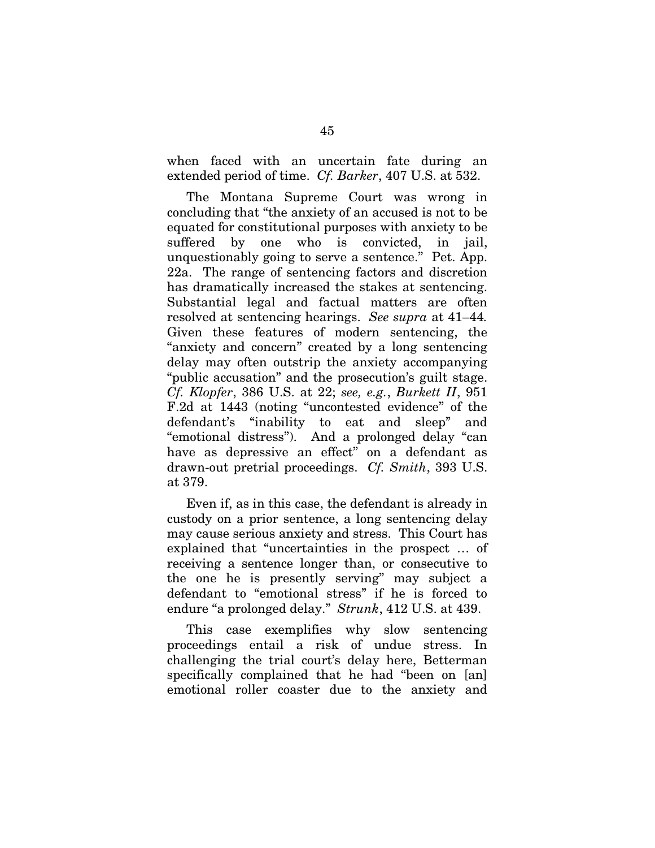when faced with an uncertain fate during an extended period of time. *Cf. Barker*, 407 U.S. at 532.

The Montana Supreme Court was wrong in concluding that "the anxiety of an accused is not to be equated for constitutional purposes with anxiety to be suffered by one who is convicted, in jail, unquestionably going to serve a sentence." Pet. App. 22a. The range of sentencing factors and discretion has dramatically increased the stakes at sentencing. Substantial legal and factual matters are often resolved at sentencing hearings. *See supra* at 41–44*.* Given these features of modern sentencing, the "anxiety and concern" created by a long sentencing delay may often outstrip the anxiety accompanying "public accusation" and the prosecution's guilt stage. *Cf. Klopfer*, 386 U.S. at 22; *see, e.g.*, *Burkett II*, 951 F.2d at 1443 (noting "uncontested evidence" of the defendant's "inability to eat and sleep" and "emotional distress"). And a prolonged delay "can have as depressive an effect" on a defendant as drawn-out pretrial proceedings. *Cf. Smith*, 393 U.S. at 379.

Even if, as in this case, the defendant is already in custody on a prior sentence, a long sentencing delay may cause serious anxiety and stress. This Court has explained that "uncertainties in the prospect … of receiving a sentence longer than, or consecutive to the one he is presently serving" may subject a defendant to "emotional stress" if he is forced to endure "a prolonged delay." *Strunk*, 412 U.S. at 439.

This case exemplifies why slow sentencing proceedings entail a risk of undue stress. In challenging the trial court's delay here, Betterman specifically complained that he had "been on [an] emotional roller coaster due to the anxiety and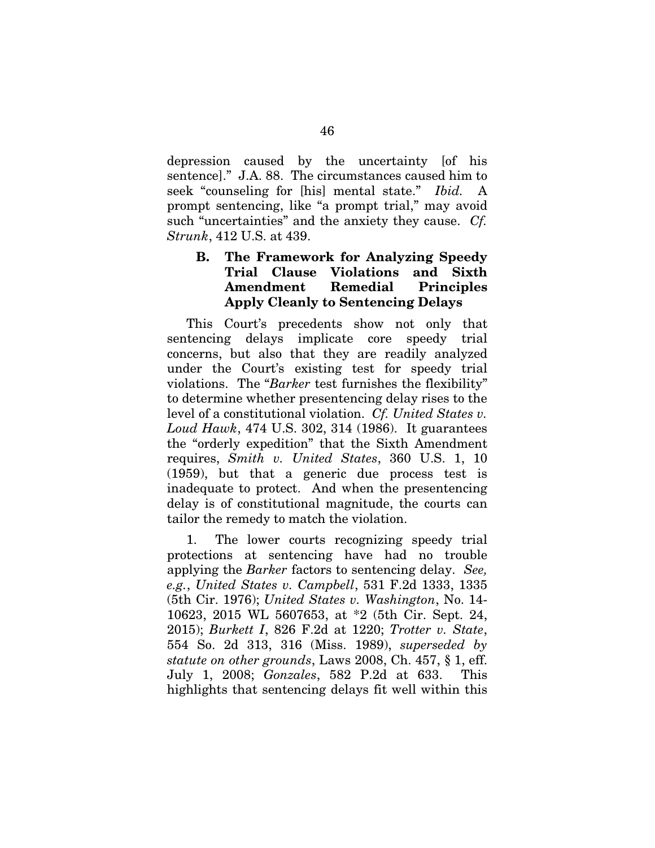depression caused by the uncertainty [of his sentence]." J.A. 88. The circumstances caused him to seek "counseling for [his] mental state." *Ibid.* A prompt sentencing, like "a prompt trial," may avoid such "uncertainties" and the anxiety they cause. *Cf. Strunk*, 412 U.S. at 439.

# B. The Framework for Analyzing Speedy Trial Clause Violations and Sixth Amendment Remedial Principles Apply Cleanly to Sentencing Delays

This Court's precedents show not only that sentencing delays implicate core speedy trial concerns, but also that they are readily analyzed under the Court's existing test for speedy trial violations. The "*Barker* test furnishes the flexibility" to determine whether presentencing delay rises to the level of a constitutional violation. *Cf. United States v. Loud Hawk*, 474 U.S. 302, 314 (1986). It guarantees the "orderly expedition" that the Sixth Amendment requires, *Smith v. United States*, 360 U.S. 1, 10 (1959), but that a generic due process test is inadequate to protect. And when the presentencing delay is of constitutional magnitude, the courts can tailor the remedy to match the violation.

1. The lower courts recognizing speedy trial protections at sentencing have had no trouble applying the *Barker* factors to sentencing delay. *See, e.g.*, *United States v. Campbell*, 531 F.2d 1333, 1335 (5th Cir. 1976); *United States v. Washington*, No. 14- 10623, 2015 WL 5607653, at \*2 (5th Cir. Sept. 24, 2015); *Burkett I*, 826 F.2d at 1220; *Trotter v. State*, 554 So. 2d 313, 316 (Miss. 1989), *superseded by statute on other grounds*, Laws 2008, Ch. 457, § 1, eff. July 1, 2008; *Gonzales*, 582 P.2d at 633. This highlights that sentencing delays fit well within this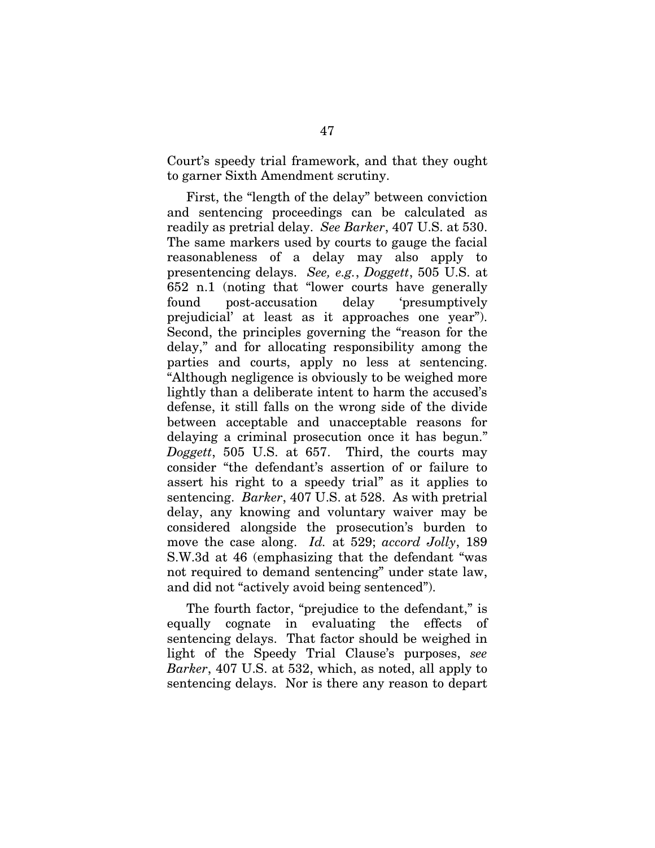Court's speedy trial framework, and that they ought to garner Sixth Amendment scrutiny.

First, the "length of the delay" between conviction and sentencing proceedings can be calculated as readily as pretrial delay. *See Barker*, 407 U.S. at 530. The same markers used by courts to gauge the facial reasonableness of a delay may also apply to presentencing delays. *See, e.g.*, *Doggett*, 505 U.S. at 652 n.1 (noting that "lower courts have generally found post-accusation delay 'presumptively prejudicial' at least as it approaches one year"). Second, the principles governing the "reason for the delay," and for allocating responsibility among the parties and courts, apply no less at sentencing. "Although negligence is obviously to be weighed more lightly than a deliberate intent to harm the accused's defense, it still falls on the wrong side of the divide between acceptable and unacceptable reasons for delaying a criminal prosecution once it has begun." *Doggett*, 505 U.S. at 657. Third, the courts may consider "the defendant's assertion of or failure to assert his right to a speedy trial" as it applies to sentencing. *Barker*, 407 U.S. at 528. As with pretrial delay, any knowing and voluntary waiver may be considered alongside the prosecution's burden to move the case along. *Id.* at 529; *accord Jolly*, 189 S.W.3d at 46 (emphasizing that the defendant "was not required to demand sentencing" under state law, and did not "actively avoid being sentenced").

The fourth factor, "prejudice to the defendant," is equally cognate in evaluating the effects of sentencing delays. That factor should be weighed in light of the Speedy Trial Clause's purposes, *see Barker*, 407 U.S. at 532, which, as noted, all apply to sentencing delays. Nor is there any reason to depart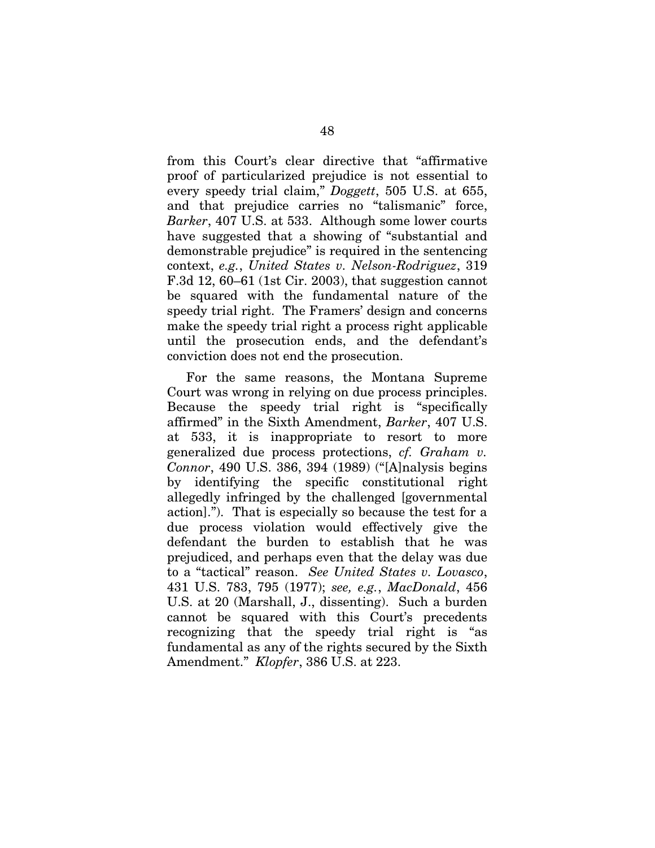from this Court's clear directive that "affirmative proof of particularized prejudice is not essential to every speedy trial claim," *Doggett*, 505 U.S. at 655, and that prejudice carries no "talismanic" force, *Barker*, 407 U.S. at 533. Although some lower courts have suggested that a showing of "substantial and demonstrable prejudice" is required in the sentencing context, *e.g.*, *United States v. Nelson-Rodriguez*, 319 F.3d 12, 60–61 (1st Cir. 2003), that suggestion cannot be squared with the fundamental nature of the speedy trial right. The Framers' design and concerns make the speedy trial right a process right applicable until the prosecution ends, and the defendant's conviction does not end the prosecution.

For the same reasons, the Montana Supreme Court was wrong in relying on due process principles. Because the speedy trial right is "specifically affirmed" in the Sixth Amendment, *Barker*, 407 U.S. at 533, it is inappropriate to resort to more generalized due process protections, *cf. Graham v. Connor*, 490 U.S. 386, 394 (1989) ("[A]nalysis begins by identifying the specific constitutional right allegedly infringed by the challenged [governmental action]."). That is especially so because the test for a due process violation would effectively give the defendant the burden to establish that he was prejudiced, and perhaps even that the delay was due to a "tactical" reason. *See United States v. Lovasco*, 431 U.S. 783, 795 (1977); *see, e.g.*, *MacDonald*, 456 U.S. at 20 (Marshall, J., dissenting). Such a burden cannot be squared with this Court's precedents recognizing that the speedy trial right is "as fundamental as any of the rights secured by the Sixth Amendment." *Klopfer*, 386 U.S. at 223.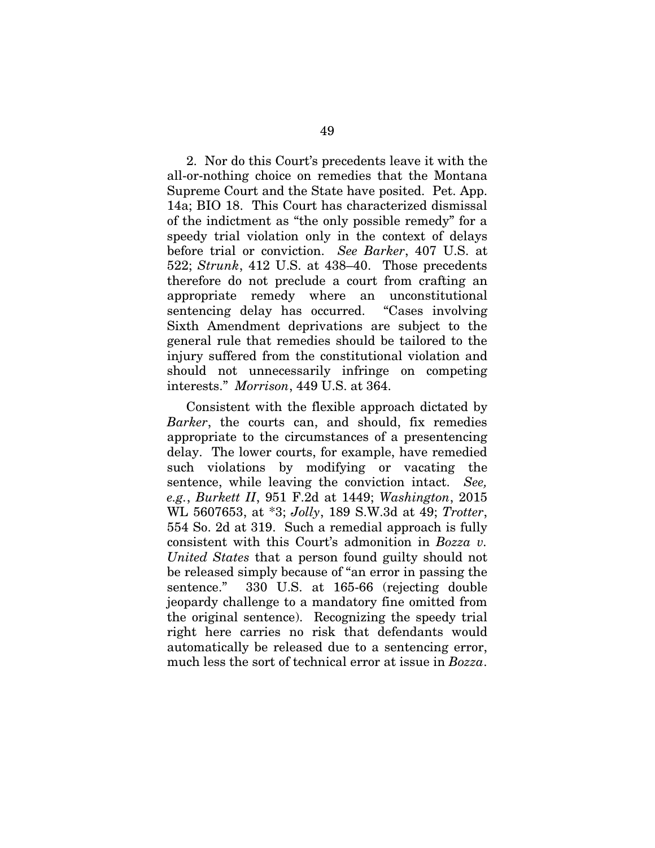2. Nor do this Court's precedents leave it with the all-or-nothing choice on remedies that the Montana Supreme Court and the State have posited. Pet. App. 14a; BIO 18. This Court has characterized dismissal of the indictment as "the only possible remedy" for a speedy trial violation only in the context of delays before trial or conviction. *See Barker*, 407 U.S. at 522; *Strunk*, 412 U.S. at 438–40. Those precedents therefore do not preclude a court from crafting an appropriate remedy where an unconstitutional sentencing delay has occurred. "Cases involving Sixth Amendment deprivations are subject to the general rule that remedies should be tailored to the injury suffered from the constitutional violation and should not unnecessarily infringe on competing interests." *Morrison*, 449 U.S. at 364.

Consistent with the flexible approach dictated by *Barker*, the courts can, and should, fix remedies appropriate to the circumstances of a presentencing delay. The lower courts, for example, have remedied such violations by modifying or vacating the sentence, while leaving the conviction intact. *See, e.g.*, *Burkett II*, 951 F.2d at 1449; *Washington*, 2015 WL 5607653, at \*3; *Jolly*, 189 S.W.3d at 49; *Trotter*, 554 So. 2d at 319. Such a remedial approach is fully consistent with this Court's admonition in *Bozza v. United States* that a person found guilty should not be released simply because of "an error in passing the sentence." 330 U.S. at 165-66 (rejecting double jeopardy challenge to a mandatory fine omitted from the original sentence). Recognizing the speedy trial right here carries no risk that defendants would automatically be released due to a sentencing error, much less the sort of technical error at issue in *Bozza*.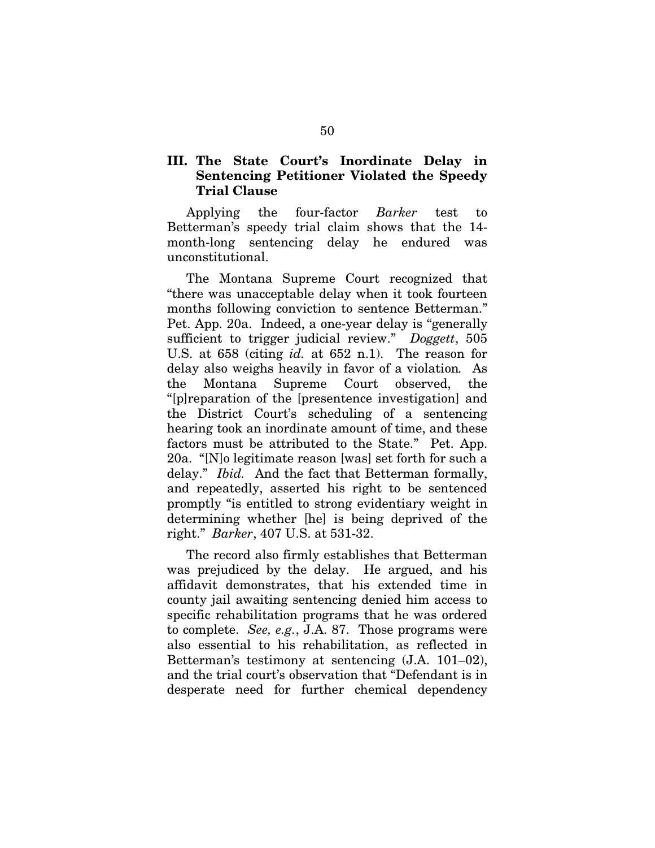### III. The State Court's Inordinate Delay in Sentencing Petitioner Violated the Speedy Trial Clause

Applying the four-factor *Barker* test to Betterman's speedy trial claim shows that the 14 month-long sentencing delay he endured was unconstitutional.

The Montana Supreme Court recognized that "there was unacceptable delay when it took fourteen months following conviction to sentence Betterman." Pet. App. 20a. Indeed, a one-year delay is "generally sufficient to trigger judicial review." *Doggett*, 505 U.S. at 658 (citing *id.* at 652 n.1). The reason for delay also weighs heavily in favor of a violation*.* As the Montana Supreme Court observed, the "[p]reparation of the [presentence investigation] and the District Court's scheduling of a sentencing hearing took an inordinate amount of time, and these factors must be attributed to the State." Pet. App. 20a. "[N]o legitimate reason [was] set forth for such a delay." *Ibid.* And the fact that Betterman formally, and repeatedly, asserted his right to be sentenced promptly "is entitled to strong evidentiary weight in determining whether [he] is being deprived of the right." *Barker*, 407 U.S. at 531-32.

The record also firmly establishes that Betterman was prejudiced by the delay. He argued, and his affidavit demonstrates, that his extended time in county jail awaiting sentencing denied him access to specific rehabilitation programs that he was ordered to complete. *See, e.g.*, J.A. 87. Those programs were also essential to his rehabilitation, as reflected in Betterman's testimony at sentencing (J.A. 101–02), and the trial court's observation that "Defendant is in desperate need for further chemical dependency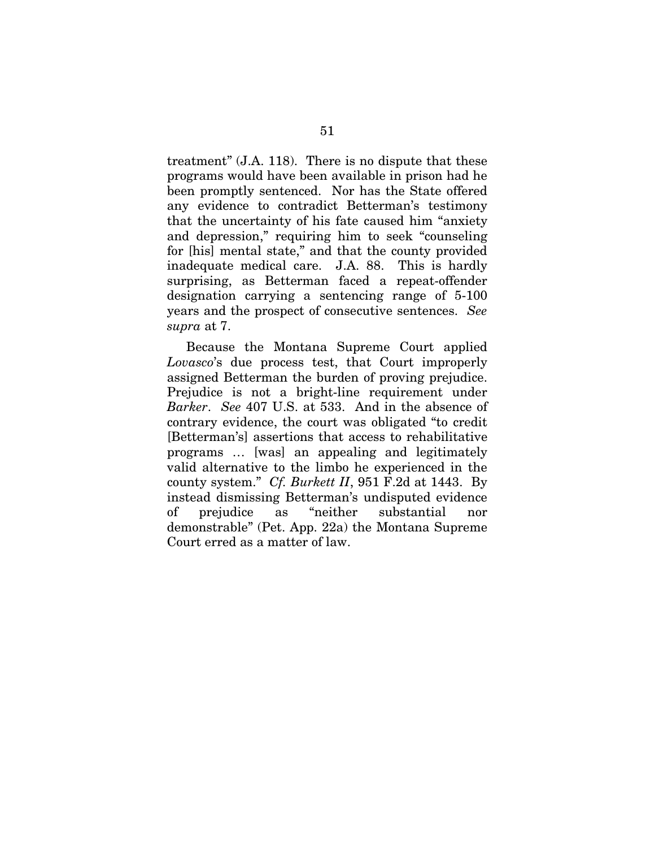treatment" (J.A. 118). There is no dispute that these programs would have been available in prison had he been promptly sentenced. Nor has the State offered any evidence to contradict Betterman's testimony that the uncertainty of his fate caused him "anxiety and depression," requiring him to seek "counseling for [his] mental state," and that the county provided inadequate medical care. J.A. 88. This is hardly surprising, as Betterman faced a repeat-offender designation carrying a sentencing range of 5-100 years and the prospect of consecutive sentences. *See supra* at 7.

Because the Montana Supreme Court applied *Lovasco*'s due process test, that Court improperly assigned Betterman the burden of proving prejudice. Prejudice is not a bright-line requirement under *Barker*. *See* 407 U.S. at 533. And in the absence of contrary evidence, the court was obligated "to credit [Betterman's] assertions that access to rehabilitative programs … [was] an appealing and legitimately valid alternative to the limbo he experienced in the county system." *Cf. Burkett II*, 951 F.2d at 1443. By instead dismissing Betterman's undisputed evidence of prejudice as "neither substantial nor demonstrable" (Pet. App. 22a) the Montana Supreme Court erred as a matter of law.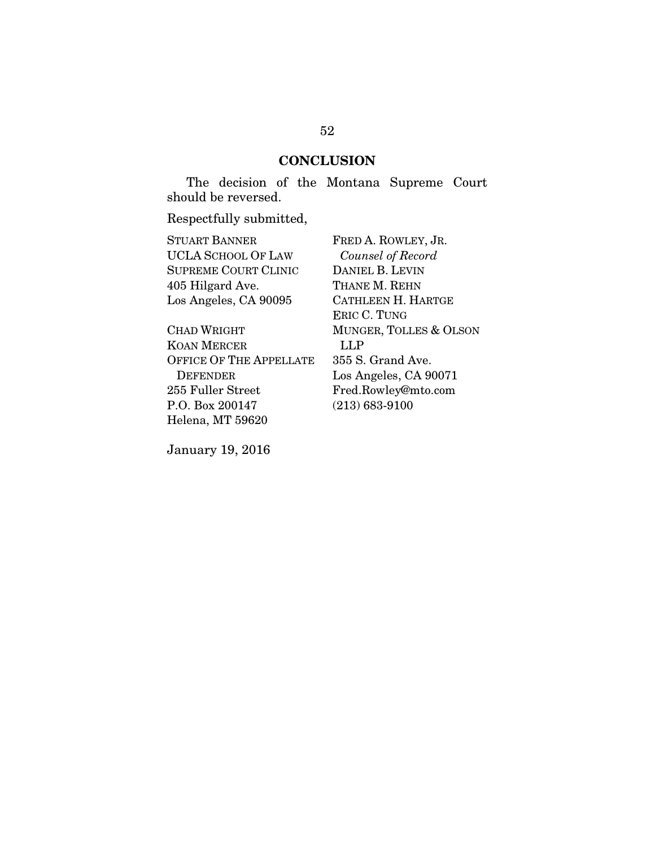### **CONCLUSION**

The decision of the Montana Supreme Court should be reversed.

Respectfully submitted,

STUART BANNER UCLA SCHOOL OF LAW SUPREME COURT CLINIC 405 Hilgard Ave. Los Angeles, CA 90095

CHAD WRIGHT KOAN MERCER OFFICE OF THE APPELLATE DEFENDER 255 Fuller Street P.O. Box 200147 Helena, MT 59620

FRED A. ROWLEY, JR. *Counsel of Record* DANIEL B. LEVIN THANE M. REHN CATHLEEN H. HARTGE ERIC C. TUNG MUNGER, TOLLES & OLSON LLP 355 S. Grand Ave. Los Angeles, CA 90071 Fred.Rowley@mto.com (213) 683-9100

January 19, 2016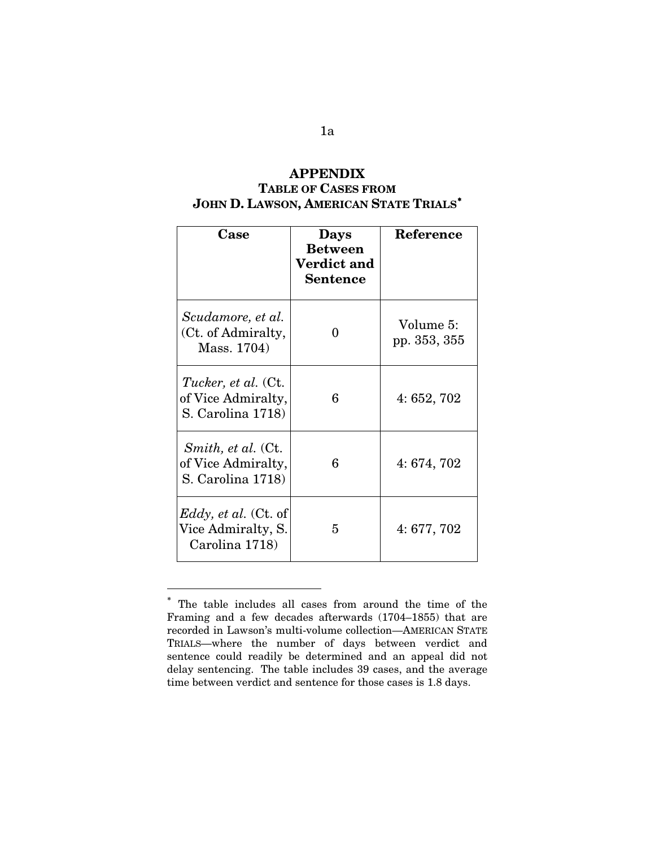# APPENDIX TABLE OF CASES FROM JOHN D. LAWSON, AMERICAN STATE TRIALS<sup>\*</sup>

| Case                                                                  | <b>Days</b><br><b>Between</b><br><b>Verdict and</b><br><b>Sentence</b> | Reference                 |
|-----------------------------------------------------------------------|------------------------------------------------------------------------|---------------------------|
| Scudamore, et al.<br>(Ct. of Admiralty,<br>Mass. 1704)                | 0                                                                      | Volume 5:<br>pp. 353, 355 |
| <i>Tucker, et al.</i> (Ct.<br>of Vice Admiralty,<br>S. Carolina 1718) | 6                                                                      | 4:652,702                 |
| <i>Smith, et al.</i> (Ct.<br>of Vice Admiralty,<br>S. Carolina 1718)  | 6                                                                      | 4:674,702                 |
| <i>Eddy, et al.</i> (Ct. of<br>Vice Admiralty, S.<br>Carolina 1718)   | 5                                                                      | 4:677,702                 |

<span id="page-69-0"></span><sup>∗</sup> The table includes all cases from around the time of the Framing and a few decades afterwards (1704–1855) that are recorded in Lawson's multi-volume collection—AMERICAN STATE TRIALS—where the number of days between verdict and sentence could readily be determined and an appeal did not delay sentencing. The table includes 39 cases, and the average time between verdict and sentence for those cases is 1.8 days.

 $\overline{a}$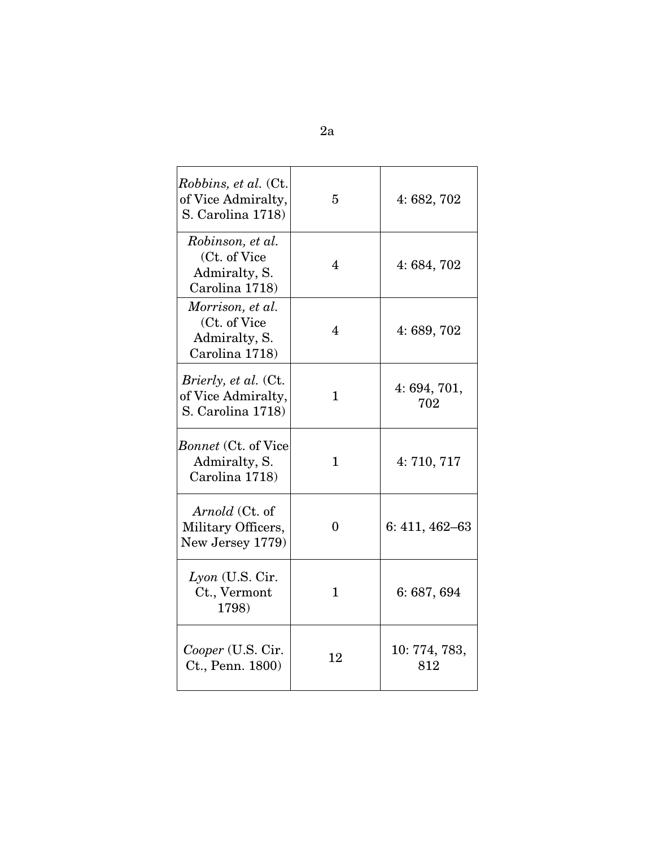| <i>Robbins, et al.</i> (Ct.<br>of Vice Admiralty,<br>S. Carolina 1718) | 5            | 4:682,702            |
|------------------------------------------------------------------------|--------------|----------------------|
| Robinson, et al.<br>(Ct. of Vice<br>Admiralty, S.<br>Carolina 1718)    | 4            | 4:684,702            |
| Morrison, et al.<br>(Ct. of Vice<br>Admiralty, S.<br>Carolina 1718)    | 4            | 4:689,702            |
| <i>Brierly, et al.</i> (Ct.<br>of Vice Admiralty,<br>S. Carolina 1718) | $\mathbf{1}$ | 4:694,701,<br>702    |
| <i>Bonnet</i> (Ct. of Vice<br>Admiralty, S.<br>Carolina 1718)          | $\mathbf{1}$ | 4:710,717            |
| Arnold (Ct. of<br>Military Officers,<br>New Jersey 1779)               | 0            | $6: 411, 462 - 63$   |
| $Lyon$ (U.S. Cir.<br>Ct., Vermont<br>1798)                             | $\mathbf{1}$ | 6:687,694            |
| Cooper (U.S. Cir.<br>Ct., Penn. 1800)                                  | 12           | 10: 774, 783,<br>812 |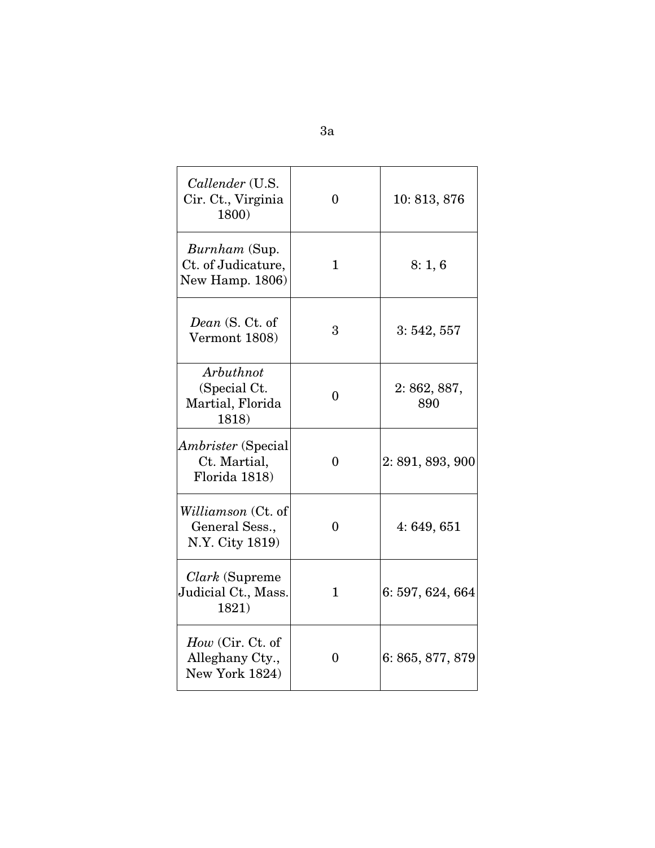| Callender (U.S.<br>Cir. Ct., Virginia<br>1800)                 | $\theta$     | 10:813,876        |
|----------------------------------------------------------------|--------------|-------------------|
| <i>Burnham</i> (Sup.<br>Ct. of Judicature,<br>New Hamp. 1806)  | $\mathbf{1}$ | 8:1,6             |
| Dean (S. Ct. of<br>Vermont 1808)                               | 3            | 3:542,557         |
| Arbuthnot<br>(Special Ct.<br>Martial, Florida<br>1818)         | $\theta$     | 2:862,887,<br>890 |
| <i>Ambrister</i> (Special<br>Ct. Martial,<br>Florida 1818)     | $\theta$     | 2:891,893,900     |
| <i>Williamson</i> (Ct. of<br>General Sess.,<br>N.Y. City 1819) | 0            | 4:649,651         |
| <i>Clark</i> (Supreme<br>Judicial Ct., Mass.<br>1821)          | $\mathbf{1}$ | 6:597,624,664     |
| $How$ (Cir. Ct. of<br>Alleghany Cty.,<br>New York 1824)        | 0            | 6: 865, 877, 879  |

3a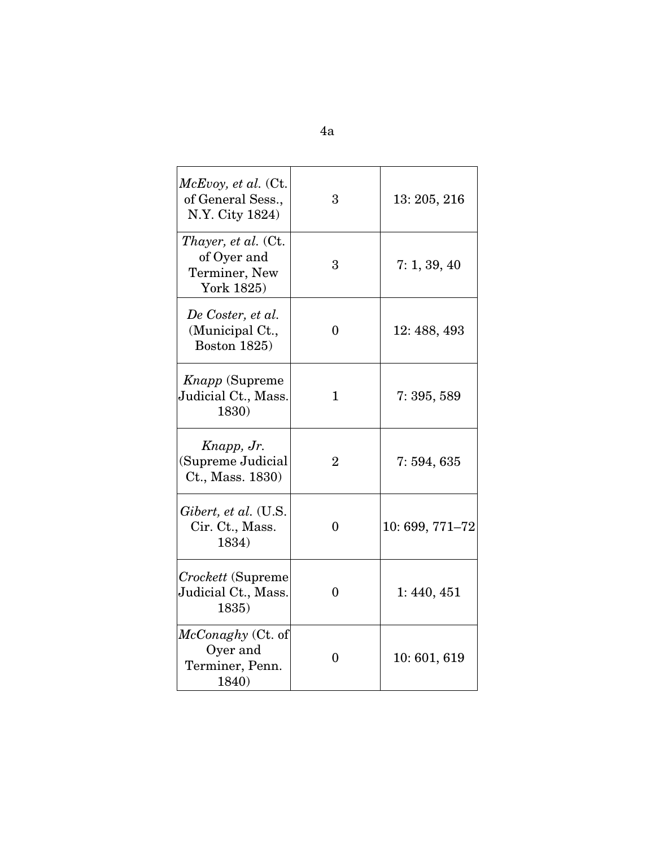| $McE$ voy, et al. (Ct.<br>of General Sess.,<br>N.Y. City 1824)           | 3              | 13: 205, 216   |
|--------------------------------------------------------------------------|----------------|----------------|
| <i>Thayer, et al.</i> (Ct.<br>of Oyer and<br>Terminer, New<br>York 1825) | 3              | 7: 1, 39, 40   |
| De Coster, et al.<br>(Municipal Ct.,<br><b>Boston 1825</b> )             | $\theta$       | 12: 488, 493   |
| <i>Knapp</i> (Supreme<br>Judicial Ct., Mass.<br>1830)                    | $\mathbf{1}$   | 7:395,589      |
| Knapp, Jr.<br>(Supreme Judicial<br>Ct., Mass. 1830)                      | $\overline{2}$ | 7:594,635      |
| Gibert, et al. (U.S.<br>Cir. Ct., Mass.<br>1834)                         | $\theta$       | 10:699, 771-72 |
| Crockett (Supreme<br>Judicial Ct., Mass.<br>1835)                        | $\Omega$       | 1: 440, 451    |
| $McConaghy$ (Ct. of<br>Oyer and<br>Terminer, Penn.<br>1840)              | 0              | 10:601,619     |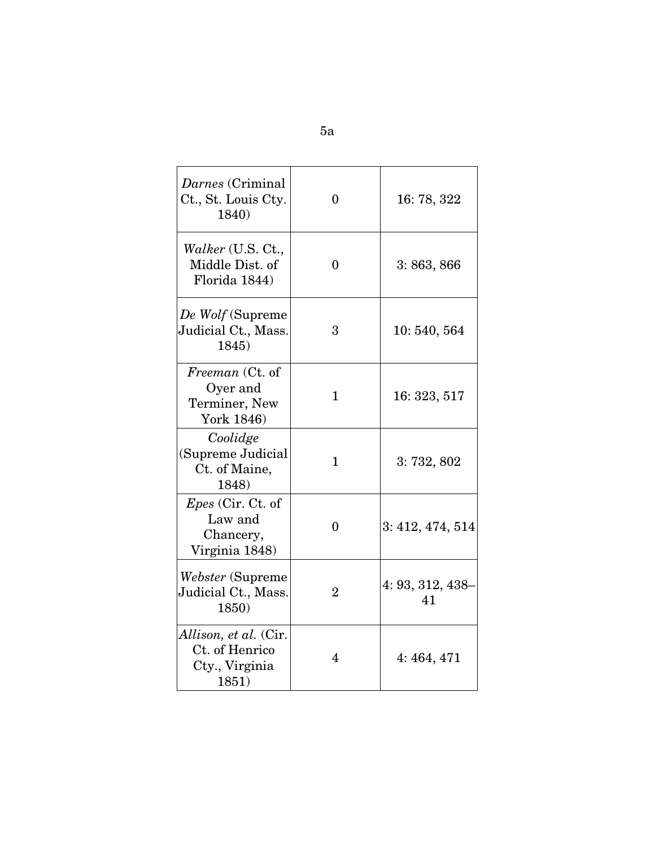| Darnes (Criminal<br>Ct., St. Louis Cty.<br>1840)                          | 0              | 16:78, 322                |
|---------------------------------------------------------------------------|----------------|---------------------------|
| <i>Walker</i> (U.S. Ct.,<br>Middle Dist. of<br>Florida 1844)              | 0              | 3:863,866                 |
| De Wolf (Supreme<br>Judicial Ct., Mass.<br>1845)                          | 3              | 10:540,564                |
| Freeman (Ct. of<br>Oyer and<br>Terminer, New<br>York 1846)                | $\mathbf{1}$   | 16: 323, 517              |
| Coolidge<br>(Supreme Judicial<br>Ct. of Maine,<br>1848)                   | $\mathbf{1}$   | 3:732,802                 |
| <i>Epes</i> (Cir. Ct. of<br>Law and<br>Chancery,<br>Virginia 1848)        | $\theta$       | 3: 412, 474, 514          |
| Webster (Supreme)<br>Judicial Ct., Mass.<br>1850)                         | $\overline{2}$ | $4: 93, 312, 438 -$<br>41 |
| <i>Allison, et al.</i> (Cir.<br>Ct. of Henrico<br>Cty., Virginia<br>1851) | 4              | 4:464,471                 |